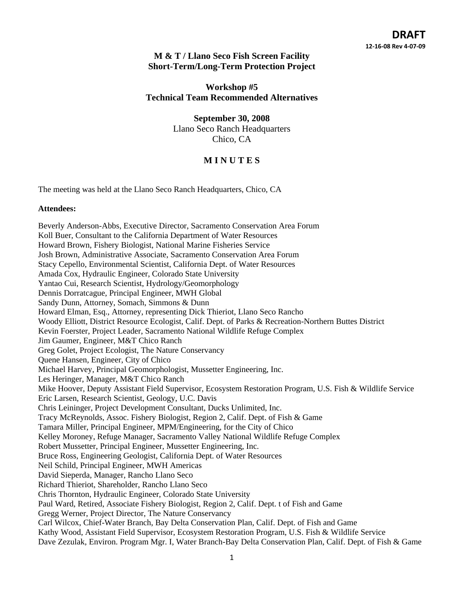### **M & T / Llano Seco Fish Screen Facility Short-Term/Long-Term Protection Project**

### **Workshop #5 Technical Team Recommended Alternatives**

**September 30, 2008**  Llano Seco Ranch Headquarters Chico, CA

## **M I N U T E S**

The meeting was held at the Llano Seco Ranch Headquarters, Chico, CA

### **Attendees:**

Beverly Anderson-Abbs, Executive Director, Sacramento Conservation Area Forum Koll Buer, Consultant to the California Department of Water Resources Howard Brown, Fishery Biologist, National Marine Fisheries Service Josh Brown, Administrative Associate, Sacramento Conservation Area Forum Stacy Cepello, Environmental Scientist, California Dept. of Water Resources Amada Cox, Hydraulic Engineer, Colorado State University Yantao Cui, Research Scientist, Hydrology/Geomorphology Dennis Dorratcague, Principal Engineer, MWH Global Sandy Dunn, Attorney, Somach, Simmons & Dunn Howard Elman, Esq., Attorney, representing Dick Thieriot, Llano Seco Rancho Woody Elliott, District Resource Ecologist, Calif. Dept. of Parks & Recreation-Northern Buttes District Kevin Foerster, Project Leader, Sacramento National Wildlife Refuge Complex Jim Gaumer, Engineer, M&T Chico Ranch Greg Golet, Project Ecologist, The Nature Conservancy Quene Hansen, Engineer, City of Chico Michael Harvey, Principal Geomorphologist, Mussetter Engineering, Inc. Les Heringer, Manager, M&T Chico Ranch Mike Hoover, Deputy Assistant Field Supervisor, Ecosystem Restoration Program, U.S. Fish & Wildlife Service Eric Larsen, Research Scientist, Geology, U.C. Davis Chris Leininger, Project Development Consultant, Ducks Unlimited, Inc. Tracy McReynolds, Assoc. Fishery Biologist, Region 2, Calif. Dept. of Fish & Game Tamara Miller, Principal Engineer, MPM/Engineering, for the City of Chico Kelley Moroney, Refuge Manager, Sacramento Valley National Wildlife Refuge Complex Robert Mussetter, Principal Engineer, Mussetter Engineering, Inc. Bruce Ross, Engineering Geologist, California Dept. of Water Resources Neil Schild, Principal Engineer, MWH Americas David Sieperda, Manager, Rancho Llano Seco Richard Thieriot, Shareholder, Rancho Llano Seco Chris Thornton, Hydraulic Engineer, Colorado State University Paul Ward, Retired, Associate Fishery Biologist, Region 2, Calif. Dept. t of Fish and Game Gregg Werner, Project Director, The Nature Conservancy Carl Wilcox, Chief-Water Branch, Bay Delta Conservation Plan, Calif. Dept. of Fish and Game Kathy Wood, Assistant Field Supervisor, Ecosystem Restoration Program, U.S. Fish & Wildlife Service Dave Zezulak, Environ. Program Mgr. I, Water Branch-Bay Delta Conservation Plan, Calif. Dept. of Fish & Game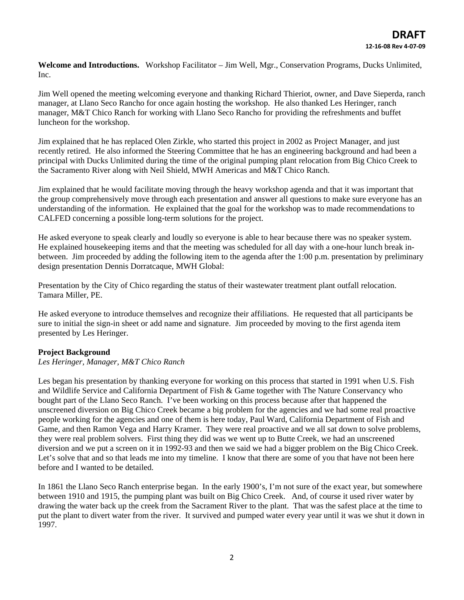**Welcome and Introductions.** Workshop Facilitator – Jim Well, Mgr., Conservation Programs, Ducks Unlimited, Inc.

Jim Well opened the meeting welcoming everyone and thanking Richard Thieriot, owner, and Dave Sieperda, ranch manager, at Llano Seco Rancho for once again hosting the workshop. He also thanked Les Heringer, ranch manager, M&T Chico Ranch for working with Llano Seco Rancho for providing the refreshments and buffet luncheon for the workshop.

Jim explained that he has replaced Olen Zirkle, who started this project in 2002 as Project Manager, and just recently retired. He also informed the Steering Committee that he has an engineering background and had been a principal with Ducks Unlimited during the time of the original pumping plant relocation from Big Chico Creek to the Sacramento River along with Neil Shield, MWH Americas and M&T Chico Ranch.

Jim explained that he would facilitate moving through the heavy workshop agenda and that it was important that the group comprehensively move through each presentation and answer all questions to make sure everyone has an understanding of the information. He explained that the goal for the workshop was to made recommendations to CALFED concerning a possible long-term solutions for the project.

He asked everyone to speak clearly and loudly so everyone is able to hear because there was no speaker system. He explained housekeeping items and that the meeting was scheduled for all day with a one-hour lunch break inbetween. Jim proceeded by adding the following item to the agenda after the 1:00 p.m. presentation by preliminary design presentation Dennis Dorratcaque, MWH Global:

Presentation by the City of Chico regarding the status of their wastewater treatment plant outfall relocation. Tamara Miller, PE.

He asked everyone to introduce themselves and recognize their affiliations. He requested that all participants be sure to initial the sign-in sheet or add name and signature. Jim proceeded by moving to the first agenda item presented by Les Heringer.

### **Project Background**

### *Les Heringer, Manager, M&T Chico Ranch*

Les began his presentation by thanking everyone for working on this process that started in 1991 when U.S. Fish and Wildlife Service and California Department of Fish & Game together with The Nature Conservancy who bought part of the Llano Seco Ranch. I've been working on this process because after that happened the unscreened diversion on Big Chico Creek became a big problem for the agencies and we had some real proactive people working for the agencies and one of them is here today, Paul Ward, California Department of Fish and Game, and then Ramon Vega and Harry Kramer. They were real proactive and we all sat down to solve problems, they were real problem solvers. First thing they did was we went up to Butte Creek, we had an unscreened diversion and we put a screen on it in 1992-93 and then we said we had a bigger problem on the Big Chico Creek. Let's solve that and so that leads me into my timeline. I know that there are some of you that have not been here before and I wanted to be detailed.

In 1861 the Llano Seco Ranch enterprise began. In the early 1900's, I'm not sure of the exact year, but somewhere between 1910 and 1915, the pumping plant was built on Big Chico Creek. And, of course it used river water by drawing the water back up the creek from the Sacrament River to the plant. That was the safest place at the time to put the plant to divert water from the river. It survived and pumped water every year until it was we shut it down in 1997.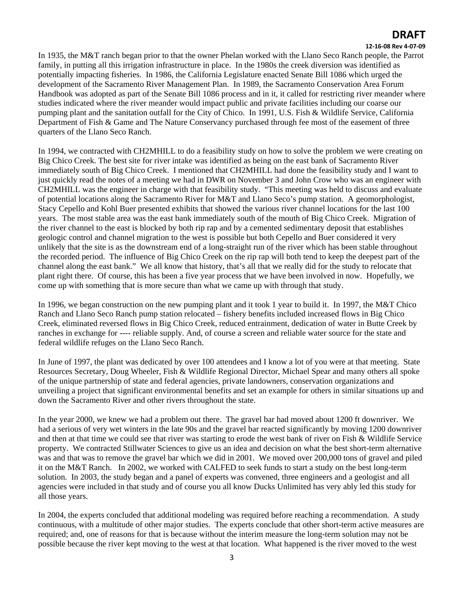### **12‐16‐08 Rev 4‐07‐09**

In 1935, the M&T ranch began prior to that the owner Phelan worked with the Llano Seco Ranch people, the Parrot family, in putting all this irrigation infrastructure in place. In the 1980s the creek diversion was identified as potentially impacting fisheries. In 1986, the California Legislature enacted Senate Bill 1086 which urged the development of the Sacramento River Management Plan. In 1989, the Sacramento Conservation Area Forum Handbook was adopted as part of the Senate Bill 1086 process and in it, it called for restricting river meander where studies indicated where the river meander would impact public and private facilities including our coarse our pumping plant and the sanitation outfall for the City of Chico. In 1991, U.S. Fish & Wildlife Service, California Department of Fish & Game and The Nature Conservancy purchased through fee most of the easement of three quarters of the Llano Seco Ranch.

In 1994, we contracted with CH2MHILL to do a feasibility study on how to solve the problem we were creating on Big Chico Creek. The best site for river intake was identified as being on the east bank of Sacramento River immediately south of Big Chico Creek. I mentioned that CH2MHILL had done the feasibility study and I want to just quickly read the notes of a meeting we had in DWR on November 3 and John Crow who was an engineer with CH2MHILL was the engineer in charge with that feasibility study. "This meeting was held to discuss and evaluate of potential locations along the Sacramento River for M&T and Llano Seco's pump station. A geomorphologist, Stacy Cepello and Kohl Buer presented exhibits that showed the various river channel locations for the last 100 years. The most stable area was the east bank immediately south of the mouth of Big Chico Creek. Migration of the river channel to the east is blocked by both rip rap and by a cemented sedimentary deposit that establishes geologic control and channel migration to the west is possible but both Cepello and Buer considered it very unlikely that the site is as the downstream end of a long-straight run of the river which has been stable throughout the recorded period. The influence of Big Chico Creek on the rip rap will both tend to keep the deepest part of the channel along the east bank." We all know that history, that's all that we really did for the study to relocate that plant right there. Of course, this has been a five year process that we have been involved in now. Hopefully, we come up with something that is more secure than what we came up with through that study.

In 1996, we began construction on the new pumping plant and it took 1 year to build it. In 1997, the M&T Chico Ranch and Llano Seco Ranch pump station relocated – fishery benefits included increased flows in Big Chico Creek, eliminated reversed flows in Big Chico Creek, reduced entrainment, dedication of water in Butte Creek by ranches in exchange for ---- reliable supply. And, of course a screen and reliable water source for the state and federal wildlife refuges on the Llano Seco Ranch.

In June of 1997, the plant was dedicated by over 100 attendees and I know a lot of you were at that meeting. State Resources Secretary, Doug Wheeler, Fish & Wildlife Regional Director, Michael Spear and many others all spoke of the unique partnership of state and federal agencies, private landowners, conservation organizations and unveiling a project that significant environmental benefits and set an example for others in similar situations up and down the Sacramento River and other rivers throughout the state.

In the year 2000, we knew we had a problem out there. The gravel bar had moved about 1200 ft downriver. We had a serious of very wet winters in the late 90s and the gravel bar reacted significantly by moving 1200 downriver and then at that time we could see that river was starting to erode the west bank of river on Fish & Wildlife Service property. We contracted Stillwater Sciences to give us an idea and decision on what the best short-term alternative was and that was to remove the gravel bar which we did in 2001. We moved over 200,000 tons of gravel and piled it on the M&T Ranch. In 2002, we worked with CALFED to seek funds to start a study on the best long-term solution. In 2003, the study began and a panel of experts was convened, three engineers and a geologist and all agencies were included in that study and of course you all know Ducks Unlimited has very ably led this study for all those years.

In 2004, the experts concluded that additional modeling was required before reaching a recommendation. A study continuous, with a multitude of other major studies. The experts conclude that other short-term active measures are required; and, one of reasons for that is because without the interim measure the long-term solution may not be possible because the river kept moving to the west at that location. What happened is the river moved to the west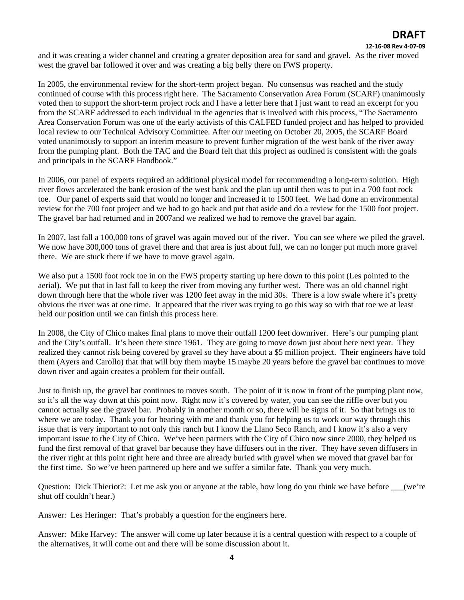#### **12‐16‐08 Rev 4‐07‐09**

and it was creating a wider channel and creating a greater deposition area for sand and gravel. As the river moved west the gravel bar followed it over and was creating a big belly there on FWS property.

In 2005, the environmental review for the short-term project began. No consensus was reached and the study continued of course with this process right here. The Sacramento Conservation Area Forum (SCARF) unanimously voted then to support the short-term project rock and I have a letter here that I just want to read an excerpt for you from the SCARF addressed to each individual in the agencies that is involved with this process, "The Sacramento Area Conservation Forum was one of the early activists of this CALFED funded project and has helped to provided local review to our Technical Advisory Committee. After our meeting on October 20, 2005, the SCARF Board voted unanimously to support an interim measure to prevent further migration of the west bank of the river away from the pumping plant. Both the TAC and the Board felt that this project as outlined is consistent with the goals and principals in the SCARF Handbook."

In 2006, our panel of experts required an additional physical model for recommending a long-term solution. High river flows accelerated the bank erosion of the west bank and the plan up until then was to put in a 700 foot rock toe. Our panel of experts said that would no longer and increased it to 1500 feet. We had done an environmental review for the 700 foot project and we had to go back and put that aside and do a review for the 1500 foot project. The gravel bar had returned and in 2007and we realized we had to remove the gravel bar again.

In 2007, last fall a 100,000 tons of gravel was again moved out of the river. You can see where we piled the gravel. We now have 300,000 tons of gravel there and that area is just about full, we can no longer put much more gravel there. We are stuck there if we have to move gravel again.

We also put a 1500 foot rock toe in on the FWS property starting up here down to this point (Les pointed to the aerial). We put that in last fall to keep the river from moving any further west. There was an old channel right down through here that the whole river was 1200 feet away in the mid 30s. There is a low swale where it's pretty obvious the river was at one time. It appeared that the river was trying to go this way so with that toe we at least held our position until we can finish this process here.

In 2008, the City of Chico makes final plans to move their outfall 1200 feet downriver. Here's our pumping plant and the City's outfall. It's been there since 1961. They are going to move down just about here next year. They realized they cannot risk being covered by gravel so they have about a \$5 million project. Their engineers have told them (Ayers and Carollo) that that will buy them maybe 15 maybe 20 years before the gravel bar continues to move down river and again creates a problem for their outfall.

Just to finish up, the gravel bar continues to moves south. The point of it is now in front of the pumping plant now, so it's all the way down at this point now. Right now it's covered by water, you can see the riffle over but you cannot actually see the gravel bar. Probably in another month or so, there will be signs of it. So that brings us to where we are today. Thank you for bearing with me and thank you for helping us to work our way through this issue that is very important to not only this ranch but I know the Llano Seco Ranch, and I know it's also a very important issue to the City of Chico. We've been partners with the City of Chico now since 2000, they helped us fund the first removal of that gravel bar because they have diffusers out in the river. They have seven diffusers in the river right at this point right here and three are already buried with gravel when we moved that gravel bar for the first time. So we've been partnered up here and we suffer a similar fate. Thank you very much.

Question: Dick Thieriot?: Let me ask you or anyone at the table, how long do you think we have before \_\_\_(we're shut off couldn't hear.)

Answer: Les Heringer: That's probably a question for the engineers here.

Answer: Mike Harvey: The answer will come up later because it is a central question with respect to a couple of the alternatives, it will come out and there will be some discussion about it.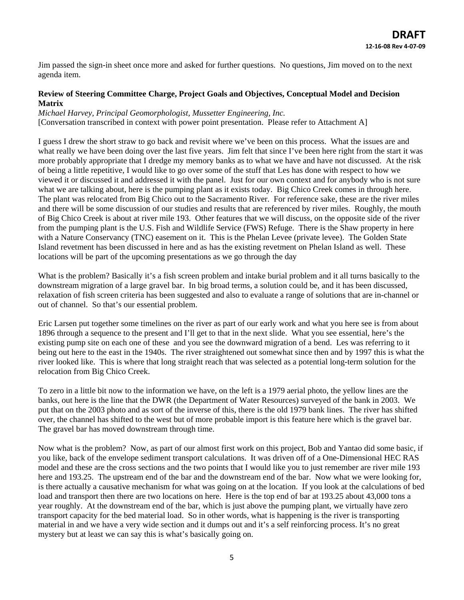Jim passed the sign-in sheet once more and asked for further questions. No questions, Jim moved on to the next agenda item.

### **Review of Steering Committee Charge, Project Goals and Objectives, Conceptual Model and Decision Matrix**

*Michael Harvey, Principal Geomorphologist, Mussetter Engineering, Inc.*  [Conversation transcribed in context with power point presentation. Please refer to Attachment A]

I guess I drew the short straw to go back and revisit where we've been on this process. What the issues are and what really we have been doing over the last five years. Jim felt that since I've been here right from the start it was more probably appropriate that I dredge my memory banks as to what we have and have not discussed. At the risk of being a little repetitive, I would like to go over some of the stuff that Les has done with respect to how we viewed it or discussed it and addressed it with the panel. Just for our own context and for anybody who is not sure what we are talking about, here is the pumping plant as it exists today. Big Chico Creek comes in through here. The plant was relocated from Big Chico out to the Sacramento River. For reference sake, these are the river miles and there will be some discussion of our studies and results that are referenced by river miles. Roughly, the mouth of Big Chico Creek is about at river mile 193. Other features that we will discuss, on the opposite side of the river from the pumping plant is the U.S. Fish and Wildlife Service (FWS) Refuge. There is the Shaw property in here with a Nature Conservancy (TNC) easement on it. This is the Phelan Levee (private levee). The Golden State Island revetment has been discussed in here and as has the existing revetment on Phelan Island as well. These locations will be part of the upcoming presentations as we go through the day

What is the problem? Basically it's a fish screen problem and intake burial problem and it all turns basically to the downstream migration of a large gravel bar. In big broad terms, a solution could be, and it has been discussed, relaxation of fish screen criteria has been suggested and also to evaluate a range of solutions that are in-channel or out of channel. So that's our essential problem.

Eric Larsen put together some timelines on the river as part of our early work and what you here see is from about 1896 through a sequence to the present and I'll get to that in the next slide. What you see essential, here's the existing pump site on each one of these and you see the downward migration of a bend. Les was referring to it being out here to the east in the 1940s. The river straightened out somewhat since then and by 1997 this is what the river looked like. This is where that long straight reach that was selected as a potential long-term solution for the relocation from Big Chico Creek.

To zero in a little bit now to the information we have, on the left is a 1979 aerial photo, the yellow lines are the banks, out here is the line that the DWR (the Department of Water Resources) surveyed of the bank in 2003. We put that on the 2003 photo and as sort of the inverse of this, there is the old 1979 bank lines. The river has shifted over, the channel has shifted to the west but of more probable import is this feature here which is the gravel bar. The gravel bar has moved downstream through time.

Now what is the problem? Now, as part of our almost first work on this project, Bob and Yantao did some basic, if you like, back of the envelope sediment transport calculations. It was driven off of a One-Dimensional HEC RAS model and these are the cross sections and the two points that I would like you to just remember are river mile 193 here and 193.25. The upstream end of the bar and the downstream end of the bar. Now what we were looking for, is there actually a causative mechanism for what was going on at the location. If you look at the calculations of bed load and transport then there are two locations on here. Here is the top end of bar at 193.25 about 43,000 tons a year roughly. At the downstream end of the bar, which is just above the pumping plant, we virtually have zero transport capacity for the bed material load. So in other words, what is happening is the river is transporting material in and we have a very wide section and it dumps out and it's a self reinforcing process. It's no great mystery but at least we can say this is what's basically going on.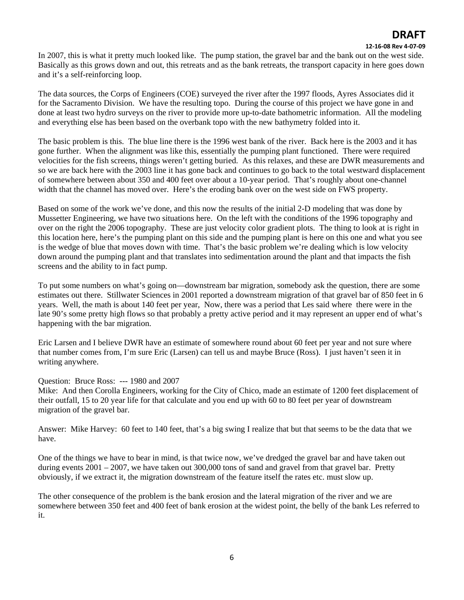#### **12‐16‐08 Rev 4‐07‐09**

In 2007, this is what it pretty much looked like. The pump station, the gravel bar and the bank out on the west side. Basically as this grows down and out, this retreats and as the bank retreats, the transport capacity in here goes down and it's a self-reinforcing loop.

The data sources, the Corps of Engineers (COE) surveyed the river after the 1997 floods, Ayres Associates did it for the Sacramento Division. We have the resulting topo. During the course of this project we have gone in and done at least two hydro surveys on the river to provide more up-to-date bathometric information. All the modeling and everything else has been based on the overbank topo with the new bathymetry folded into it.

The basic problem is this. The blue line there is the 1996 west bank of the river. Back here is the 2003 and it has gone further. When the alignment was like this, essentially the pumping plant functioned. There were required velocities for the fish screens, things weren't getting buried. As this relaxes, and these are DWR measurements and so we are back here with the 2003 line it has gone back and continues to go back to the total westward displacement of somewhere between about 350 and 400 feet over about a 10-year period. That's roughly about one-channel width that the channel has moved over. Here's the eroding bank over on the west side on FWS property.

Based on some of the work we've done, and this now the results of the initial 2-D modeling that was done by Mussetter Engineering, we have two situations here. On the left with the conditions of the 1996 topography and over on the right the 2006 topography. These are just velocity color gradient plots. The thing to look at is right in this location here, here's the pumping plant on this side and the pumping plant is here on this one and what you see is the wedge of blue that moves down with time. That's the basic problem we're dealing which is low velocity down around the pumping plant and that translates into sedimentation around the plant and that impacts the fish screens and the ability to in fact pump.

To put some numbers on what's going on—downstream bar migration, somebody ask the question, there are some estimates out there. Stillwater Sciences in 2001 reported a downstream migration of that gravel bar of 850 feet in 6 years. Well, the math is about 140 feet per year, Now, there was a period that Les said where there were in the late 90's some pretty high flows so that probably a pretty active period and it may represent an upper end of what's happening with the bar migration.

Eric Larsen and I believe DWR have an estimate of somewhere round about 60 feet per year and not sure where that number comes from, I'm sure Eric (Larsen) can tell us and maybe Bruce (Ross). I just haven't seen it in writing anywhere.

Question: Bruce Ross: --- 1980 and 2007

Mike: And then Corolla Engineers, working for the City of Chico, made an estimate of 1200 feet displacement of their outfall, 15 to 20 year life for that calculate and you end up with 60 to 80 feet per year of downstream migration of the gravel bar.

Answer: Mike Harvey: 60 feet to 140 feet, that's a big swing I realize that but that seems to be the data that we have.

One of the things we have to bear in mind, is that twice now, we've dredged the gravel bar and have taken out during events 2001 – 2007, we have taken out 300,000 tons of sand and gravel from that gravel bar. Pretty obviously, if we extract it, the migration downstream of the feature itself the rates etc. must slow up.

The other consequence of the problem is the bank erosion and the lateral migration of the river and we are somewhere between 350 feet and 400 feet of bank erosion at the widest point, the belly of the bank Les referred to it.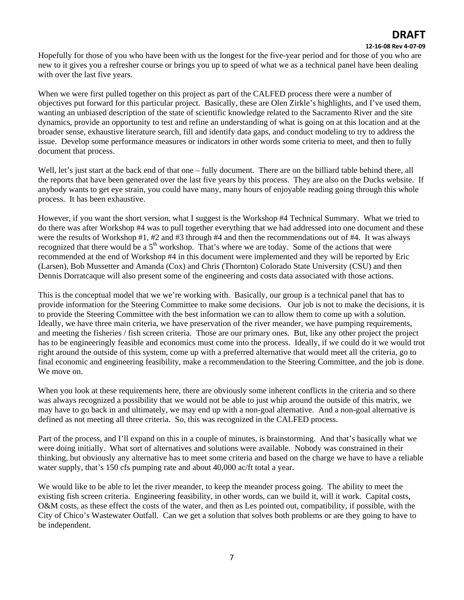#### **12‐16‐08 Rev 4‐07‐09**

Hopefully for those of you who have been with us the longest for the five-year period and for those of you who are new to it gives you a refresher course or brings you up to speed of what we as a technical panel have been dealing with over the last five years.

When we were first pulled together on this project as part of the CALFED process there were a number of objectives put forward for this particular project. Basically, these are Olen Zirkle's highlights, and I've used them, wanting an unbiased description of the state of scientific knowledge related to the Sacramento River and the site dynamics, provide an opportunity to test and refine an understanding of what is going on at this location and at the broader sense, exhaustive literature search, fill and identify data gaps, and conduct modeling to try to address the issue. Develop some performance measures or indicators in other words some criteria to meet, and then to fully document that process.

Well, let's just start at the back end of that one – fully document. There are on the billiard table behind there, all the reports that have been generated over the last five years by this process. They are also on the Ducks website. If anybody wants to get eye strain, you could have many, many hours of enjoyable reading going through this whole process. It has been exhaustive.

However, if you want the short version, what I suggest is the Workshop #4 Technical Summary. What we tried to do there was after Workshop #4 was to pull together everything that we had addressed into one document and these were the results of Workshop #1, #2 and #3 through #4 and then the recommendations out of #4. It was always recognized that there would be a  $5<sup>th</sup>$  workshop. That's where we are today. Some of the actions that were recommended at the end of Workshop #4 in this document were implemented and they will be reported by Eric (Larsen), Bob Mussetter and Amanda (Cox) and Chris (Thornton) Colorado State University (CSU) and then Dennis Dorratcaque will also present some of the engineering and costs data associated with those actions.

This is the conceptual model that we we're working with. Basically, our group is a technical panel that has to provide information for the Steering Committee to make some decisions. Our job is not to make the decisions, it is to provide the Steering Committee with the best information we can to allow them to come up with a solution. Ideally, we have three main criteria, we have preservation of the river meander, we have pumping requirements, and meeting the fisheries / fish screen criteria. Those are our primary ones. But, like any other project the project has to be engineeringly feasible and economics must come into the process. Ideally, if we could do it we would trot right around the outside of this system, come up with a preferred alternative that would meet all the criteria, go to final economic and engineering feasibility, make a recommendation to the Steering Committee, and the job is done. We move on.

When you look at these requirements here, there are obviously some inherent conflicts in the criteria and so there was always recognized a possibility that we would not be able to just whip around the outside of this matrix, we may have to go back in and ultimately, we may end up with a non-goal alternative. And a non-goal alternative is defined as not meeting all three criteria. So, this was recognized in the CALFED process.

Part of the process, and I'll expand on this in a couple of minutes, is brainstorming. And that's basically what we were doing initially. What sort of alternatives and solutions were available. Nobody was constrained in their thinking, but obviously any alternative has to meet some criteria and based on the charge we have to have a reliable water supply, that's 150 cfs pumping rate and about 40,000 ac/ft total a year.

We would like to be able to let the river meander, to keep the meander process going. The ability to meet the existing fish screen criteria. Engineering feasibility, in other words, can we build it, will it work. Capital costs, O&M costs, as these effect the costs of the water, and then as Les pointed out, compatibility, if possible, with the City of Chico's Wastewater Outfall. Can we get a solution that solves both problems or are they going to have to be independent.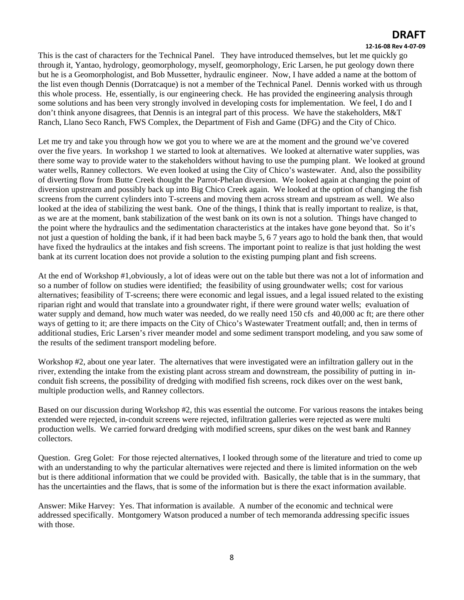#### **12‐16‐08 Rev 4‐07‐09**

This is the cast of characters for the Technical Panel. They have introduced themselves, but let me quickly go through it, Yantao, hydrology, geomorphology, myself, geomorphology, Eric Larsen, he put geology down there but he is a Geomorphologist, and Bob Mussetter, hydraulic engineer. Now, I have added a name at the bottom of the list even though Dennis (Dorratcaque) is not a member of the Technical Panel. Dennis worked with us through this whole process. He, essentially, is our engineering check. He has provided the engineering analysis through some solutions and has been very strongly involved in developing costs for implementation. We feel, I do and I don't think anyone disagrees, that Dennis is an integral part of this process. We have the stakeholders, M&T Ranch, Llano Seco Ranch, FWS Complex, the Department of Fish and Game (DFG) and the City of Chico.

Let me try and take you through how we got you to where we are at the moment and the ground we've covered over the five years. In workshop 1 we started to look at alternatives. We looked at alternative water supplies, was there some way to provide water to the stakeholders without having to use the pumping plant. We looked at ground water wells, Ranney collectors. We even looked at using the City of Chico's wastewater. And, also the possibility of diverting flow from Butte Creek thought the Parrot-Phelan diversion. We looked again at changing the point of diversion upstream and possibly back up into Big Chico Creek again. We looked at the option of changing the fish screens from the current cylinders into T-screens and moving them across stream and upstream as well. We also looked at the idea of stabilizing the west bank. One of the things, I think that is really important to realize, is that, as we are at the moment, bank stabilization of the west bank on its own is not a solution. Things have changed to the point where the hydraulics and the sedimentation characteristics at the intakes have gone beyond that. So it's not just a question of holding the bank, if it had been back maybe 5, 6 7 years ago to hold the bank then, that would have fixed the hydraulics at the intakes and fish screens. The important point to realize is that just holding the west bank at its current location does not provide a solution to the existing pumping plant and fish screens.

At the end of Workshop #1,obviously, a lot of ideas were out on the table but there was not a lot of information and so a number of follow on studies were identified; the feasibility of using groundwater wells; cost for various alternatives; feasibility of T-screens; there were economic and legal issues, and a legal issued related to the existing riparian right and would that translate into a groundwater right, if there were ground water wells; evaluation of water supply and demand, how much water was needed, do we really need 150 cfs and 40,000 ac ft; are there other ways of getting to it; are there impacts on the City of Chico's Wastewater Treatment outfall; and, then in terms of additional studies, Eric Larsen's river meander model and some sediment transport modeling, and you saw some of the results of the sediment transport modeling before.

Workshop #2, about one year later. The alternatives that were investigated were an infiltration gallery out in the river, extending the intake from the existing plant across stream and downstream, the possibility of putting in inconduit fish screens, the possibility of dredging with modified fish screens, rock dikes over on the west bank, multiple production wells, and Ranney collectors.

Based on our discussion during Workshop #2, this was essential the outcome. For various reasons the intakes being extended were rejected, in-conduit screens were rejected, infiltration galleries were rejected as were multi production wells. We carried forward dredging with modified screens, spur dikes on the west bank and Ranney collectors.

Question. Greg Golet: For those rejected alternatives, I looked through some of the literature and tried to come up with an understanding to why the particular alternatives were rejected and there is limited information on the web but is there additional information that we could be provided with. Basically, the table that is in the summary, that has the uncertainties and the flaws, that is some of the information but is there the exact information available.

Answer: Mike Harvey: Yes. That information is available. A number of the economic and technical were addressed specifically. Montgomery Watson produced a number of tech memoranda addressing specific issues with those.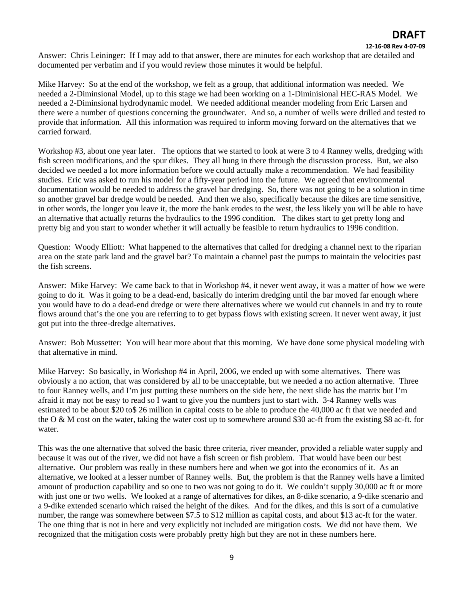#### **12‐16‐08 Rev 4‐07‐09**

Answer: Chris Leininger: If I may add to that answer, there are minutes for each workshop that are detailed and documented per verbatim and if you would review those minutes it would be helpful.

Mike Harvey: So at the end of the workshop, we felt as a group, that additional information was needed. We needed a 2-Diminsional Model, up to this stage we had been working on a 1-Diminisional HEC-RAS Model. We needed a 2-Diminsional hydrodynamic model. We needed additional meander modeling from Eric Larsen and there were a number of questions concerning the groundwater. And so, a number of wells were drilled and tested to provide that information. All this information was required to inform moving forward on the alternatives that we carried forward.

Workshop #3, about one year later. The options that we started to look at were 3 to 4 Ranney wells, dredging with fish screen modifications, and the spur dikes. They all hung in there through the discussion process. But, we also decided we needed a lot more information before we could actually make a recommendation. We had feasibility studies. Eric was asked to run his model for a fifty-year period into the future. We agreed that environmental documentation would be needed to address the gravel bar dredging. So, there was not going to be a solution in time so another gravel bar dredge would be needed. And then we also, specifically because the dikes are time sensitive, in other words, the longer you leave it, the more the bank erodes to the west, the less likely you will be able to have an alternative that actually returns the hydraulics to the 1996 condition. The dikes start to get pretty long and pretty big and you start to wonder whether it will actually be feasible to return hydraulics to 1996 condition.

Question: Woody Elliott: What happened to the alternatives that called for dredging a channel next to the riparian area on the state park land and the gravel bar? To maintain a channel past the pumps to maintain the velocities past the fish screens.

Answer: Mike Harvey: We came back to that in Workshop #4, it never went away, it was a matter of how we were going to do it. Was it going to be a dead-end, basically do interim dredging until the bar moved far enough where you would have to do a dead-end dredge or were there alternatives where we would cut channels in and try to route flows around that's the one you are referring to to get bypass flows with existing screen. It never went away, it just got put into the three-dredge alternatives.

Answer: Bob Mussetter: You will hear more about that this morning. We have done some physical modeling with that alternative in mind.

Mike Harvey: So basically, in Workshop #4 in April, 2006, we ended up with some alternatives. There was obviously a no action, that was considered by all to be unacceptable, but we needed a no action alternative. Three to four Ranney wells, and I'm just putting these numbers on the side here, the next slide has the matrix but I'm afraid it may not be easy to read so I want to give you the numbers just to start with. 3-4 Ranney wells was estimated to be about \$20 to\$ 26 million in capital costs to be able to produce the 40,000 ac ft that we needed and the O & M cost on the water, taking the water cost up to somewhere around \$30 ac-ft from the existing \$8 ac-ft. for water.

This was the one alternative that solved the basic three criteria, river meander, provided a reliable water supply and because it was out of the river, we did not have a fish screen or fish problem. That would have been our best alternative. Our problem was really in these numbers here and when we got into the economics of it. As an alternative, we looked at a lesser number of Ranney wells. But, the problem is that the Ranney wells have a limited amount of production capability and so one to two was not going to do it. We couldn't supply 30,000 ac ft or more with just one or two wells. We looked at a range of alternatives for dikes, an 8-dike scenario, a 9-dike scenario and a 9-dike extended scenario which raised the height of the dikes. And for the dikes, and this is sort of a cumulative number, the range was somewhere between \$7.5 to \$12 million as capital costs, and about \$13 ac-ft for the water. The one thing that is not in here and very explicitly not included are mitigation costs. We did not have them. We recognized that the mitigation costs were probably pretty high but they are not in these numbers here.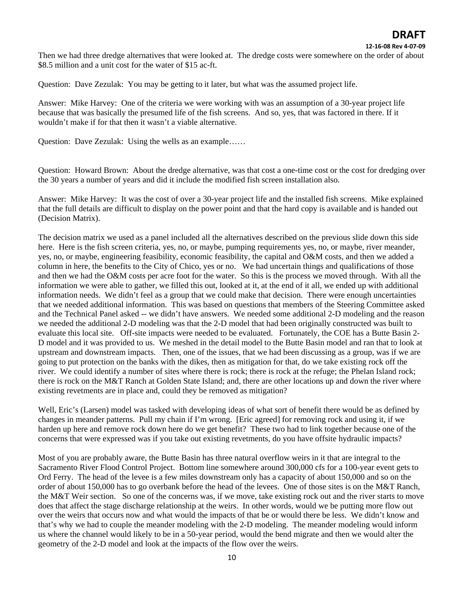Then we had three dredge alternatives that were looked at. The dredge costs were somewhere on the order of about \$8.5 million and a unit cost for the water of \$15 ac-ft.

Question: Dave Zezulak: You may be getting to it later, but what was the assumed project life.

Answer: Mike Harvey: One of the criteria we were working with was an assumption of a 30-year project life because that was basically the presumed life of the fish screens. And so, yes, that was factored in there. If it wouldn't make if for that then it wasn't a viable alternative.

Question: Dave Zezulak: Using the wells as an example……

Question: Howard Brown: About the dredge alternative, was that cost a one-time cost or the cost for dredging over the 30 years a number of years and did it include the modified fish screen installation also.

Answer: Mike Harvey: It was the cost of over a 30-year project life and the installed fish screens. Mike explained that the full details are difficult to display on the power point and that the hard copy is available and is handed out (Decision Matrix).

The decision matrix we used as a panel included all the alternatives described on the previous slide down this side here. Here is the fish screen criteria, yes, no, or maybe, pumping requirements yes, no, or maybe, river meander, yes, no, or maybe, engineering feasibility, economic feasibility, the capital and O&M costs, and then we added a column in here, the benefits to the City of Chico, yes or no. We had uncertain things and qualifications of those and then we had the O&M costs per acre foot for the water. So this is the process we moved through. With all the information we were able to gather, we filled this out, looked at it, at the end of it all, we ended up with additional information needs. We didn't feel as a group that we could make that decision. There were enough uncertainties that we needed additional information. This was based on questions that members of the Steering Committee asked and the Technical Panel asked -- we didn't have answers. We needed some additional 2-D modeling and the reason we needed the additional 2-D modeling was that the 2-D model that had been originally constructed was built to evaluate this local site. Off-site impacts were needed to be evaluated. Fortunately, the COE has a Butte Basin 2- D model and it was provided to us. We meshed in the detail model to the Butte Basin model and ran that to look at upstream and downstream impacts. Then, one of the issues, that we had been discussing as a group, was if we are going to put protection on the banks with the dikes, then as mitigation for that, do we take existing rock off the river. We could identify a number of sites where there is rock; there is rock at the refuge; the Phelan Island rock; there is rock on the M&T Ranch at Golden State Island; and, there are other locations up and down the river where existing revetments are in place and, could they be removed as mitigation?

Well, Eric's (Larsen) model was tasked with developing ideas of what sort of benefit there would be as defined by changes in meander patterns. Pull my chain if I'm wrong. [Eric agreed] for removing rock and using it, if we harden up here and remove rock down here do we get benefit? These two had to link together because one of the concerns that were expressed was if you take out existing revetments, do you have offsite hydraulic impacts?

Most of you are probably aware, the Butte Basin has three natural overflow weirs in it that are integral to the Sacramento River Flood Control Project. Bottom line somewhere around 300,000 cfs for a 100-year event gets to Ord Ferry. The head of the levee is a few miles downstream only has a capacity of about 150,000 and so on the order of about 150,000 has to go overbank before the head of the levees. One of those sites is on the M&T Ranch, the M&T Weir section. So one of the concerns was, if we move, take existing rock out and the river starts to move does that affect the stage discharge relationship at the weirs. In other words, would we be putting more flow out over the weirs that occurs now and what would the impacts of that be or would there be less. We didn't know and that's why we had to couple the meander modeling with the 2-D modeling. The meander modeling would inform us where the channel would likely to be in a 50-year period, would the bend migrate and then we would alter the geometry of the 2-D model and look at the impacts of the flow over the weirs.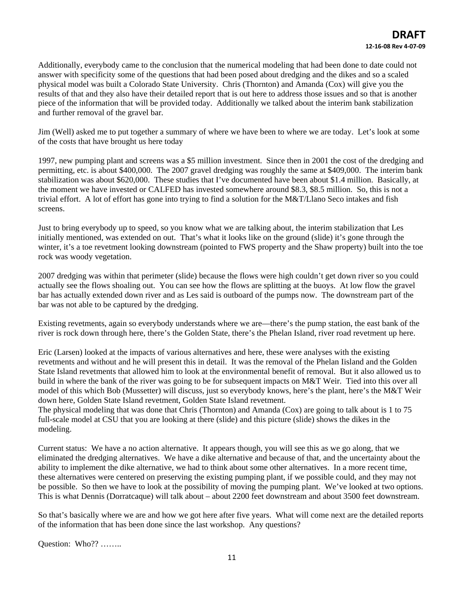Additionally, everybody came to the conclusion that the numerical modeling that had been done to date could not answer with specificity some of the questions that had been posed about dredging and the dikes and so a scaled physical model was built a Colorado State University. Chris (Thornton) and Amanda (Cox) will give you the results of that and they also have their detailed report that is out here to address those issues and so that is another piece of the information that will be provided today. Additionally we talked about the interim bank stabilization and further removal of the gravel bar.

Jim (Well) asked me to put together a summary of where we have been to where we are today. Let's look at some of the costs that have brought us here today

1997, new pumping plant and screens was a \$5 million investment. Since then in 2001 the cost of the dredging and permitting, etc. is about \$400,000. The 2007 gravel dredging was roughly the same at \$409,000. The interim bank stabilization was about \$620,000. These studies that I've documented have been about \$1.4 million. Basically, at the moment we have invested or CALFED has invested somewhere around \$8.3, \$8.5 million. So, this is not a trivial effort. A lot of effort has gone into trying to find a solution for the M&T/Llano Seco intakes and fish screens.

Just to bring everybody up to speed, so you know what we are talking about, the interim stabilization that Les initially mentioned, was extended on out. That's what it looks like on the ground (slide) it's gone through the winter, it's a toe revetment looking downstream (pointed to FWS property and the Shaw property) built into the toe rock was woody vegetation.

2007 dredging was within that perimeter (slide) because the flows were high couldn't get down river so you could actually see the flows shoaling out. You can see how the flows are splitting at the buoys. At low flow the gravel bar has actually extended down river and as Les said is outboard of the pumps now. The downstream part of the bar was not able to be captured by the dredging.

Existing revetments, again so everybody understands where we are—there's the pump station, the east bank of the river is rock down through here, there's the Golden State, there's the Phelan Island, river road revetment up here.

Eric (Larsen) looked at the impacts of various alternatives and here, these were analyses with the existing revetments and without and he will present this in detail. It was the removal of the Phelan Iisland and the Golden State Island revetments that allowed him to look at the environmental benefit of removal. But it also allowed us to build in where the bank of the river was going to be for subsequent impacts on M&T Weir. Tied into this over all model of this which Bob (Mussetter) will discuss, just so everybody knows, here's the plant, here's the M&T Weir down here, Golden State Island revetment, Golden State Island revetment.

The physical modeling that was done that Chris (Thornton) and Amanda (Cox) are going to talk about is 1 to 75 full-scale model at CSU that you are looking at there (slide) and this picture (slide) shows the dikes in the modeling.

Current status: We have a no action alternative. It appears though, you will see this as we go along, that we eliminated the dredging alternatives. We have a dike alternative and because of that, and the uncertainty about the ability to implement the dike alternative, we had to think about some other alternatives. In a more recent time, these alternatives were centered on preserving the existing pumping plant, if we possible could, and they may not be possible. So then we have to look at the possibility of moving the pumping plant. We've looked at two options. This is what Dennis (Dorratcaque) will talk about – about 2200 feet downstream and about 3500 feet downstream.

So that's basically where we are and how we got here after five years. What will come next are the detailed reports of the information that has been done since the last workshop. Any questions?

Question: Who?? ……..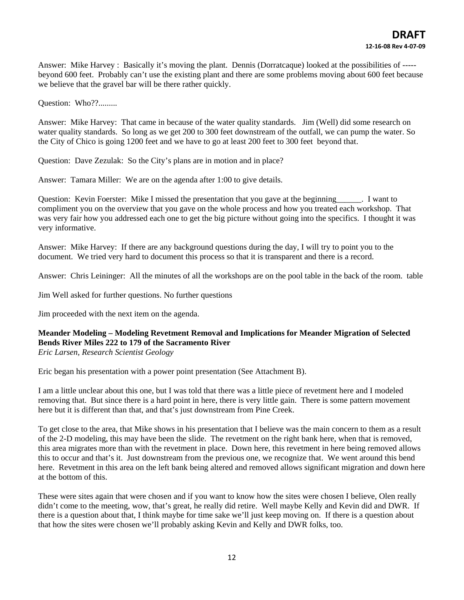Answer: Mike Harvey : Basically it's moving the plant. Dennis (Dorratcaque) looked at the possibilities of ---- beyond 600 feet. Probably can't use the existing plant and there are some problems moving about 600 feet because we believe that the gravel bar will be there rather quickly.

Question: Who??.........

Answer: Mike Harvey: That came in because of the water quality standards. Jim (Well) did some research on water quality standards. So long as we get 200 to 300 feet downstream of the outfall, we can pump the water. So the City of Chico is going 1200 feet and we have to go at least 200 feet to 300 feet beyond that.

Question: Dave Zezulak: So the City's plans are in motion and in place?

Answer: Tamara Miller: We are on the agenda after 1:00 to give details.

Question: Kevin Foerster: Mike I missed the presentation that you gave at the beginning\_\_\_\_\_\_. I want to compliment you on the overview that you gave on the whole process and how you treated each workshop. That was very fair how you addressed each one to get the big picture without going into the specifics. I thought it was very informative.

Answer: Mike Harvey: If there are any background questions during the day, I will try to point you to the document. We tried very hard to document this process so that it is transparent and there is a record.

Answer: Chris Leininger: All the minutes of all the workshops are on the pool table in the back of the room. table

Jim Well asked for further questions. No further questions

Jim proceeded with the next item on the agenda.

## **Meander Modeling – Modeling Revetment Removal and Implications for Meander Migration of Selected Bends River Miles 222 to 179 of the Sacramento River**

*Eric Larsen, Research Scientist Geology* 

Eric began his presentation with a power point presentation (See Attachment B).

I am a little unclear about this one, but I was told that there was a little piece of revetment here and I modeled removing that. But since there is a hard point in here, there is very little gain. There is some pattern movement here but it is different than that, and that's just downstream from Pine Creek.

To get close to the area, that Mike shows in his presentation that I believe was the main concern to them as a result of the 2-D modeling, this may have been the slide. The revetment on the right bank here, when that is removed, this area migrates more than with the revetment in place. Down here, this revetment in here being removed allows this to occur and that's it. Just downstream from the previous one, we recognize that. We went around this bend here. Revetment in this area on the left bank being altered and removed allows significant migration and down here at the bottom of this.

These were sites again that were chosen and if you want to know how the sites were chosen I believe, Olen really didn't come to the meeting, wow, that's great, he really did retire. Well maybe Kelly and Kevin did and DWR. If there is a question about that, I think maybe for time sake we'll just keep moving on. If there is a question about that how the sites were chosen we'll probably asking Kevin and Kelly and DWR folks, too.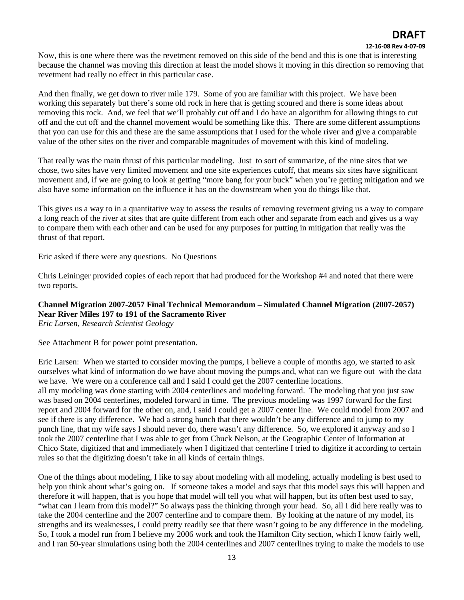#### **12‐16‐08 Rev 4‐07‐09**

Now, this is one where there was the revetment removed on this side of the bend and this is one that is interesting because the channel was moving this direction at least the model shows it moving in this direction so removing that revetment had really no effect in this particular case.

And then finally, we get down to river mile 179. Some of you are familiar with this project. We have been working this separately but there's some old rock in here that is getting scoured and there is some ideas about removing this rock. And, we feel that we'll probably cut off and I do have an algorithm for allowing things to cut off and the cut off and the channel movement would be something like this. There are some different assumptions that you can use for this and these are the same assumptions that I used for the whole river and give a comparable value of the other sites on the river and comparable magnitudes of movement with this kind of modeling.

That really was the main thrust of this particular modeling. Just to sort of summarize, of the nine sites that we chose, two sites have very limited movement and one site experiences cutoff, that means six sites have significant movement and, if we are going to look at getting "more bang for your buck" when you're getting mitigation and we also have some information on the influence it has on the downstream when you do things like that.

This gives us a way to in a quantitative way to assess the results of removing revetment giving us a way to compare a long reach of the river at sites that are quite different from each other and separate from each and gives us a way to compare them with each other and can be used for any purposes for putting in mitigation that really was the thrust of that report.

Eric asked if there were any questions. No Questions

Chris Leininger provided copies of each report that had produced for the Workshop #4 and noted that there were two reports.

## **Channel Migration 2007-2057 Final Technical Memorandum – Simulated Channel Migration (2007-2057) Near River Miles 197 to 191 of the Sacramento River**

*Eric Larsen, Research Scientist Geology*

See Attachment B for power point presentation.

Eric Larsen: When we started to consider moving the pumps, I believe a couple of months ago, we started to ask ourselves what kind of information do we have about moving the pumps and, what can we figure out with the data we have. We were on a conference call and I said I could get the 2007 centerline locations.

all my modeling was done starting with 2004 centerlines and modeling forward. The modeling that you just saw was based on 2004 centerlines, modeled forward in time. The previous modeling was 1997 forward for the first report and 2004 forward for the other on, and, I said I could get a 2007 center line. We could model from 2007 and see if there is any difference. We had a strong hunch that there wouldn't be any difference and to jump to my punch line, that my wife says I should never do, there wasn't any difference. So, we explored it anyway and so I took the 2007 centerline that I was able to get from Chuck Nelson, at the Geographic Center of Information at Chico State, digitized that and immediately when I digitized that centerline I tried to digitize it according to certain rules so that the digitizing doesn't take in all kinds of certain things.

One of the things about modeling, I like to say about modeling with all modeling, actually modeling is best used to help you think about what's going on. If someone takes a model and says that this model says this will happen and therefore it will happen, that is you hope that model will tell you what will happen, but its often best used to say, "what can I learn from this model?" So always pass the thinking through your head. So, all I did here really was to take the 2004 centerline and the 2007 centerline and to compare them. By looking at the nature of my model, its strengths and its weaknesses, I could pretty readily see that there wasn't going to be any difference in the modeling. So, I took a model run from I believe my 2006 work and took the Hamilton City section, which I know fairly well, and I ran 50-year simulations using both the 2004 centerlines and 2007 centerlines trying to make the models to use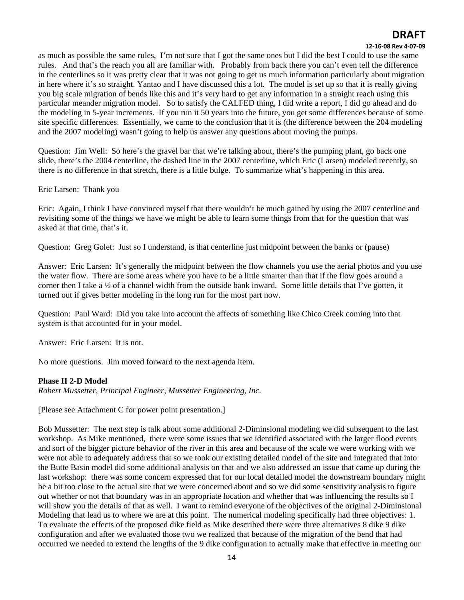#### **12‐16‐08 Rev 4‐07‐09**

as much as possible the same rules, I'm not sure that I got the same ones but I did the best I could to use the same rules. And that's the reach you all are familiar with. Probably from back there you can't even tell the difference in the centerlines so it was pretty clear that it was not going to get us much information particularly about migration in here where it's so straight. Yantao and I have discussed this a lot. The model is set up so that it is really giving you big scale migration of bends like this and it's very hard to get any information in a straight reach using this particular meander migration model. So to satisfy the CALFED thing, I did write a report, I did go ahead and do the modeling in 5-year increments. If you run it 50 years into the future, you get some differences because of some site specific differences. Essentially, we came to the conclusion that it is (the difference between the 204 modeling and the 2007 modeling) wasn't going to help us answer any questions about moving the pumps.

Question: Jim Well: So here's the gravel bar that we're talking about, there's the pumping plant, go back one slide, there's the 2004 centerline, the dashed line in the 2007 centerline, which Eric (Larsen) modeled recently, so there is no difference in that stretch, there is a little bulge. To summarize what's happening in this area.

### Eric Larsen: Thank you

Eric: Again, I think I have convinced myself that there wouldn't be much gained by using the 2007 centerline and revisiting some of the things we have we might be able to learn some things from that for the question that was asked at that time, that's it.

Question: Greg Golet: Just so I understand, is that centerline just midpoint between the banks or (pause)

Answer: Eric Larsen: It's generally the midpoint between the flow channels you use the aerial photos and you use the water flow. There are some areas where you have to be a little smarter than that if the flow goes around a corner then I take a ½ of a channel width from the outside bank inward. Some little details that I've gotten, it turned out if gives better modeling in the long run for the most part now.

Question: Paul Ward: Did you take into account the affects of something like Chico Creek coming into that system is that accounted for in your model.

Answer: Eric Larsen: It is not.

No more questions. Jim moved forward to the next agenda item.

### **Phase II 2-D Model**

*Robert Mussetter, Principal Engineer, Mussetter Engineering, Inc.* 

[Please see Attachment C for power point presentation.]

Bob Mussetter: The next step is talk about some additional 2-Diminsional modeling we did subsequent to the last workshop. As Mike mentioned, there were some issues that we identified associated with the larger flood events and sort of the bigger picture behavior of the river in this area and because of the scale we were working with we were not able to adequately address that so we took our existing detailed model of the site and integrated that into the Butte Basin model did some additional analysis on that and we also addressed an issue that came up during the last workshop: there was some concern expressed that for our local detailed model the downstream boundary might be a bit too close to the actual site that we were concerned about and so we did some sensitivity analysis to figure out whether or not that boundary was in an appropriate location and whether that was influencing the results so I will show you the details of that as well. I want to remind everyone of the objectives of the original 2-Diminsional Modeling that lead us to where we are at this point. The numerical modeling specifically had three objectives: 1. To evaluate the effects of the proposed dike field as Mike described there were three alternatives 8 dike 9 dike configuration and after we evaluated those two we realized that because of the migration of the bend that had occurred we needed to extend the lengths of the 9 dike configuration to actually make that effective in meeting our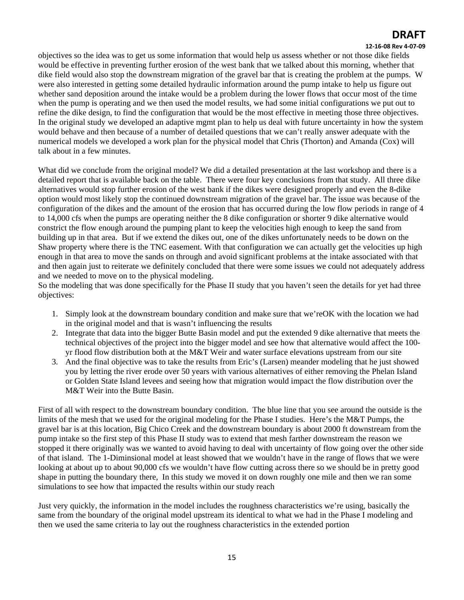#### **12‐16‐08 Rev 4‐07‐09**

objectives so the idea was to get us some information that would help us assess whether or not those dike fields would be effective in preventing further erosion of the west bank that we talked about this morning, whether that dike field would also stop the downstream migration of the gravel bar that is creating the problem at the pumps. W were also interested in getting some detailed hydraulic information around the pump intake to help us figure out whether sand deposition around the intake would be a problem during the lower flows that occur most of the time when the pump is operating and we then used the model results, we had some initial configurations we put out to refine the dike design, to find the configuration that would be the most effective in meeting those three objectives. In the original study we developed an adaptive mgmt plan to help us deal with future uncertainty in how the system would behave and then because of a number of detailed questions that we can't really answer adequate with the numerical models we developed a work plan for the physical model that Chris (Thorton) and Amanda (Cox) will talk about in a few minutes.

What did we conclude from the original model? We did a detailed presentation at the last workshop and there is a detailed report that is available back on the table. There were four key conclusions from that study. All three dike alternatives would stop further erosion of the west bank if the dikes were designed properly and even the 8-dike option would most likely stop the continued downstream migration of the gravel bar. The issue was because of the configuration of the dikes and the amount of the erosion that has occurred during the low flow periods in range of 4 to 14,000 cfs when the pumps are operating neither the 8 dike configuration or shorter 9 dike alternative would constrict the flow enough around the pumping plant to keep the velocities high enough to keep the sand from building up in that area. But if we extend the dikes out, one of the dikes unfortunately needs to be down on the Shaw property where there is the TNC easement. With that configuration we can actually get the velocities up high enough in that area to move the sands on through and avoid significant problems at the intake associated with that and then again just to reiterate we definitely concluded that there were some issues we could not adequately address and we needed to move on to the physical modeling.

So the modeling that was done specifically for the Phase II study that you haven't seen the details for yet had three objectives:

- 1. Simply look at the downstream boundary condition and make sure that we'reOK with the location we had in the original model and that is wasn't influencing the results
- 2. Integrate that data into the bigger Butte Basin model and put the extended 9 dike alternative that meets the technical objectives of the project into the bigger model and see how that alternative would affect the 100 yr flood flow distribution both at the M&T Weir and water surface elevations upstream from our site
- 3. And the final objective was to take the results from Eric's (Larsen) meander modeling that he just showed you by letting the river erode over 50 years with various alternatives of either removing the Phelan Island or Golden State Island levees and seeing how that migration would impact the flow distribution over the M&T Weir into the Butte Basin.

First of all with respect to the downstream boundary condition. The blue line that you see around the outside is the limits of the mesh that we used for the original modeling for the Phase I studies. Here's the M&T Pumps, the gravel bar is at this location, Big Chico Creek and the downstream boundary is about 2000 ft downstream from the pump intake so the first step of this Phase II study was to extend that mesh farther downstream the reason we stopped it there originally was we wanted to avoid having to deal with uncertainty of flow going over the other side of that island. The 1-Diminsional model at least showed that we wouldn't have in the range of flows that we were looking at about up to about 90,000 cfs we wouldn't have flow cutting across there so we should be in pretty good shape in putting the boundary there, In this study we moved it on down roughly one mile and then we ran some simulations to see how that impacted the results within our study reach

Just very quickly, the information in the model includes the roughness characteristics we're using, basically the same from the boundary of the original model upstream its identical to what we had in the Phase I modeling and then we used the same criteria to lay out the roughness characteristics in the extended portion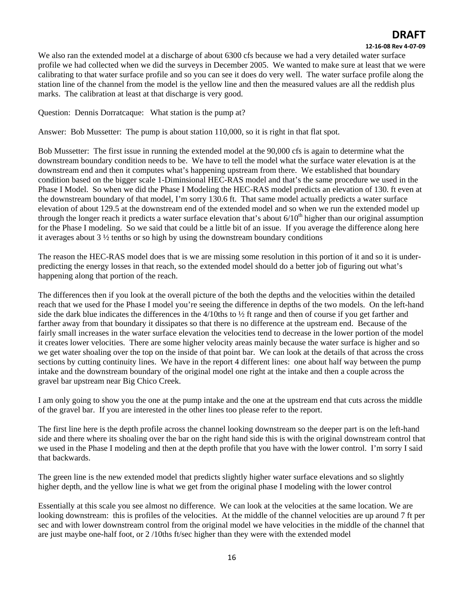#### **12‐16‐08 Rev 4‐07‐09**

We also ran the extended model at a discharge of about 6300 cfs because we had a very detailed water surface profile we had collected when we did the surveys in December 2005. We wanted to make sure at least that we were calibrating to that water surface profile and so you can see it does do very well. The water surface profile along the station line of the channel from the model is the yellow line and then the measured values are all the reddish plus marks. The calibration at least at that discharge is very good.

Question: Dennis Dorratcaque: What station is the pump at?

Answer: Bob Mussetter: The pump is about station 110,000, so it is right in that flat spot.

Bob Mussetter: The first issue in running the extended model at the 90,000 cfs is again to determine what the downstream boundary condition needs to be. We have to tell the model what the surface water elevation is at the downstream end and then it computes what's happening upstream from there. We established that boundary condition based on the bigger scale 1-Diminsional HEC-RAS model and that's the same procedure we used in the Phase I Model. So when we did the Phase I Modeling the HEC-RAS model predicts an elevation of 130. ft even at the downstream boundary of that model, I'm sorry 130.6 ft. That same model actually predicts a water surface elevation of about 129.5 at the downstream end of the extended model and so when we run the extended model up through the longer reach it predicts a water surface elevation that's about  $6/10<sup>th</sup>$  higher than our original assumption for the Phase I modeling. So we said that could be a little bit of an issue. If you average the difference along here it averages about  $3\frac{1}{2}$  tenths or so high by using the downstream boundary conditions

The reason the HEC-RAS model does that is we are missing some resolution in this portion of it and so it is underpredicting the energy losses in that reach, so the extended model should do a better job of figuring out what's happening along that portion of the reach.

The differences then if you look at the overall picture of the both the depths and the velocities within the detailed reach that we used for the Phase I model you're seeing the difference in depths of the two models. On the left-hand side the dark blue indicates the differences in the  $4/10$ ths to  $\frac{1}{2}$  ft range and then of course if you get farther and farther away from that boundary it dissipates so that there is no difference at the upstream end. Because of the fairly small increases in the water surface elevation the velocities tend to decrease in the lower portion of the model it creates lower velocities. There are some higher velocity areas mainly because the water surface is higher and so we get water shoaling over the top on the inside of that point bar. We can look at the details of that across the cross sections by cutting continuity lines. We have in the report 4 different lines: one about half way between the pump intake and the downstream boundary of the original model one right at the intake and then a couple across the gravel bar upstream near Big Chico Creek.

I am only going to show you the one at the pump intake and the one at the upstream end that cuts across the middle of the gravel bar. If you are interested in the other lines too please refer to the report.

The first line here is the depth profile across the channel looking downstream so the deeper part is on the left-hand side and there where its shoaling over the bar on the right hand side this is with the original downstream control that we used in the Phase I modeling and then at the depth profile that you have with the lower control. I'm sorry I said that backwards.

The green line is the new extended model that predicts slightly higher water surface elevations and so slightly higher depth, and the yellow line is what we get from the original phase I modeling with the lower control

Essentially at this scale you see almost no difference. We can look at the velocities at the same location. We are looking downstream: this is profiles of the velocities. At the middle of the channel velocities are up around 7 ft per sec and with lower downstream control from the original model we have velocities in the middle of the channel that are just maybe one-half foot, or 2 /10ths ft/sec higher than they were with the extended model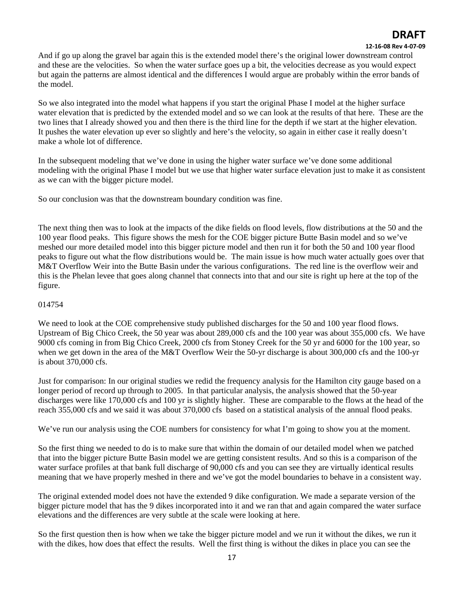### **12‐16‐08 Rev 4‐07‐09**

And if go up along the gravel bar again this is the extended model there's the original lower downstream control and these are the velocities. So when the water surface goes up a bit, the velocities decrease as you would expect but again the patterns are almost identical and the differences I would argue are probably within the error bands of the model.

So we also integrated into the model what happens if you start the original Phase I model at the higher surface water elevation that is predicted by the extended model and so we can look at the results of that here. These are the two lines that I already showed you and then there is the third line for the depth if we start at the higher elevation. It pushes the water elevation up ever so slightly and here's the velocity, so again in either case it really doesn't make a whole lot of difference.

In the subsequent modeling that we've done in using the higher water surface we've done some additional modeling with the original Phase I model but we use that higher water surface elevation just to make it as consistent as we can with the bigger picture model.

So our conclusion was that the downstream boundary condition was fine.

The next thing then was to look at the impacts of the dike fields on flood levels, flow distributions at the 50 and the 100 year flood peaks. This figure shows the mesh for the COE bigger picture Butte Basin model and so we've meshed our more detailed model into this bigger picture model and then run it for both the 50 and 100 year flood peaks to figure out what the flow distributions would be. The main issue is how much water actually goes over that M&T Overflow Weir into the Butte Basin under the various configurations. The red line is the overflow weir and this is the Phelan levee that goes along channel that connects into that and our site is right up here at the top of the figure.

### 014754

We need to look at the COE comprehensive study published discharges for the 50 and 100 year flood flows. Upstream of Big Chico Creek, the 50 year was about 289,000 cfs and the 100 year was about 355,000 cfs. We have 9000 cfs coming in from Big Chico Creek, 2000 cfs from Stoney Creek for the 50 yr and 6000 for the 100 year, so when we get down in the area of the M&T Overflow Weir the 50-yr discharge is about 300,000 cfs and the 100-yr is about 370,000 cfs.

Just for comparison: In our original studies we redid the frequency analysis for the Hamilton city gauge based on a longer period of record up through to 2005. In that particular analysis, the analysis showed that the 50-year discharges were like 170,000 cfs and 100 yr is slightly higher. These are comparable to the flows at the head of the reach 355,000 cfs and we said it was about 370,000 cfs based on a statistical analysis of the annual flood peaks.

We've run our analysis using the COE numbers for consistency for what I'm going to show you at the moment.

So the first thing we needed to do is to make sure that within the domain of our detailed model when we patched that into the bigger picture Butte Basin model we are getting consistent results. And so this is a comparison of the water surface profiles at that bank full discharge of 90,000 cfs and you can see they are virtually identical results meaning that we have properly meshed in there and we've got the model boundaries to behave in a consistent way.

The original extended model does not have the extended 9 dike configuration. We made a separate version of the bigger picture model that has the 9 dikes incorporated into it and we ran that and again compared the water surface elevations and the differences are very subtle at the scale were looking at here.

So the first question then is how when we take the bigger picture model and we run it without the dikes, we run it with the dikes, how does that effect the results. Well the first thing is without the dikes in place you can see the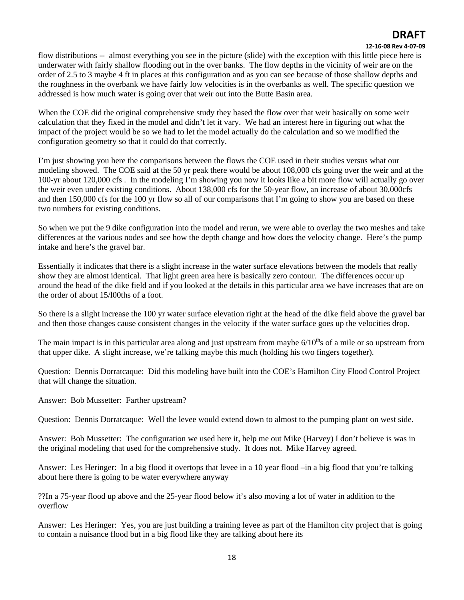#### **12‐16‐08 Rev 4‐07‐09**

flow distributions -- almost everything you see in the picture (slide) with the exception with this little piece here is underwater with fairly shallow flooding out in the over banks. The flow depths in the vicinity of weir are on the order of 2.5 to 3 maybe 4 ft in places at this configuration and as you can see because of those shallow depths and the roughness in the overbank we have fairly low velocities is in the overbanks as well. The specific question we addressed is how much water is going over that weir out into the Butte Basin area.

When the COE did the original comprehensive study they based the flow over that weir basically on some weir calculation that they fixed in the model and didn't let it vary. We had an interest here in figuring out what the impact of the project would be so we had to let the model actually do the calculation and so we modified the configuration geometry so that it could do that correctly.

I'm just showing you here the comparisons between the flows the COE used in their studies versus what our modeling showed. The COE said at the 50 yr peak there would be about 108,000 cfs going over the weir and at the 100-yr about 120,000 cfs . In the modeling I'm showing you now it looks like a bit more flow will actually go over the weir even under existing conditions. About 138,000 cfs for the 50-year flow, an increase of about 30,000cfs and then 150,000 cfs for the 100 yr flow so all of our comparisons that I'm going to show you are based on these two numbers for existing conditions.

So when we put the 9 dike configuration into the model and rerun, we were able to overlay the two meshes and take differences at the various nodes and see how the depth change and how does the velocity change. Here's the pump intake and here's the gravel bar.

Essentially it indicates that there is a slight increase in the water surface elevations between the models that really show they are almost identical. That light green area here is basically zero contour. The differences occur up around the head of the dike field and if you looked at the details in this particular area we have increases that are on the order of about 15/l00ths of a foot.

So there is a slight increase the 100 yr water surface elevation right at the head of the dike field above the gravel bar and then those changes cause consistent changes in the velocity if the water surface goes up the velocities drop.

The main impact is in this particular area along and just upstream from maybe  $6/10<sup>th</sup>$ s of a mile or so upstream from that upper dike. A slight increase, we're talking maybe this much (holding his two fingers together).

Question: Dennis Dorratcaque: Did this modeling have built into the COE's Hamilton City Flood Control Project that will change the situation.

Answer: Bob Mussetter: Farther upstream?

Question: Dennis Dorratcaque: Well the levee would extend down to almost to the pumping plant on west side.

Answer: Bob Mussetter: The configuration we used here it, help me out Mike (Harvey) I don't believe is was in the original modeling that used for the comprehensive study. It does not. Mike Harvey agreed.

Answer: Les Heringer: In a big flood it overtops that levee in a 10 year flood –in a big flood that you're talking about here there is going to be water everywhere anyway

??In a 75-year flood up above and the 25-year flood below it's also moving a lot of water in addition to the overflow

Answer: Les Heringer: Yes, you are just building a training levee as part of the Hamilton city project that is going to contain a nuisance flood but in a big flood like they are talking about here its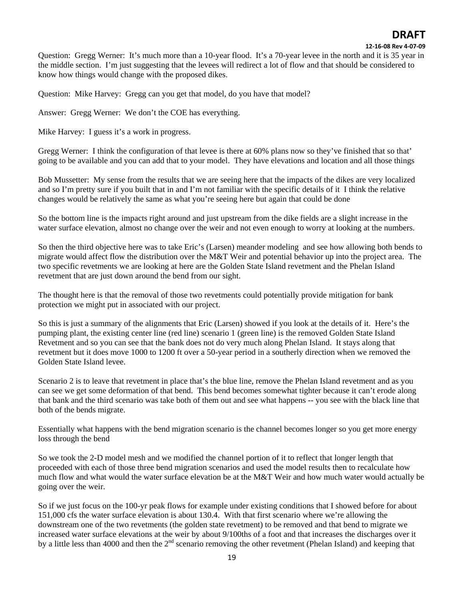#### **12‐16‐08 Rev 4‐07‐09**

Question: Gregg Werner: It's much more than a 10-year flood. It's a 70-year levee in the north and it is 35 year in the middle section. I'm just suggesting that the levees will redirect a lot of flow and that should be considered to know how things would change with the proposed dikes.

Question: Mike Harvey: Gregg can you get that model, do you have that model?

Answer: Gregg Werner: We don't the COE has everything.

Mike Harvey: I guess it's a work in progress.

Gregg Werner: I think the configuration of that levee is there at 60% plans now so they've finished that so that' going to be available and you can add that to your model. They have elevations and location and all those things

Bob Mussetter: My sense from the results that we are seeing here that the impacts of the dikes are very localized and so I'm pretty sure if you built that in and I'm not familiar with the specific details of it I think the relative changes would be relatively the same as what you're seeing here but again that could be done

So the bottom line is the impacts right around and just upstream from the dike fields are a slight increase in the water surface elevation, almost no change over the weir and not even enough to worry at looking at the numbers.

So then the third objective here was to take Eric's (Larsen) meander modeling and see how allowing both bends to migrate would affect flow the distribution over the M&T Weir and potential behavior up into the project area. The two specific revetments we are looking at here are the Golden State Island revetment and the Phelan Island revetment that are just down around the bend from our sight.

The thought here is that the removal of those two revetments could potentially provide mitigation for bank protection we might put in associated with our project.

So this is just a summary of the alignments that Eric (Larsen) showed if you look at the details of it. Here's the pumping plant, the existing center line (red line) scenario 1 (green line) is the removed Golden State Island Revetment and so you can see that the bank does not do very much along Phelan Island. It stays along that revetment but it does move 1000 to 1200 ft over a 50-year period in a southerly direction when we removed the Golden State Island levee.

Scenario 2 is to leave that revetment in place that's the blue line, remove the Phelan Island revetment and as you can see we get some deformation of that bend. This bend becomes somewhat tighter because it can't erode along that bank and the third scenario was take both of them out and see what happens -- you see with the black line that both of the bends migrate.

Essentially what happens with the bend migration scenario is the channel becomes longer so you get more energy loss through the bend

So we took the 2-D model mesh and we modified the channel portion of it to reflect that longer length that proceeded with each of those three bend migration scenarios and used the model results then to recalculate how much flow and what would the water surface elevation be at the M&T Weir and how much water would actually be going over the weir.

So if we just focus on the 100-yr peak flows for example under existing conditions that I showed before for about 151,000 cfs the water surface elevation is about 130.4. With that first scenario where we're allowing the downstream one of the two revetments (the golden state revetment) to be removed and that bend to migrate we increased water surface elevations at the weir by about 9/100ths of a foot and that increases the discharges over it by a little less than 4000 and then the 2nd scenario removing the other revetment (Phelan Island) and keeping that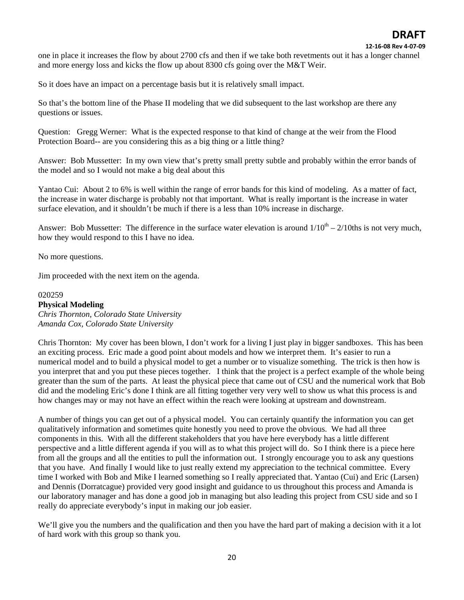one in place it increases the flow by about 2700 cfs and then if we take both revetments out it has a longer channel and more energy loss and kicks the flow up about 8300 cfs going over the M&T Weir.

So it does have an impact on a percentage basis but it is relatively small impact.

So that's the bottom line of the Phase II modeling that we did subsequent to the last workshop are there any questions or issues.

Question: Gregg Werner: What is the expected response to that kind of change at the weir from the Flood Protection Board-- are you considering this as a big thing or a little thing?

Answer: Bob Mussetter: In my own view that's pretty small pretty subtle and probably within the error bands of the model and so I would not make a big deal about this

Yantao Cui: About 2 to 6% is well within the range of error bands for this kind of modeling. As a matter of fact, the increase in water discharge is probably not that important. What is really important is the increase in water surface elevation, and it shouldn't be much if there is a less than 10% increase in discharge.

Answer: Bob Mussetter: The difference in the surface water elevation is around  $1/10^{th} - 2/10$ ths is not very much, how they would respond to this I have no idea.

No more questions.

Jim proceeded with the next item on the agenda.

#### 020259

### **Physical Modeling**

*Chris Thornton, Colorado State University Amanda Cox, Colorado State University* 

Chris Thornton: My cover has been blown, I don't work for a living I just play in bigger sandboxes. This has been an exciting process. Eric made a good point about models and how we interpret them. It's easier to run a numerical model and to build a physical model to get a number or to visualize something. The trick is then how is you interpret that and you put these pieces together. I think that the project is a perfect example of the whole being greater than the sum of the parts. At least the physical piece that came out of CSU and the numerical work that Bob did and the modeling Eric's done I think are all fitting together very very well to show us what this process is and how changes may or may not have an effect within the reach were looking at upstream and downstream.

A number of things you can get out of a physical model. You can certainly quantify the information you can get qualitatively information and sometimes quite honestly you need to prove the obvious. We had all three components in this. With all the different stakeholders that you have here everybody has a little different perspective and a little different agenda if you will as to what this project will do. So I think there is a piece here from all the groups and all the entities to pull the information out. I strongly encourage you to ask any questions that you have. And finally I would like to just really extend my appreciation to the technical committee. Every time I worked with Bob and Mike I learned something so I really appreciated that. Yantao (Cui) and Eric (Larsen) and Dennis (Dorratcague) provided very good insight and guidance to us throughout this process and Amanda is our laboratory manager and has done a good job in managing but also leading this project from CSU side and so I really do appreciate everybody's input in making our job easier.

We'll give you the numbers and the qualification and then you have the hard part of making a decision with it a lot of hard work with this group so thank you.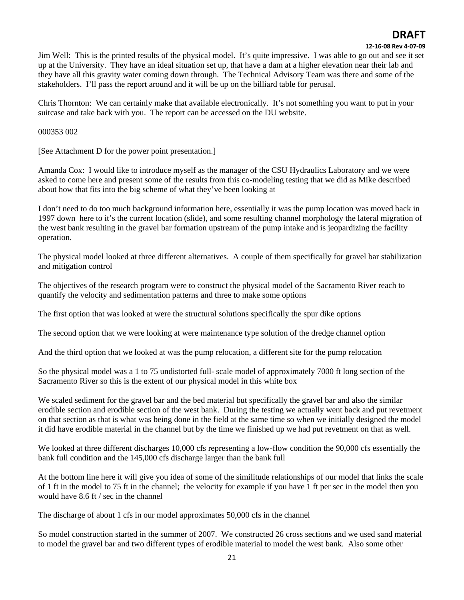#### **12‐16‐08 Rev 4‐07‐09**

Jim Well: This is the printed results of the physical model. It's quite impressive. I was able to go out and see it set up at the University. They have an ideal situation set up, that have a dam at a higher elevation near their lab and they have all this gravity water coming down through. The Technical Advisory Team was there and some of the stakeholders. I'll pass the report around and it will be up on the billiard table for perusal.

Chris Thornton: We can certainly make that available electronically. It's not something you want to put in your suitcase and take back with you. The report can be accessed on the DU website.

000353 002

[See Attachment D for the power point presentation.]

Amanda Cox: I would like to introduce myself as the manager of the CSU Hydraulics Laboratory and we were asked to come here and present some of the results from this co-modeling testing that we did as Mike described about how that fits into the big scheme of what they've been looking at

I don't need to do too much background information here, essentially it was the pump location was moved back in 1997 down here to it's the current location (slide), and some resulting channel morphology the lateral migration of the west bank resulting in the gravel bar formation upstream of the pump intake and is jeopardizing the facility operation.

The physical model looked at three different alternatives. A couple of them specifically for gravel bar stabilization and mitigation control

The objectives of the research program were to construct the physical model of the Sacramento River reach to quantify the velocity and sedimentation patterns and three to make some options

The first option that was looked at were the structural solutions specifically the spur dike options

The second option that we were looking at were maintenance type solution of the dredge channel option

And the third option that we looked at was the pump relocation, a different site for the pump relocation

So the physical model was a 1 to 75 undistorted full- scale model of approximately 7000 ft long section of the Sacramento River so this is the extent of our physical model in this white box

We scaled sediment for the gravel bar and the bed material but specifically the gravel bar and also the similar erodible section and erodible section of the west bank. During the testing we actually went back and put revetment on that section as that is what was being done in the field at the same time so when we initially designed the model it did have erodible material in the channel but by the time we finished up we had put revetment on that as well.

We looked at three different discharges 10,000 cfs representing a low-flow condition the 90,000 cfs essentially the bank full condition and the 145,000 cfs discharge larger than the bank full

At the bottom line here it will give you idea of some of the similitude relationships of our model that links the scale of 1 ft in the model to 75 ft in the channel; the velocity for example if you have 1 ft per sec in the model then you would have 8.6 ft / sec in the channel

The discharge of about 1 cfs in our model approximates 50,000 cfs in the channel

So model construction started in the summer of 2007. We constructed 26 cross sections and we used sand material to model the gravel bar and two different types of erodible material to model the west bank. Also some other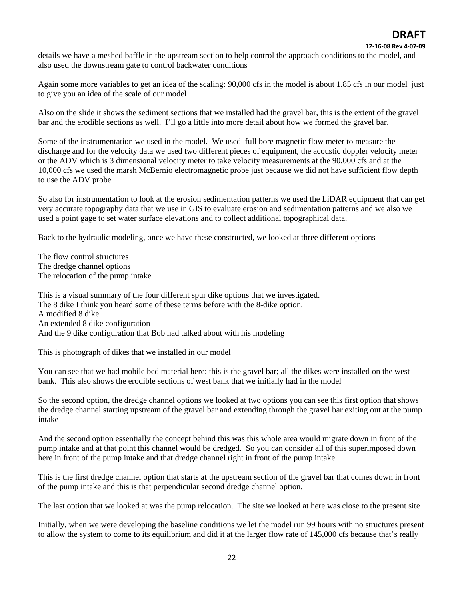#### **12‐16‐08 Rev 4‐07‐09**

details we have a meshed baffle in the upstream section to help control the approach conditions to the model, and also used the downstream gate to control backwater conditions

Again some more variables to get an idea of the scaling: 90,000 cfs in the model is about 1.85 cfs in our model just to give you an idea of the scale of our model

Also on the slide it shows the sediment sections that we installed had the gravel bar, this is the extent of the gravel bar and the erodible sections as well. I'll go a little into more detail about how we formed the gravel bar.

Some of the instrumentation we used in the model. We used full bore magnetic flow meter to measure the discharge and for the velocity data we used two different pieces of equipment, the acoustic doppler velocity meter or the ADV which is 3 dimensional velocity meter to take velocity measurements at the 90,000 cfs and at the 10,000 cfs we used the marsh McBernio electromagnetic probe just because we did not have sufficient flow depth to use the ADV probe

So also for instrumentation to look at the erosion sedimentation patterns we used the LiDAR equipment that can get very accurate topography data that we use in GIS to evaluate erosion and sedimentation patterns and we also we used a point gage to set water surface elevations and to collect additional topographical data.

Back to the hydraulic modeling, once we have these constructed, we looked at three different options

The flow control structures The dredge channel options The relocation of the pump intake

This is a visual summary of the four different spur dike options that we investigated. The 8 dike I think you heard some of these terms before with the 8-dike option. A modified 8 dike An extended 8 dike configuration And the 9 dike configuration that Bob had talked about with his modeling

This is photograph of dikes that we installed in our model

You can see that we had mobile bed material here: this is the gravel bar; all the dikes were installed on the west bank. This also shows the erodible sections of west bank that we initially had in the model

So the second option, the dredge channel options we looked at two options you can see this first option that shows the dredge channel starting upstream of the gravel bar and extending through the gravel bar exiting out at the pump intake

And the second option essentially the concept behind this was this whole area would migrate down in front of the pump intake and at that point this channel would be dredged. So you can consider all of this superimposed down here in front of the pump intake and that dredge channel right in front of the pump intake.

This is the first dredge channel option that starts at the upstream section of the gravel bar that comes down in front of the pump intake and this is that perpendicular second dredge channel option.

The last option that we looked at was the pump relocation. The site we looked at here was close to the present site

Initially, when we were developing the baseline conditions we let the model run 99 hours with no structures present to allow the system to come to its equilibrium and did it at the larger flow rate of 145,000 cfs because that's really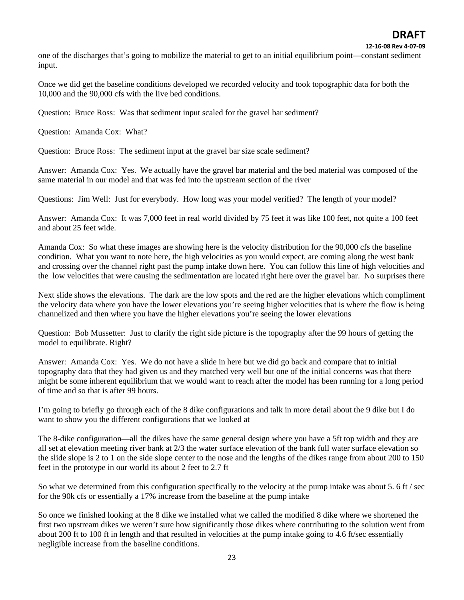one of the discharges that's going to mobilize the material to get to an initial equilibrium point—constant sediment input.

Once we did get the baseline conditions developed we recorded velocity and took topographic data for both the 10,000 and the 90,000 cfs with the live bed conditions.

Question: Bruce Ross: Was that sediment input scaled for the gravel bar sediment?

Question: Amanda Cox: What?

Question: Bruce Ross: The sediment input at the gravel bar size scale sediment?

Answer: Amanda Cox: Yes. We actually have the gravel bar material and the bed material was composed of the same material in our model and that was fed into the upstream section of the river

Questions: Jim Well: Just for everybody. How long was your model verified? The length of your model?

Answer: Amanda Cox: It was 7,000 feet in real world divided by 75 feet it was like 100 feet, not quite a 100 feet and about 25 feet wide.

Amanda Cox: So what these images are showing here is the velocity distribution for the 90,000 cfs the baseline condition. What you want to note here, the high velocities as you would expect, are coming along the west bank and crossing over the channel right past the pump intake down here. You can follow this line of high velocities and the low velocities that were causing the sedimentation are located right here over the gravel bar. No surprises there

Next slide shows the elevations. The dark are the low spots and the red are the higher elevations which compliment the velocity data where you have the lower elevations you're seeing higher velocities that is where the flow is being channelized and then where you have the higher elevations you're seeing the lower elevations

Question: Bob Mussetter: Just to clarify the right side picture is the topography after the 99 hours of getting the model to equilibrate. Right?

Answer: Amanda Cox: Yes. We do not have a slide in here but we did go back and compare that to initial topography data that they had given us and they matched very well but one of the initial concerns was that there might be some inherent equilibrium that we would want to reach after the model has been running for a long period of time and so that is after 99 hours.

I'm going to briefly go through each of the 8 dike configurations and talk in more detail about the 9 dike but I do want to show you the different configurations that we looked at

The 8-dike configuration—all the dikes have the same general design where you have a 5ft top width and they are all set at elevation meeting river bank at 2/3 the water surface elevation of the bank full water surface elevation so the slide slope is 2 to 1 on the side slope center to the nose and the lengths of the dikes range from about 200 to 150 feet in the prototype in our world its about 2 feet to 2.7 ft

So what we determined from this configuration specifically to the velocity at the pump intake was about 5. 6 ft / sec for the 90k cfs or essentially a 17% increase from the baseline at the pump intake

So once we finished looking at the 8 dike we installed what we called the modified 8 dike where we shortened the first two upstream dikes we weren't sure how significantly those dikes where contributing to the solution went from about 200 ft to 100 ft in length and that resulted in velocities at the pump intake going to 4.6 ft/sec essentially negligible increase from the baseline conditions.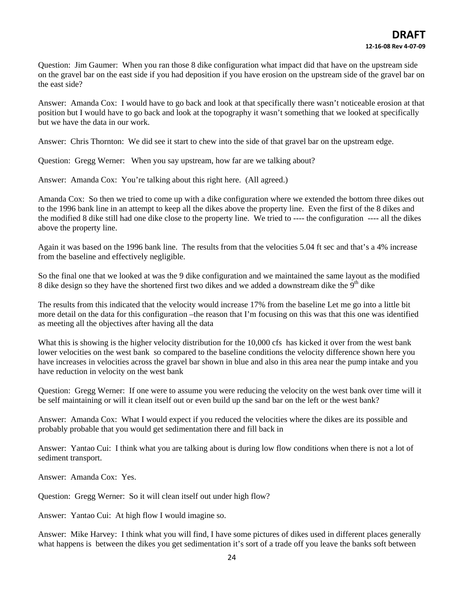Question: Jim Gaumer: When you ran those 8 dike configuration what impact did that have on the upstream side on the gravel bar on the east side if you had deposition if you have erosion on the upstream side of the gravel bar on the east side?

Answer: Amanda Cox: I would have to go back and look at that specifically there wasn't noticeable erosion at that position but I would have to go back and look at the topography it wasn't something that we looked at specifically but we have the data in our work.

Answer: Chris Thornton: We did see it start to chew into the side of that gravel bar on the upstream edge.

Question: Gregg Werner: When you say upstream, how far are we talking about?

Answer: Amanda Cox: You're talking about this right here. (All agreed.)

Amanda Cox: So then we tried to come up with a dike configuration where we extended the bottom three dikes out to the 1996 bank line in an attempt to keep all the dikes above the property line. Even the first of the 8 dikes and the modified 8 dike still had one dike close to the property line. We tried to ---- the configuration ---- all the dikes above the property line.

Again it was based on the 1996 bank line. The results from that the velocities 5.04 ft sec and that's a 4% increase from the baseline and effectively negligible.

So the final one that we looked at was the 9 dike configuration and we maintained the same layout as the modified 8 dike design so they have the shortened first two dikes and we added a downstream dike the 9<sup>th</sup> dike

The results from this indicated that the velocity would increase 17% from the baseline Let me go into a little bit more detail on the data for this configuration –the reason that I'm focusing on this was that this one was identified as meeting all the objectives after having all the data

What this is showing is the higher velocity distribution for the 10,000 cfs has kicked it over from the west bank lower velocities on the west bank so compared to the baseline conditions the velocity difference shown here you have increases in velocities across the gravel bar shown in blue and also in this area near the pump intake and you have reduction in velocity on the west bank

Question: Gregg Werner: If one were to assume you were reducing the velocity on the west bank over time will it be self maintaining or will it clean itself out or even build up the sand bar on the left or the west bank?

Answer: Amanda Cox: What I would expect if you reduced the velocities where the dikes are its possible and probably probable that you would get sedimentation there and fill back in

Answer: Yantao Cui: I think what you are talking about is during low flow conditions when there is not a lot of sediment transport.

Answer: Amanda Cox: Yes.

Question: Gregg Werner: So it will clean itself out under high flow?

Answer: Yantao Cui: At high flow I would imagine so.

Answer: Mike Harvey: I think what you will find, I have some pictures of dikes used in different places generally what happens is between the dikes you get sedimentation it's sort of a trade off you leave the banks soft between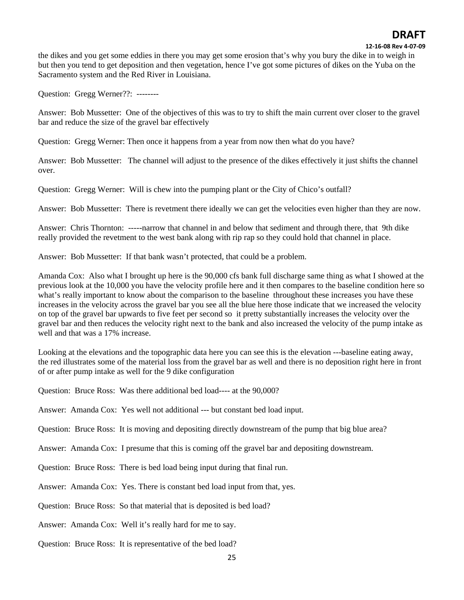#### **12‐16‐08 Rev 4‐07‐09**

the dikes and you get some eddies in there you may get some erosion that's why you bury the dike in to weigh in but then you tend to get deposition and then vegetation, hence I've got some pictures of dikes on the Yuba on the Sacramento system and the Red River in Louisiana.

Question: Gregg Werner??: --------

Answer: Bob Mussetter: One of the objectives of this was to try to shift the main current over closer to the gravel bar and reduce the size of the gravel bar effectively

Question: Gregg Werner: Then once it happens from a year from now then what do you have?

Answer: Bob Mussetter: The channel will adjust to the presence of the dikes effectively it just shifts the channel over.

Question: Gregg Werner: Will is chew into the pumping plant or the City of Chico's outfall?

Answer: Bob Mussetter: There is revetment there ideally we can get the velocities even higher than they are now.

Answer: Chris Thornton: -----narrow that channel in and below that sediment and through there, that 9th dike really provided the revetment to the west bank along with rip rap so they could hold that channel in place.

Answer: Bob Mussetter: If that bank wasn't protected, that could be a problem.

Amanda Cox: Also what I brought up here is the 90,000 cfs bank full discharge same thing as what I showed at the previous look at the 10,000 you have the velocity profile here and it then compares to the baseline condition here so what's really important to know about the comparison to the baseline throughout these increases you have these increases in the velocity across the gravel bar you see all the blue here those indicate that we increased the velocity on top of the gravel bar upwards to five feet per second so it pretty substantially increases the velocity over the gravel bar and then reduces the velocity right next to the bank and also increased the velocity of the pump intake as well and that was a 17% increase.

Looking at the elevations and the topographic data here you can see this is the elevation ---baseline eating away, the red illustrates some of the material loss from the gravel bar as well and there is no deposition right here in front of or after pump intake as well for the 9 dike configuration

Question: Bruce Ross: Was there additional bed load---- at the 90,000?

Answer: Amanda Cox: Yes well not additional --- but constant bed load input.

Question: Bruce Ross: It is moving and depositing directly downstream of the pump that big blue area?

Answer: Amanda Cox: I presume that this is coming off the gravel bar and depositing downstream.

Question: Bruce Ross: There is bed load being input during that final run.

Answer: Amanda Cox: Yes. There is constant bed load input from that, yes.

Question: Bruce Ross: So that material that is deposited is bed load?

Answer: Amanda Cox: Well it's really hard for me to say.

Question: Bruce Ross: It is representative of the bed load?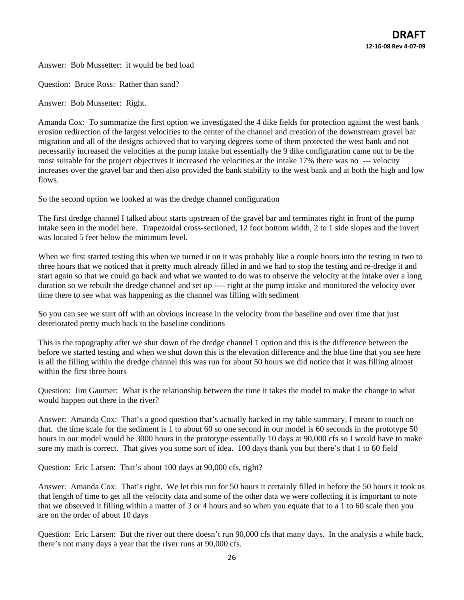Answer: Bob Mussetter: it would be bed load

Question: Bruce Ross: Rather than sand?

Answer: Bob Mussetter: Right.

Amanda Cox: To summarize the first option we investigated the 4 dike fields for protection against the west bank erosion redirection of the largest velocities to the center of the channel and creation of the downstream gravel bar migration and all of the designs achieved that to varying degrees some of them protected the west bank and not necessarily increased the velocities at the pump intake but essentially the 9 dike configuration came out to be the most suitable for the project objectives it increased the velocities at the intake 17% there was no --- velocity increases over the gravel bar and then also provided the bank stability to the west bank and at both the high and low flows.

So the second option we looked at was the dredge channel configuration

The first dredge channel I talked about starts upstream of the gravel bar and terminates right in front of the pump intake seen in the model here. Trapezoidal cross-sectioned, 12 foot bottom width, 2 to 1 side slopes and the invert was located 5 feet below the minimum level.

When we first started testing this when we turned it on it was probably like a couple hours into the testing in two to three hours that we noticed that it pretty much already filled in and we had to stop the testing and re-dredge it and start again so that we could go back and what we wanted to do was to observe the velocity at the intake over a long duration so we rebuilt the dredge channel and set up ---- right at the pump intake and monitored the velocity over time there to see what was happening as the channel was filling with sediment

So you can see we start off with an obvious increase in the velocity from the baseline and over time that just deteriorated pretty much back to the baseline conditions

This is the topography after we shut down of the dredge channel 1 option and this is the difference between the before we started testing and when we shut down this is the elevation difference and the blue line that you see here is all the filling within the dredge channel this was run for about 50 hours we did notice that it was filling almost within the first three hours

Question: Jim Gaumer: What is the relationship between the time it takes the model to make the change to what would happen out there in the river?

Answer: Amanda Cox: That's a good question that's actually backed in my table summary, I meant to touch on that. the time scale for the sediment is 1 to about 60 so one second in our model is 60 seconds in the prototype 50 hours in our model would be 3000 hours in the prototype essentially 10 days at 90,000 cfs so I would have to make sure my math is correct. That gives you some sort of idea. 100 days thank you but there's that 1 to 60 field

Question: Eric Larsen: That's about 100 days at 90,000 cfs, right?

Answer: Amanda Cox: That's right. We let this run for 50 hours it certainly filled in before the 50 hours it took us that length of time to get all the velocity data and some of the other data we were collecting it is important to note that we observed it filling within a matter of 3 or 4 hours and so when you equate that to a 1 to 60 scale then you are on the order of about 10 days

Question: Eric Larsen: But the river out there doesn't run 90,000 cfs that many days. In the analysis a while back, there's not many days a year that the river runs at 90,000 cfs.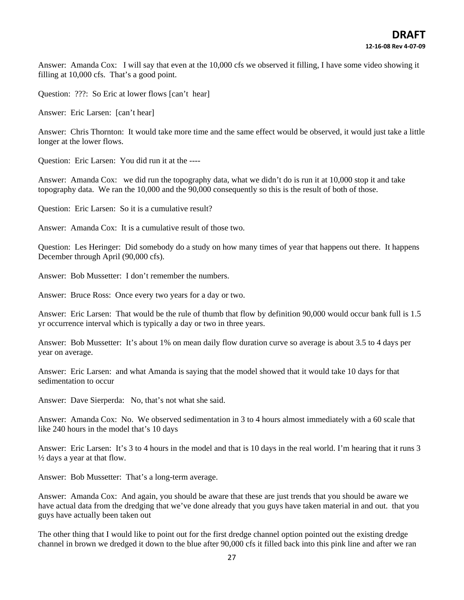Answer: Amanda Cox: I will say that even at the 10,000 cfs we observed it filling, I have some video showing it filling at 10,000 cfs. That's a good point.

Question: ???: So Eric at lower flows [can't hear]

Answer: Eric Larsen: [can't hear]

Answer: Chris Thornton: It would take more time and the same effect would be observed, it would just take a little longer at the lower flows.

Question: Eric Larsen: You did run it at the ----

Answer: Amanda Cox: we did run the topography data, what we didn't do is run it at 10,000 stop it and take topography data. We ran the 10,000 and the 90,000 consequently so this is the result of both of those.

Question: Eric Larsen: So it is a cumulative result?

Answer: Amanda Cox: It is a cumulative result of those two.

Question: Les Heringer: Did somebody do a study on how many times of year that happens out there. It happens December through April (90,000 cfs).

Answer: Bob Mussetter: I don't remember the numbers.

Answer: Bruce Ross: Once every two years for a day or two.

Answer: Eric Larsen: That would be the rule of thumb that flow by definition 90,000 would occur bank full is 1.5 yr occurrence interval which is typically a day or two in three years.

Answer: Bob Mussetter: It's about 1% on mean daily flow duration curve so average is about 3.5 to 4 days per year on average.

Answer: Eric Larsen: and what Amanda is saying that the model showed that it would take 10 days for that sedimentation to occur

Answer: Dave Sierperda: No, that's not what she said.

Answer: Amanda Cox: No. We observed sedimentation in 3 to 4 hours almost immediately with a 60 scale that like 240 hours in the model that's 10 days

Answer: Eric Larsen: It's 3 to 4 hours in the model and that is 10 days in the real world. I'm hearing that it runs 3 ½ days a year at that flow.

Answer: Bob Mussetter: That's a long-term average.

Answer: Amanda Cox: And again, you should be aware that these are just trends that you should be aware we have actual data from the dredging that we've done already that you guys have taken material in and out. that you guys have actually been taken out

The other thing that I would like to point out for the first dredge channel option pointed out the existing dredge channel in brown we dredged it down to the blue after 90,000 cfs it filled back into this pink line and after we ran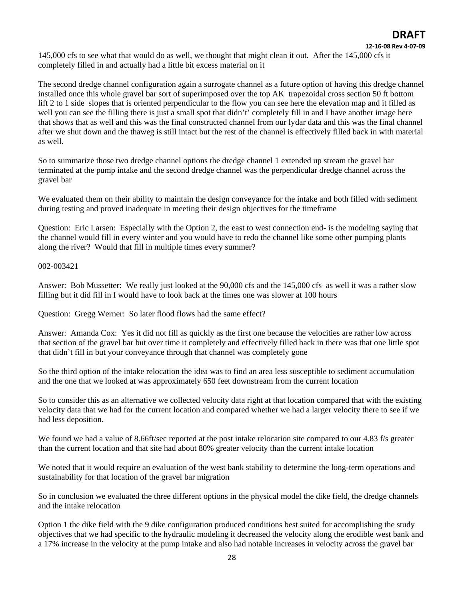145,000 cfs to see what that would do as well, we thought that might clean it out. After the 145,000 cfs it completely filled in and actually had a little bit excess material on it

The second dredge channel configuration again a surrogate channel as a future option of having this dredge channel installed once this whole gravel bar sort of superimposed over the top AK trapezoidal cross section 50 ft bottom lift 2 to 1 side slopes that is oriented perpendicular to the flow you can see here the elevation map and it filled as well you can see the filling there is just a small spot that didn't' completely fill in and I have another image here that shows that as well and this was the final constructed channel from our lydar data and this was the final channel after we shut down and the thaweg is still intact but the rest of the channel is effectively filled back in with material as well.

So to summarize those two dredge channel options the dredge channel 1 extended up stream the gravel bar terminated at the pump intake and the second dredge channel was the perpendicular dredge channel across the gravel bar

We evaluated them on their ability to maintain the design conveyance for the intake and both filled with sediment during testing and proved inadequate in meeting their design objectives for the timeframe

Question: Eric Larsen: Especially with the Option 2, the east to west connection end- is the modeling saying that the channel would fill in every winter and you would have to redo the channel like some other pumping plants along the river? Would that fill in multiple times every summer?

002-003421

Answer: Bob Mussetter: We really just looked at the 90,000 cfs and the 145,000 cfs as well it was a rather slow filling but it did fill in I would have to look back at the times one was slower at 100 hours

Question: Gregg Werner: So later flood flows had the same effect?

Answer: Amanda Cox: Yes it did not fill as quickly as the first one because the velocities are rather low across that section of the gravel bar but over time it completely and effectively filled back in there was that one little spot that didn't fill in but your conveyance through that channel was completely gone

So the third option of the intake relocation the idea was to find an area less susceptible to sediment accumulation and the one that we looked at was approximately 650 feet downstream from the current location

So to consider this as an alternative we collected velocity data right at that location compared that with the existing velocity data that we had for the current location and compared whether we had a larger velocity there to see if we had less deposition.

We found we had a value of 8.66ft/sec reported at the post intake relocation site compared to our 4.83 f/s greater than the current location and that site had about 80% greater velocity than the current intake location

We noted that it would require an evaluation of the west bank stability to determine the long-term operations and sustainability for that location of the gravel bar migration

So in conclusion we evaluated the three different options in the physical model the dike field, the dredge channels and the intake relocation

Option 1 the dike field with the 9 dike configuration produced conditions best suited for accomplishing the study objectives that we had specific to the hydraulic modeling it decreased the velocity along the erodible west bank and a 17% increase in the velocity at the pump intake and also had notable increases in velocity across the gravel bar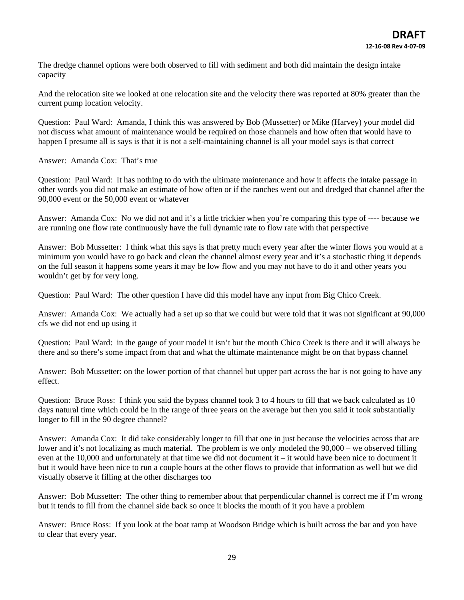The dredge channel options were both observed to fill with sediment and both did maintain the design intake capacity

And the relocation site we looked at one relocation site and the velocity there was reported at 80% greater than the current pump location velocity.

Question: Paul Ward: Amanda, I think this was answered by Bob (Mussetter) or Mike (Harvey) your model did not discuss what amount of maintenance would be required on those channels and how often that would have to happen I presume all is says is that it is not a self-maintaining channel is all your model says is that correct

Answer: Amanda Cox: That's true

Question: Paul Ward: It has nothing to do with the ultimate maintenance and how it affects the intake passage in other words you did not make an estimate of how often or if the ranches went out and dredged that channel after the 90,000 event or the 50,000 event or whatever

Answer: Amanda Cox: No we did not and it's a little trickier when you're comparing this type of ---- because we are running one flow rate continuously have the full dynamic rate to flow rate with that perspective

Answer: Bob Mussetter: I think what this says is that pretty much every year after the winter flows you would at a minimum you would have to go back and clean the channel almost every year and it's a stochastic thing it depends on the full season it happens some years it may be low flow and you may not have to do it and other years you wouldn't get by for very long.

Question: Paul Ward: The other question I have did this model have any input from Big Chico Creek.

Answer: Amanda Cox: We actually had a set up so that we could but were told that it was not significant at 90,000 cfs we did not end up using it

Question: Paul Ward: in the gauge of your model it isn't but the mouth Chico Creek is there and it will always be there and so there's some impact from that and what the ultimate maintenance might be on that bypass channel

Answer: Bob Mussetter: on the lower portion of that channel but upper part across the bar is not going to have any effect.

Question: Bruce Ross: I think you said the bypass channel took 3 to 4 hours to fill that we back calculated as 10 days natural time which could be in the range of three years on the average but then you said it took substantially longer to fill in the 90 degree channel?

Answer: Amanda Cox: It did take considerably longer to fill that one in just because the velocities across that are lower and it's not localizing as much material. The problem is we only modeled the 90,000 – we observed filling even at the 10,000 and unfortunately at that time we did not document it – it would have been nice to document it but it would have been nice to run a couple hours at the other flows to provide that information as well but we did visually observe it filling at the other discharges too

Answer: Bob Mussetter: The other thing to remember about that perpendicular channel is correct me if I'm wrong but it tends to fill from the channel side back so once it blocks the mouth of it you have a problem

Answer: Bruce Ross: If you look at the boat ramp at Woodson Bridge which is built across the bar and you have to clear that every year.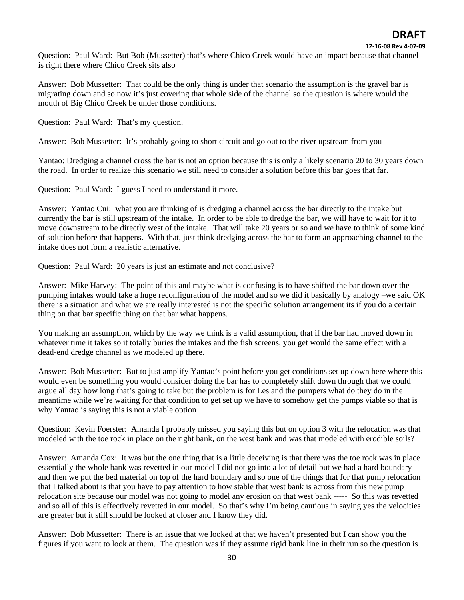#### **12‐16‐08 Rev 4‐07‐09**

Question: Paul Ward: But Bob (Mussetter) that's where Chico Creek would have an impact because that channel is right there where Chico Creek sits also

Answer: Bob Mussetter: That could be the only thing is under that scenario the assumption is the gravel bar is migrating down and so now it's just covering that whole side of the channel so the question is where would the mouth of Big Chico Creek be under those conditions.

Question: Paul Ward: That's my question.

Answer: Bob Mussetter: It's probably going to short circuit and go out to the river upstream from you

Yantao: Dredging a channel cross the bar is not an option because this is only a likely scenario 20 to 30 years down the road. In order to realize this scenario we still need to consider a solution before this bar goes that far.

Question: Paul Ward: I guess I need to understand it more.

Answer: Yantao Cui: what you are thinking of is dredging a channel across the bar directly to the intake but currently the bar is still upstream of the intake. In order to be able to dredge the bar, we will have to wait for it to move downstream to be directly west of the intake. That will take 20 years or so and we have to think of some kind of solution before that happens. With that, just think dredging across the bar to form an approaching channel to the intake does not form a realistic alternative.

Question: Paul Ward: 20 years is just an estimate and not conclusive?

Answer: Mike Harvey: The point of this and maybe what is confusing is to have shifted the bar down over the pumping intakes would take a huge reconfiguration of the model and so we did it basically by analogy –we said OK there is a situation and what we are really interested is not the specific solution arrangement its if you do a certain thing on that bar specific thing on that bar what happens.

You making an assumption, which by the way we think is a valid assumption, that if the bar had moved down in whatever time it takes so it totally buries the intakes and the fish screens, you get would the same effect with a dead-end dredge channel as we modeled up there.

Answer: Bob Mussetter: But to just amplify Yantao's point before you get conditions set up down here where this would even be something you would consider doing the bar has to completely shift down through that we could argue all day how long that's going to take but the problem is for Les and the pumpers what do they do in the meantime while we're waiting for that condition to get set up we have to somehow get the pumps viable so that is why Yantao is saying this is not a viable option

Question: Kevin Foerster: Amanda I probably missed you saying this but on option 3 with the relocation was that modeled with the toe rock in place on the right bank, on the west bank and was that modeled with erodible soils?

Answer: Amanda Cox: It was but the one thing that is a little deceiving is that there was the toe rock was in place essentially the whole bank was revetted in our model I did not go into a lot of detail but we had a hard boundary and then we put the bed material on top of the hard boundary and so one of the things that for that pump relocation that I talked about is that you have to pay attention to how stable that west bank is across from this new pump relocation site because our model was not going to model any erosion on that west bank ----- So this was revetted and so all of this is effectively revetted in our model. So that's why I'm being cautious in saying yes the velocities are greater but it still should be looked at closer and I know they did.

Answer: Bob Mussetter: There is an issue that we looked at that we haven't presented but I can show you the figures if you want to look at them. The question was if they assume rigid bank line in their run so the question is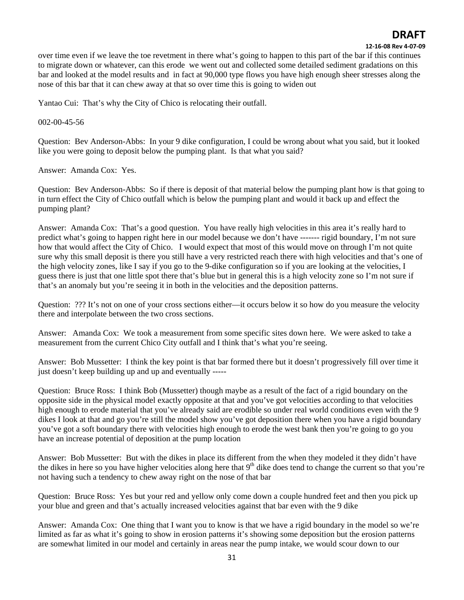#### **12‐16‐08 Rev 4‐07‐09**

over time even if we leave the toe revetment in there what's going to happen to this part of the bar if this continues to migrate down or whatever, can this erode we went out and collected some detailed sediment gradations on this bar and looked at the model results and in fact at 90,000 type flows you have high enough sheer stresses along the nose of this bar that it can chew away at that so over time this is going to widen out

Yantao Cui: That's why the City of Chico is relocating their outfall.

### 002-00-45-56

Question: Bev Anderson-Abbs: In your 9 dike configuration, I could be wrong about what you said, but it looked like you were going to deposit below the pumping plant. Is that what you said?

Answer: Amanda Cox: Yes.

Question: Bev Anderson-Abbs: So if there is deposit of that material below the pumping plant how is that going to in turn effect the City of Chico outfall which is below the pumping plant and would it back up and effect the pumping plant?

Answer: Amanda Cox: That's a good question. You have really high velocities in this area it's really hard to predict what's going to happen right here in our model because we don't have ------- rigid boundary, I'm not sure how that would affect the City of Chico. I would expect that most of this would move on through I'm not quite sure why this small deposit is there you still have a very restricted reach there with high velocities and that's one of the high velocity zones, like I say if you go to the 9-dike configuration so if you are looking at the velocities, I guess there is just that one little spot there that's blue but in general this is a high velocity zone so I'm not sure if that's an anomaly but you're seeing it in both in the velocities and the deposition patterns.

Question: ??? It's not on one of your cross sections either—it occurs below it so how do you measure the velocity there and interpolate between the two cross sections.

Answer: Amanda Cox: We took a measurement from some specific sites down here. We were asked to take a measurement from the current Chico City outfall and I think that's what you're seeing.

Answer: Bob Mussetter: I think the key point is that bar formed there but it doesn't progressively fill over time it just doesn't keep building up and up and eventually -----

Question: Bruce Ross: I think Bob (Mussetter) though maybe as a result of the fact of a rigid boundary on the opposite side in the physical model exactly opposite at that and you've got velocities according to that velocities high enough to erode material that you've already said are erodible so under real world conditions even with the 9 dikes I look at that and go you're still the model show you've got deposition there when you have a rigid boundary you've got a soft boundary there with velocities high enough to erode the west bank then you're going to go you have an increase potential of deposition at the pump location

Answer: Bob Mussetter: But with the dikes in place its different from the when they modeled it they didn't have the dikes in here so you have higher velocities along here that  $9<sup>th</sup>$  dike does tend to change the current so that you're not having such a tendency to chew away right on the nose of that bar

Question: Bruce Ross: Yes but your red and yellow only come down a couple hundred feet and then you pick up your blue and green and that's actually increased velocities against that bar even with the 9 dike

Answer: Amanda Cox: One thing that I want you to know is that we have a rigid boundary in the model so we're limited as far as what it's going to show in erosion patterns it's showing some deposition but the erosion patterns are somewhat limited in our model and certainly in areas near the pump intake, we would scour down to our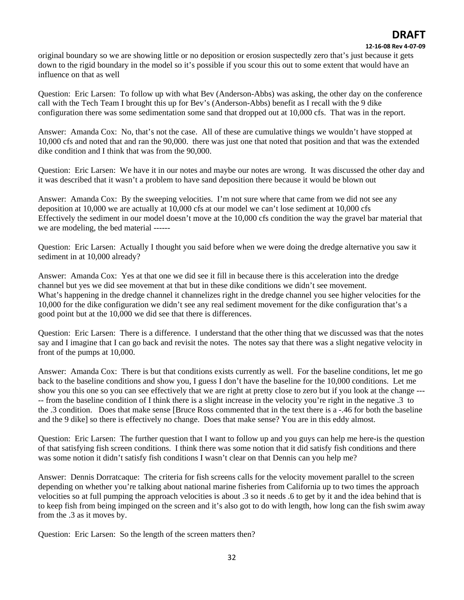#### **12‐16‐08 Rev 4‐07‐09**

original boundary so we are showing little or no deposition or erosion suspectedly zero that's just because it gets down to the rigid boundary in the model so it's possible if you scour this out to some extent that would have an influence on that as well

Question: Eric Larsen: To follow up with what Bev (Anderson-Abbs) was asking, the other day on the conference call with the Tech Team I brought this up for Bev's (Anderson-Abbs) benefit as I recall with the 9 dike configuration there was some sedimentation some sand that dropped out at 10,000 cfs. That was in the report.

Answer: Amanda Cox: No, that's not the case. All of these are cumulative things we wouldn't have stopped at 10,000 cfs and noted that and ran the 90,000. there was just one that noted that position and that was the extended dike condition and I think that was from the 90,000.

Question: Eric Larsen: We have it in our notes and maybe our notes are wrong. It was discussed the other day and it was described that it wasn't a problem to have sand deposition there because it would be blown out

Answer: Amanda Cox: By the sweeping velocities. I'm not sure where that came from we did not see any deposition at 10,000 we are actually at 10,000 cfs at our model we can't lose sediment at 10,000 cfs Effectively the sediment in our model doesn't move at the 10,000 cfs condition the way the gravel bar material that we are modeling, the bed material ------

Question: Eric Larsen: Actually I thought you said before when we were doing the dredge alternative you saw it sediment in at 10,000 already?

Answer: Amanda Cox: Yes at that one we did see it fill in because there is this acceleration into the dredge channel but yes we did see movement at that but in these dike conditions we didn't see movement. What's happening in the dredge channel it channelizes right in the dredge channel you see higher velocities for the 10,000 for the dike configuration we didn't see any real sediment movement for the dike configuration that's a good point but at the 10,000 we did see that there is differences.

Question: Eric Larsen: There is a difference. I understand that the other thing that we discussed was that the notes say and I imagine that I can go back and revisit the notes. The notes say that there was a slight negative velocity in front of the pumps at 10,000.

Answer: Amanda Cox: There is but that conditions exists currently as well. For the baseline conditions, let me go back to the baseline conditions and show you, I guess I don't have the baseline for the 10,000 conditions. Let me show you this one so you can see effectively that we are right at pretty close to zero but if you look at the change --- -- from the baseline condition of I think there is a slight increase in the velocity you're right in the negative .3 to the .3 condition. Does that make sense [Bruce Ross commented that in the text there is a -.46 for both the baseline and the 9 dike] so there is effectively no change. Does that make sense? You are in this eddy almost.

Question: Eric Larsen: The further question that I want to follow up and you guys can help me here-is the question of that satisfying fish screen conditions. I think there was some notion that it did satisfy fish conditions and there was some notion it didn't satisfy fish conditions I wasn't clear on that Dennis can you help me?

Answer: Dennis Dorratcaque: The criteria for fish screens calls for the velocity movement parallel to the screen depending on whether you're talking about national marine fisheries from California up to two times the approach velocities so at full pumping the approach velocities is about .3 so it needs .6 to get by it and the idea behind that is to keep fish from being impinged on the screen and it's also got to do with length, how long can the fish swim away from the .3 as it moves by.

Question: Eric Larsen: So the length of the screen matters then?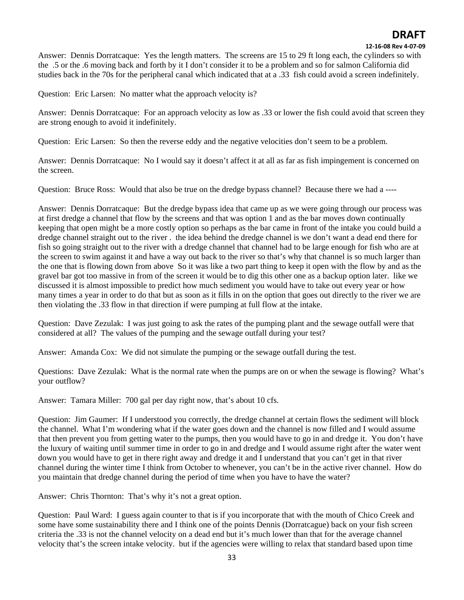#### **12‐16‐08 Rev 4‐07‐09**

Answer: Dennis Dorratcaque: Yes the length matters. The screens are 15 to 29 ft long each, the cylinders so with the .5 or the .6 moving back and forth by it I don't consider it to be a problem and so for salmon California did studies back in the 70s for the peripheral canal which indicated that at a .33 fish could avoid a screen indefinitely.

Question: Eric Larsen: No matter what the approach velocity is?

Answer: Dennis Dorratcaque: For an approach velocity as low as .33 or lower the fish could avoid that screen they are strong enough to avoid it indefinitely.

Question: Eric Larsen: So then the reverse eddy and the negative velocities don't seem to be a problem.

Answer: Dennis Dorratcaque: No I would say it doesn't affect it at all as far as fish impingement is concerned on the screen.

Question: Bruce Ross: Would that also be true on the dredge bypass channel? Because there we had a ----

Answer: Dennis Dorratcaque: But the dredge bypass idea that came up as we were going through our process was at first dredge a channel that flow by the screens and that was option 1 and as the bar moves down continually keeping that open might be a more costly option so perhaps as the bar came in front of the intake you could build a dredge channel straight out to the river . the idea behind the dredge channel is we don't want a dead end there for fish so going straight out to the river with a dredge channel that channel had to be large enough for fish who are at the screen to swim against it and have a way out back to the river so that's why that channel is so much larger than the one that is flowing down from above So it was like a two part thing to keep it open with the flow by and as the gravel bar got too massive in from of the screen it would be to dig this other one as a backup option later. like we discussed it is almost impossible to predict how much sediment you would have to take out every year or how many times a year in order to do that but as soon as it fills in on the option that goes out directly to the river we are then violating the .33 flow in that direction if were pumping at full flow at the intake.

Question: Dave Zezulak: I was just going to ask the rates of the pumping plant and the sewage outfall were that considered at all? The values of the pumping and the sewage outfall during your test?

Answer: Amanda Cox: We did not simulate the pumping or the sewage outfall during the test.

Questions: Dave Zezulak: What is the normal rate when the pumps are on or when the sewage is flowing? What's your outflow?

Answer: Tamara Miller: 700 gal per day right now, that's about 10 cfs.

Question: Jim Gaumer: If I understood you correctly, the dredge channel at certain flows the sediment will block the channel. What I'm wondering what if the water goes down and the channel is now filled and I would assume that then prevent you from getting water to the pumps, then you would have to go in and dredge it. You don't have the luxury of waiting until summer time in order to go in and dredge and I would assume right after the water went down you would have to get in there right away and dredge it and I understand that you can't get in that river channel during the winter time I think from October to whenever, you can't be in the active river channel. How do you maintain that dredge channel during the period of time when you have to have the water?

Answer: Chris Thornton: That's why it's not a great option.

Question: Paul Ward: I guess again counter to that is if you incorporate that with the mouth of Chico Creek and some have some sustainability there and I think one of the points Dennis (Dorratcague) back on your fish screen criteria the .33 is not the channel velocity on a dead end but it's much lower than that for the average channel velocity that's the screen intake velocity. but if the agencies were willing to relax that standard based upon time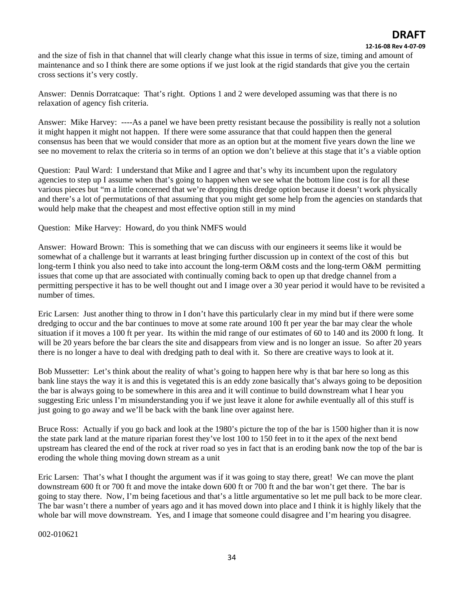#### **12‐16‐08 Rev 4‐07‐09**

and the size of fish in that channel that will clearly change what this issue in terms of size, timing and amount of maintenance and so I think there are some options if we just look at the rigid standards that give you the certain cross sections it's very costly.

Answer: Dennis Dorratcaque: That's right. Options 1 and 2 were developed assuming was that there is no relaxation of agency fish criteria.

Answer: Mike Harvey: ----As a panel we have been pretty resistant because the possibility is really not a solution it might happen it might not happen. If there were some assurance that that could happen then the general consensus has been that we would consider that more as an option but at the moment five years down the line we see no movement to relax the criteria so in terms of an option we don't believe at this stage that it's a viable option

Question: Paul Ward: I understand that Mike and I agree and that's why its incumbent upon the regulatory agencies to step up I assume when that's going to happen when we see what the bottom line cost is for all these various pieces but "m a little concerned that we're dropping this dredge option because it doesn't work physically and there's a lot of permutations of that assuming that you might get some help from the agencies on standards that would help make that the cheapest and most effective option still in my mind

Question: Mike Harvey: Howard, do you think NMFS would

Answer: Howard Brown: This is something that we can discuss with our engineers it seems like it would be somewhat of a challenge but it warrants at least bringing further discussion up in context of the cost of this but long-term I think you also need to take into account the long-term O&M costs and the long-term O&M permitting issues that come up that are associated with continually coming back to open up that dredge channel from a permitting perspective it has to be well thought out and I image over a 30 year period it would have to be revisited a number of times.

Eric Larsen: Just another thing to throw in I don't have this particularly clear in my mind but if there were some dredging to occur and the bar continues to move at some rate around 100 ft per year the bar may clear the whole situation if it moves a 100 ft per year. Its within the mid range of our estimates of 60 to 140 and its 2000 ft long. It will be 20 years before the bar clears the site and disappears from view and is no longer an issue. So after 20 years there is no longer a have to deal with dredging path to deal with it. So there are creative ways to look at it.

Bob Mussetter: Let's think about the reality of what's going to happen here why is that bar here so long as this bank line stays the way it is and this is vegetated this is an eddy zone basically that's always going to be deposition the bar is always going to be somewhere in this area and it will continue to build downstream what I hear you suggesting Eric unless I'm misunderstanding you if we just leave it alone for awhile eventually all of this stuff is just going to go away and we'll be back with the bank line over against here.

Bruce Ross: Actually if you go back and look at the 1980's picture the top of the bar is 1500 higher than it is now the state park land at the mature riparian forest they've lost 100 to 150 feet in to it the apex of the next bend upstream has cleared the end of the rock at river road so yes in fact that is an eroding bank now the top of the bar is eroding the whole thing moving down stream as a unit

Eric Larsen: That's what I thought the argument was if it was going to stay there, great! We can move the plant downstream 600 ft or 700 ft and move the intake down 600 ft or 700 ft and the bar won't get there. The bar is going to stay there. Now, I'm being facetious and that's a little argumentative so let me pull back to be more clear. The bar wasn't there a number of years ago and it has moved down into place and I think it is highly likely that the whole bar will move downstream. Yes, and I image that someone could disagree and I'm hearing you disagree.

002-010621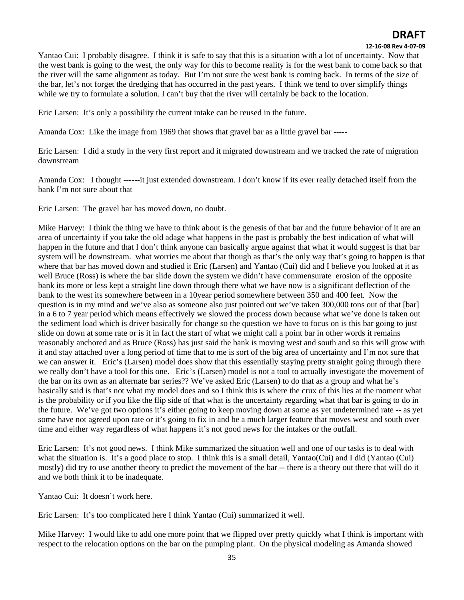#### **12‐16‐08 Rev 4‐07‐09**

Yantao Cui: I probably disagree. I think it is safe to say that this is a situation with a lot of uncertainty. Now that the west bank is going to the west, the only way for this to become reality is for the west bank to come back so that the river will the same alignment as today. But I'm not sure the west bank is coming back. In terms of the size of the bar, let's not forget the dredging that has occurred in the past years. I think we tend to over simplify things while we try to formulate a solution. I can't buy that the river will certainly be back to the location.

Eric Larsen: It's only a possibility the current intake can be reused in the future.

Amanda Cox: Like the image from 1969 that shows that gravel bar as a little gravel bar -----

Eric Larsen: I did a study in the very first report and it migrated downstream and we tracked the rate of migration downstream

Amanda Cox: I thought ------it just extended downstream. I don't know if its ever really detached itself from the bank I'm not sure about that

Eric Larsen: The gravel bar has moved down, no doubt.

Mike Harvey: I think the thing we have to think about is the genesis of that bar and the future behavior of it are an area of uncertainty if you take the old adage what happens in the past is probably the best indication of what will happen in the future and that I don't think anyone can basically argue against that what it would suggest is that bar system will be downstream. what worries me about that though as that's the only way that's going to happen is that where that bar has moved down and studied it Eric (Larsen) and Yantao (Cui) did and I believe you looked at it as well Bruce (Ross) is where the bar slide down the system we didn't have commensurate erosion of the opposite bank its more or less kept a straight line down through there what we have now is a significant deflection of the bank to the west its somewhere between in a 10year period somewhere between 350 and 400 feet. Now the question is in my mind and we've also as someone also just pointed out we've taken 300,000 tons out of that [bar] in a 6 to 7 year period which means effectively we slowed the process down because what we've done is taken out the sediment load which is driver basically for change so the question we have to focus on is this bar going to just slide on down at some rate or is it in fact the start of what we might call a point bar in other words it remains reasonably anchored and as Bruce (Ross) has just said the bank is moving west and south and so this will grow with it and stay attached over a long period of time that to me is sort of the big area of uncertainty and I'm not sure that we can answer it. Eric's (Larsen) model does show that this essentially staying pretty straight going through there we really don't have a tool for this one. Eric's (Larsen) model is not a tool to actually investigate the movement of the bar on its own as an alternate bar series?? We've asked Eric (Larsen) to do that as a group and what he's basically said is that's not what my model does and so I think this is where the crux of this lies at the moment what is the probability or if you like the flip side of that what is the uncertainty regarding what that bar is going to do in the future. We've got two options it's either going to keep moving down at some as yet undetermined rate -- as yet some have not agreed upon rate or it's going to fix in and be a much larger feature that moves west and south over time and either way regardless of what happens it's not good news for the intakes or the outfall.

Eric Larsen: It's not good news. I think Mike summarized the situation well and one of our tasks is to deal with what the situation is. It's a good place to stop. I think this is a small detail, Yantao(Cui) and I did (Yantao (Cui) mostly) did try to use another theory to predict the movement of the bar -- there is a theory out there that will do it and we both think it to be inadequate.

Yantao Cui: It doesn't work here.

Eric Larsen: It's too complicated here I think Yantao (Cui) summarized it well.

Mike Harvey: I would like to add one more point that we flipped over pretty quickly what I think is important with respect to the relocation options on the bar on the pumping plant. On the physical modeling as Amanda showed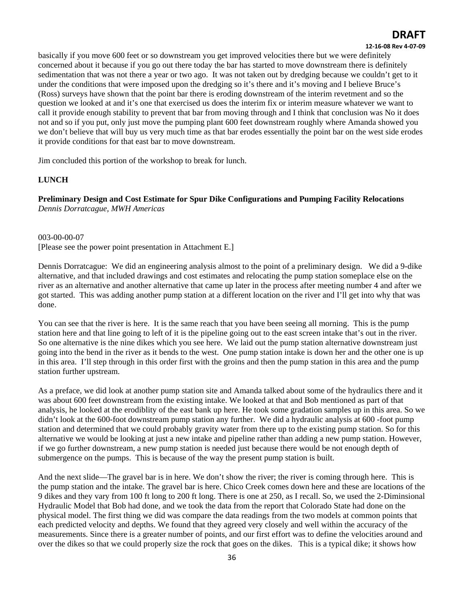#### **12‐16‐08 Rev 4‐07‐09**

basically if you move 600 feet or so downstream you get improved velocities there but we were definitely concerned about it because if you go out there today the bar has started to move downstream there is definitely sedimentation that was not there a year or two ago. It was not taken out by dredging because we couldn't get to it under the conditions that were imposed upon the dredging so it's there and it's moving and I believe Bruce's (Ross) surveys have shown that the point bar there is eroding downstream of the interim revetment and so the question we looked at and it's one that exercised us does the interim fix or interim measure whatever we want to call it provide enough stability to prevent that bar from moving through and I think that conclusion was No it does not and so if you put, only just move the pumping plant 600 feet downstream roughly where Amanda showed you we don't believe that will buy us very much time as that bar erodes essentially the point bar on the west side erodes it provide conditions for that east bar to move downstream.

Jim concluded this portion of the workshop to break for lunch.

### **LUNCH**

**Preliminary Design and Cost Estimate for Spur Dike Configurations and Pumping Facility Relocations**  *Dennis Dorratcague, MWH Americas* 

003-00-00-07 [Please see the power point presentation in Attachment E.]

Dennis Dorratcague: We did an engineering analysis almost to the point of a preliminary design. We did a 9-dike alternative, and that included drawings and cost estimates and relocating the pump station someplace else on the river as an alternative and another alternative that came up later in the process after meeting number 4 and after we got started. This was adding another pump station at a different location on the river and I'll get into why that was done.

You can see that the river is here. It is the same reach that you have been seeing all morning. This is the pump station here and that line going to left of it is the pipeline going out to the east screen intake that's out in the river. So one alternative is the nine dikes which you see here. We laid out the pump station alternative downstream just going into the bend in the river as it bends to the west. One pump station intake is down her and the other one is up in this area. I'll step through in this order first with the groins and then the pump station in this area and the pump station further upstream.

As a preface, we did look at another pump station site and Amanda talked about some of the hydraulics there and it was about 600 feet downstream from the existing intake. We looked at that and Bob mentioned as part of that analysis, he looked at the erodiblity of the east bank up here. He took some gradation samples up in this area. So we didn't look at the 600-foot downstream pump station any further. We did a hydraulic analysis at 600 -foot pump station and determined that we could probably gravity water from there up to the existing pump station. So for this alternative we would be looking at just a new intake and pipeline rather than adding a new pump station. However, if we go further downstream, a new pump station is needed just because there would be not enough depth of submergence on the pumps. This is because of the way the present pump station is built.

And the next slide—The gravel bar is in here. We don't show the river; the river is coming through here. This is the pump station and the intake. The gravel bar is here. Chico Creek comes down here and these are locations of the 9 dikes and they vary from 100 ft long to 200 ft long. There is one at 250, as I recall. So, we used the 2-Diminsional Hydraulic Model that Bob had done, and we took the data from the report that Colorado State had done on the physical model. The first thing we did was compare the data readings from the two models at common points that each predicted velocity and depths. We found that they agreed very closely and well within the accuracy of the measurements. Since there is a greater number of points, and our first effort was to define the velocities around and over the dikes so that we could properly size the rock that goes on the dikes. This is a typical dike; it shows how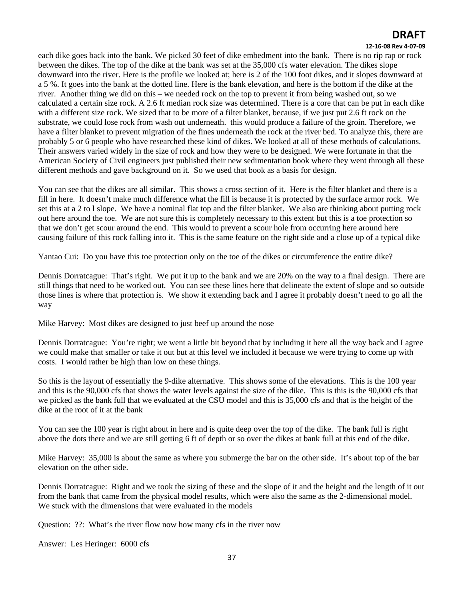#### **12‐16‐08 Rev 4‐07‐09**

each dike goes back into the bank. We picked 30 feet of dike embedment into the bank. There is no rip rap or rock between the dikes. The top of the dike at the bank was set at the 35,000 cfs water elevation. The dikes slope downward into the river. Here is the profile we looked at; here is 2 of the 100 foot dikes, and it slopes downward at a 5 %. It goes into the bank at the dotted line. Here is the bank elevation, and here is the bottom if the dike at the river. Another thing we did on this – we needed rock on the top to prevent it from being washed out, so we calculated a certain size rock. A 2.6 ft median rock size was determined. There is a core that can be put in each dike with a different size rock. We sized that to be more of a filter blanket, because, if we just put 2.6 ft rock on the substrate, we could lose rock from wash out underneath. this would produce a failure of the groin. Therefore, we have a filter blanket to prevent migration of the fines underneath the rock at the river bed. To analyze this, there are probably 5 or 6 people who have researched these kind of dikes. We looked at all of these methods of calculations. Their answers varied widely in the size of rock and how they were to be designed. We were fortunate in that the American Society of Civil engineers just published their new sedimentation book where they went through all these different methods and gave background on it. So we used that book as a basis for design.

You can see that the dikes are all similar. This shows a cross section of it. Here is the filter blanket and there is a fill in here. It doesn't make much difference what the fill is because it is protected by the surface armor rock. We set this at a 2 to l slope. We have a nominal flat top and the filter blanket. We also are thinking about putting rock out here around the toe. We are not sure this is completely necessary to this extent but this is a toe protection so that we don't get scour around the end. This would to prevent a scour hole from occurring here around here causing failure of this rock falling into it. This is the same feature on the right side and a close up of a typical dike

Yantao Cui: Do you have this toe protection only on the toe of the dikes or circumference the entire dike?

Dennis Dorratcague: That's right. We put it up to the bank and we are 20% on the way to a final design. There are still things that need to be worked out. You can see these lines here that delineate the extent of slope and so outside those lines is where that protection is. We show it extending back and I agree it probably doesn't need to go all the way

Mike Harvey: Most dikes are designed to just beef up around the nose

Dennis Dorratcague: You're right; we went a little bit beyond that by including it here all the way back and I agree we could make that smaller or take it out but at this level we included it because we were trying to come up with costs. I would rather be high than low on these things.

So this is the layout of essentially the 9-dike alternative. This shows some of the elevations. This is the 100 year and this is the 90,000 cfs that shows the water levels against the size of the dike. This is this is the 90,000 cfs that we picked as the bank full that we evaluated at the CSU model and this is 35,000 cfs and that is the height of the dike at the root of it at the bank

You can see the 100 year is right about in here and is quite deep over the top of the dike. The bank full is right above the dots there and we are still getting 6 ft of depth or so over the dikes at bank full at this end of the dike.

Mike Harvey: 35,000 is about the same as where you submerge the bar on the other side. It's about top of the bar elevation on the other side.

Dennis Dorratcague: Right and we took the sizing of these and the slope of it and the height and the length of it out from the bank that came from the physical model results, which were also the same as the 2-dimensional model. We stuck with the dimensions that were evaluated in the models

Question: ??: What's the river flow now how many cfs in the river now

Answer: Les Heringer: 6000 cfs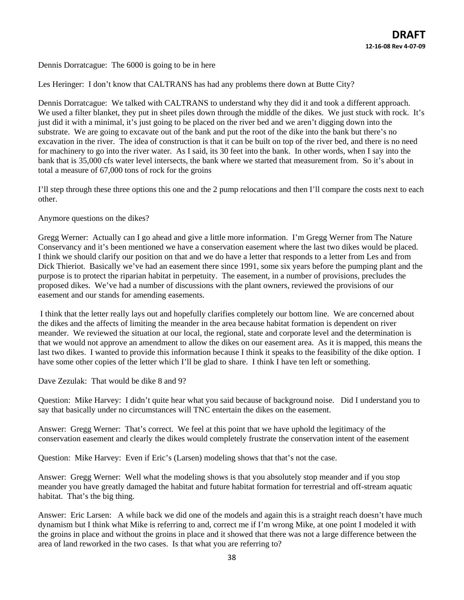Dennis Dorratcague: The 6000 is going to be in here

Les Heringer: I don't know that CALTRANS has had any problems there down at Butte City?

Dennis Dorratcague: We talked with CALTRANS to understand why they did it and took a different approach. We used a filter blanket, they put in sheet piles down through the middle of the dikes. We just stuck with rock. It's just did it with a minimal, it's just going to be placed on the river bed and we aren't digging down into the substrate. We are going to excavate out of the bank and put the root of the dike into the bank but there's no excavation in the river. The idea of construction is that it can be built on top of the river bed, and there is no need for machinery to go into the river water. As I said, its 30 feet into the bank. In other words, when I say into the bank that is 35,000 cfs water level intersects, the bank where we started that measurement from. So it's about in total a measure of 67,000 tons of rock for the groins

I'll step through these three options this one and the 2 pump relocations and then I'll compare the costs next to each other.

Anymore questions on the dikes?

Gregg Werner: Actually can I go ahead and give a little more information. I'm Gregg Werner from The Nature Conservancy and it's been mentioned we have a conservation easement where the last two dikes would be placed. I think we should clarify our position on that and we do have a letter that responds to a letter from Les and from Dick Thieriot. Basically we've had an easement there since 1991, some six years before the pumping plant and the purpose is to protect the riparian habitat in perpetuity. The easement, in a number of provisions, precludes the proposed dikes. We've had a number of discussions with the plant owners, reviewed the provisions of our easement and our stands for amending easements.

 I think that the letter really lays out and hopefully clarifies completely our bottom line. We are concerned about the dikes and the affects of limiting the meander in the area because habitat formation is dependent on river meander. We reviewed the situation at our local, the regional, state and corporate level and the determination is that we would not approve an amendment to allow the dikes on our easement area. As it is mapped, this means the last two dikes. I wanted to provide this information because I think it speaks to the feasibility of the dike option. I have some other copies of the letter which I'll be glad to share. I think I have ten left or something.

Dave Zezulak: That would be dike 8 and 9?

Question: Mike Harvey: I didn't quite hear what you said because of background noise. Did I understand you to say that basically under no circumstances will TNC entertain the dikes on the easement.

Answer: Gregg Werner: That's correct. We feel at this point that we have uphold the legitimacy of the conservation easement and clearly the dikes would completely frustrate the conservation intent of the easement

Question: Mike Harvey: Even if Eric's (Larsen) modeling shows that that's not the case.

Answer: Gregg Werner: Well what the modeling shows is that you absolutely stop meander and if you stop meander you have greatly damaged the habitat and future habitat formation for terrestrial and off-stream aquatic habitat. That's the big thing.

Answer: Eric Larsen: A while back we did one of the models and again this is a straight reach doesn't have much dynamism but I think what Mike is referring to and, correct me if I'm wrong Mike, at one point I modeled it with the groins in place and without the groins in place and it showed that there was not a large difference between the area of land reworked in the two cases. Is that what you are referring to?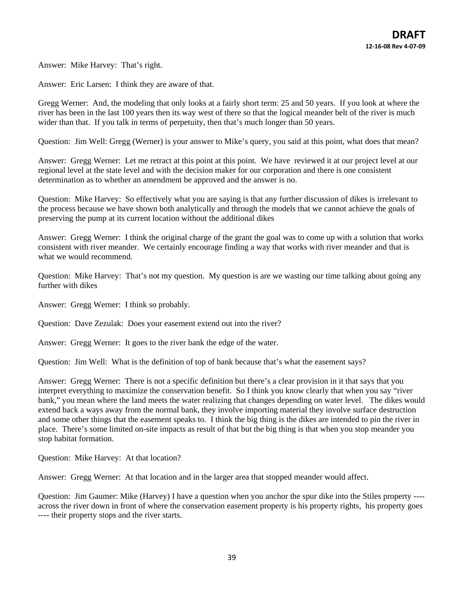Answer: Mike Harvey: That's right.

Answer: Eric Larsen: I think they are aware of that.

Gregg Werner: And, the modeling that only looks at a fairly short term: 25 and 50 years. If you look at where the river has been in the last 100 years then its way west of there so that the logical meander belt of the river is much wider than that. If you talk in terms of perpetuity, then that's much longer than 50 years.

Question: Jim Well: Gregg (Werner) is your answer to Mike's query, you said at this point, what does that mean?

Answer: Gregg Werner: Let me retract at this point at this point. We have reviewed it at our project level at our regional level at the state level and with the decision maker for our corporation and there is one consistent determination as to whether an amendment be approved and the answer is no.

Question: Mike Harvey: So effectively what you are saying is that any further discussion of dikes is irrelevant to the process because we have shown both analytically and through the models that we cannot achieve the goals of preserving the pump at its current location without the additional dikes

Answer: Gregg Werner: I think the original charge of the grant the goal was to come up with a solution that works consistent with river meander. We certainly encourage finding a way that works with river meander and that is what we would recommend.

Question: Mike Harvey: That's not my question. My question is are we wasting our time talking about going any further with dikes

Answer: Gregg Werner: I think so probably.

Question: Dave Zezulak: Does your easement extend out into the river?

Answer: Gregg Werner: It goes to the river bank the edge of the water.

Question: Jim Well: What is the definition of top of bank because that's what the easement says?

Answer: Gregg Werner: There is not a specific definition but there's a clear provision in it that says that you interpret everything to maximize the conservation benefit. So I think you know clearly that when you say "river bank," you mean where the land meets the water realizing that changes depending on water level. The dikes would extend back a ways away from the normal bank, they involve importing material they involve surface destruction and some other things that the easement speaks to. I think the big thing is the dikes are intended to pin the river in place. There's some limited on-site impacts as result of that but the big thing is that when you stop meander you stop habitat formation.

Question: Mike Harvey: At that location?

Answer: Gregg Werner: At that location and in the larger area that stopped meander would affect.

Question: Jim Gaumer: Mike (Harvey) I have a question when you anchor the spur dike into the Stiles property --- across the river down in front of where the conservation easement property is his property rights, his property goes ---- their property stops and the river starts.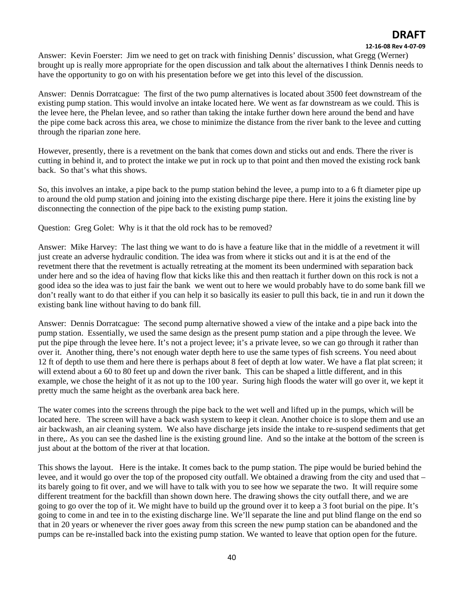#### **12‐16‐08 Rev 4‐07‐09**

Answer: Kevin Foerster: Jim we need to get on track with finishing Dennis' discussion, what Gregg (Werner) brought up is really more appropriate for the open discussion and talk about the alternatives I think Dennis needs to have the opportunity to go on with his presentation before we get into this level of the discussion.

Answer: Dennis Dorratcague: The first of the two pump alternatives is located about 3500 feet downstream of the existing pump station. This would involve an intake located here. We went as far downstream as we could. This is the levee here, the Phelan levee, and so rather than taking the intake further down here around the bend and have the pipe come back across this area, we chose to minimize the distance from the river bank to the levee and cutting through the riparian zone here.

However, presently, there is a revetment on the bank that comes down and sticks out and ends. There the river is cutting in behind it, and to protect the intake we put in rock up to that point and then moved the existing rock bank back. So that's what this shows.

So, this involves an intake, a pipe back to the pump station behind the levee, a pump into to a 6 ft diameter pipe up to around the old pump station and joining into the existing discharge pipe there. Here it joins the existing line by disconnecting the connection of the pipe back to the existing pump station.

Question: Greg Golet: Why is it that the old rock has to be removed?

Answer: Mike Harvey: The last thing we want to do is have a feature like that in the middle of a revetment it will just create an adverse hydraulic condition. The idea was from where it sticks out and it is at the end of the revetment there that the revetment is actually retreating at the moment its been undermined with separation back under here and so the idea of having flow that kicks like this and then reattach it further down on this rock is not a good idea so the idea was to just fair the bank we went out to here we would probably have to do some bank fill we don't really want to do that either if you can help it so basically its easier to pull this back, tie in and run it down the existing bank line without having to do bank fill.

Answer: Dennis Dorratcague: The second pump alternative showed a view of the intake and a pipe back into the pump station. Essentially, we used the same design as the present pump station and a pipe through the levee. We put the pipe through the levee here. It's not a project levee; it's a private levee, so we can go through it rather than over it. Another thing, there's not enough water depth here to use the same types of fish screens. You need about 12 ft of depth to use them and here there is perhaps about 8 feet of depth at low water. We have a flat plat screen; it will extend about a 60 to 80 feet up and down the river bank. This can be shaped a little different, and in this example, we chose the height of it as not up to the 100 year. Suring high floods the water will go over it, we kept it pretty much the same height as the overbank area back here.

The water comes into the screens through the pipe back to the wet well and lifted up in the pumps, which will be located here. The screen will have a back wash system to keep it clean. Another choice is to slope them and use an air backwash, an air cleaning system. We also have discharge jets inside the intake to re-suspend sediments that get in there,. As you can see the dashed line is the existing ground line. And so the intake at the bottom of the screen is just about at the bottom of the river at that location.

This shows the layout. Here is the intake. It comes back to the pump station. The pipe would be buried behind the levee, and it would go over the top of the proposed city outfall. We obtained a drawing from the city and used that – its barely going to fit over, and we will have to talk with you to see how we separate the two. It will require some different treatment for the backfill than shown down here. The drawing shows the city outfall there, and we are going to go over the top of it. We might have to build up the ground over it to keep a 3 foot burial on the pipe. It's going to come in and tee in to the existing discharge line. We'll separate the line and put blind flange on the end so that in 20 years or whenever the river goes away from this screen the new pump station can be abandoned and the pumps can be re-installed back into the existing pump station. We wanted to leave that option open for the future.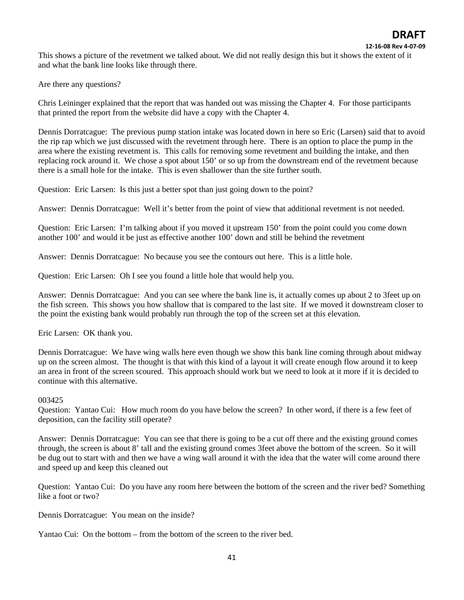This shows a picture of the revetment we talked about. We did not really design this but it shows the extent of it and what the bank line looks like through there.

Are there any questions?

Chris Leininger explained that the report that was handed out was missing the Chapter 4. For those participants that printed the report from the website did have a copy with the Chapter 4.

Dennis Dorratcague: The previous pump station intake was located down in here so Eric (Larsen) said that to avoid the rip rap which we just discussed with the revetment through here. There is an option to place the pump in the area where the existing revetment is. This calls for removing some revetment and building the intake, and then replacing rock around it. We chose a spot about 150' or so up from the downstream end of the revetment because there is a small hole for the intake. This is even shallower than the site further south.

Question: Eric Larsen: Is this just a better spot than just going down to the point?

Answer: Dennis Dorratcague: Well it's better from the point of view that additional revetment is not needed.

Question: Eric Larsen: I'm talking about if you moved it upstream 150' from the point could you come down another 100' and would it be just as effective another 100' down and still be behind the revetment

Answer: Dennis Dorratcague: No because you see the contours out here. This is a little hole.

Question: Eric Larsen: Oh I see you found a little hole that would help you.

Answer: Dennis Dorratcague: And you can see where the bank line is, it actually comes up about 2 to 3feet up on the fish screen. This shows you how shallow that is compared to the last site. If we moved it downstream closer to the point the existing bank would probably run through the top of the screen set at this elevation.

Eric Larsen: OK thank you.

Dennis Dorratcague: We have wing walls here even though we show this bank line coming through about midway up on the screen almost. The thought is that with this kind of a layout it will create enough flow around it to keep an area in front of the screen scoured. This approach should work but we need to look at it more if it is decided to continue with this alternative.

#### 003425

Question: Yantao Cui: How much room do you have below the screen? In other word, if there is a few feet of deposition, can the facility still operate?

Answer: Dennis Dorratcague: You can see that there is going to be a cut off there and the existing ground comes through, the screen is about 8' tall and the existing ground comes 3feet above the bottom of the screen. So it will be dug out to start with and then we have a wing wall around it with the idea that the water will come around there and speed up and keep this cleaned out

Question: Yantao Cui: Do you have any room here between the bottom of the screen and the river bed? Something like a foot or two?

Dennis Dorratcague: You mean on the inside?

Yantao Cui: On the bottom – from the bottom of the screen to the river bed.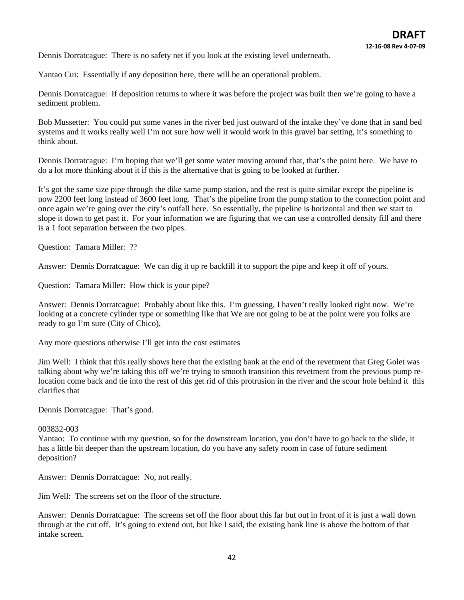Dennis Dorratcague: There is no safety net if you look at the existing level underneath.

Yantao Cui: Essentially if any deposition here, there will be an operational problem.

Dennis Dorratcague: If deposition returns to where it was before the project was built then we're going to have a sediment problem.

Bob Mussetter: You could put some vanes in the river bed just outward of the intake they've done that in sand bed systems and it works really well I'm not sure how well it would work in this gravel bar setting, it's something to think about.

Dennis Dorratcague: I'm hoping that we'll get some water moving around that, that's the point here. We have to do a lot more thinking about it if this is the alternative that is going to be looked at further.

It's got the same size pipe through the dike same pump station, and the rest is quite similar except the pipeline is now 2200 feet long instead of 3600 feet long. That's the pipeline from the pump station to the connection point and once again we're going over the city's outfall here. So essentially, the pipeline is horizontal and then we start to slope it down to get past it. For your information we are figuring that we can use a controlled density fill and there is a 1 foot separation between the two pipes.

Question: Tamara Miller: ??

Answer: Dennis Dorratcague: We can dig it up re backfill it to support the pipe and keep it off of yours.

Question: Tamara Miller: How thick is your pipe?

Answer: Dennis Dorratcague: Probably about like this. I'm guessing, I haven't really looked right now. We're looking at a concrete cylinder type or something like that We are not going to be at the point were you folks are ready to go I'm sure (City of Chico),

Any more questions otherwise I'll get into the cost estimates

Jim Well: I think that this really shows here that the existing bank at the end of the revetment that Greg Golet was talking about why we're taking this off we're trying to smooth transition this revetment from the previous pump relocation come back and tie into the rest of this get rid of this protrusion in the river and the scour hole behind it this clarifies that

Dennis Dorratcague: That's good.

#### 003832-003

Yantao: To continue with my question, so for the downstream location, you don't have to go back to the slide, it has a little bit deeper than the upstream location, do you have any safety room in case of future sediment deposition?

Answer: Dennis Dorratcague: No, not really.

Jim Well: The screens set on the floor of the structure.

Answer: Dennis Dorratcague: The screens set off the floor about this far but out in front of it is just a wall down through at the cut off. It's going to extend out, but like I said, the existing bank line is above the bottom of that intake screen.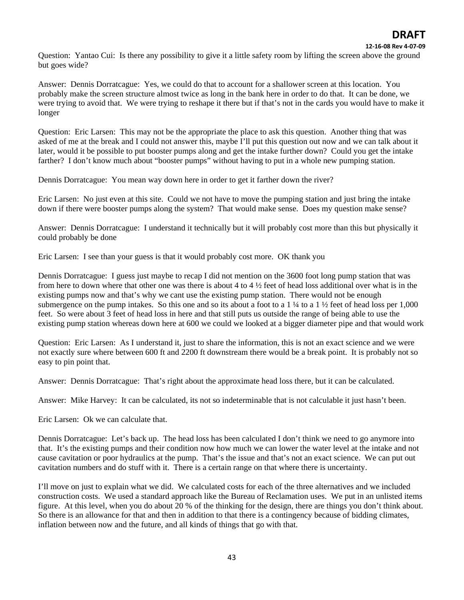**12‐16‐08 Rev 4‐07‐09**

Question: Yantao Cui: Is there any possibility to give it a little safety room by lifting the screen above the ground but goes wide?

Answer: Dennis Dorratcague: Yes, we could do that to account for a shallower screen at this location. You probably make the screen structure almost twice as long in the bank here in order to do that. It can be done, we were trying to avoid that. We were trying to reshape it there but if that's not in the cards you would have to make it longer

Question: Eric Larsen: This may not be the appropriate the place to ask this question. Another thing that was asked of me at the break and I could not answer this, maybe I'll put this question out now and we can talk about it later, would it be possible to put booster pumps along and get the intake further down? Could you get the intake farther? I don't know much about "booster pumps" without having to put in a whole new pumping station.

Dennis Dorratcague: You mean way down here in order to get it farther down the river?

Eric Larsen: No just even at this site. Could we not have to move the pumping station and just bring the intake down if there were booster pumps along the system? That would make sense. Does my question make sense?

Answer: Dennis Dorratcague: I understand it technically but it will probably cost more than this but physically it could probably be done

Eric Larsen: I see than your guess is that it would probably cost more. OK thank you

Dennis Dorratcague: I guess just maybe to recap I did not mention on the 3600 foot long pump station that was from here to down where that other one was there is about 4 to 4 ½ feet of head loss additional over what is in the existing pumps now and that's why we cant use the existing pump station. There would not be enough submergence on the pump intakes. So this one and so its about a foot to a 1  $\frac{1}{4}$  to a 1  $\frac{1}{2}$  feet of head loss per 1,000 feet. So were about 3 feet of head loss in here and that still puts us outside the range of being able to use the existing pump station whereas down here at 600 we could we looked at a bigger diameter pipe and that would work

Question: Eric Larsen: As I understand it, just to share the information, this is not an exact science and we were not exactly sure where between 600 ft and 2200 ft downstream there would be a break point. It is probably not so easy to pin point that.

Answer: Dennis Dorratcague: That's right about the approximate head loss there, but it can be calculated.

Answer: Mike Harvey: It can be calculated, its not so indeterminable that is not calculable it just hasn't been.

Eric Larsen: Ok we can calculate that.

Dennis Dorratcague: Let's back up. The head loss has been calculated I don't think we need to go anymore into that. It's the existing pumps and their condition now how much we can lower the water level at the intake and not cause cavitation or poor hydraulics at the pump. That's the issue and that's not an exact science. We can put out cavitation numbers and do stuff with it. There is a certain range on that where there is uncertainty.

I'll move on just to explain what we did. We calculated costs for each of the three alternatives and we included construction costs. We used a standard approach like the Bureau of Reclamation uses. We put in an unlisted items figure. At this level, when you do about 20 % of the thinking for the design, there are things you don't think about. So there is an allowance for that and then in addition to that there is a contingency because of bidding climates, inflation between now and the future, and all kinds of things that go with that.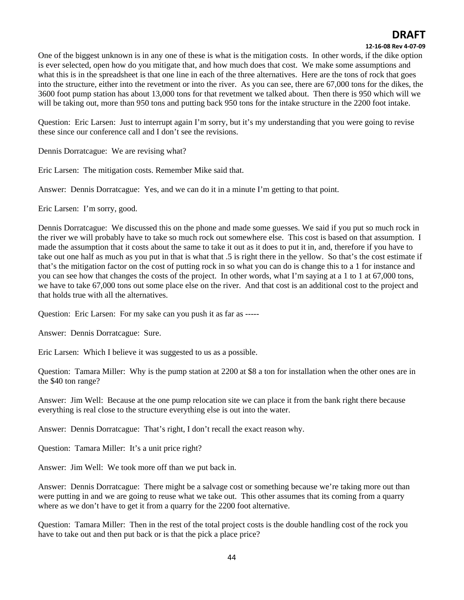### **12‐16‐08 Rev 4‐07‐09**

One of the biggest unknown is in any one of these is what is the mitigation costs. In other words, if the dike option is ever selected, open how do you mitigate that, and how much does that cost. We make some assumptions and what this is in the spreadsheet is that one line in each of the three alternatives. Here are the tons of rock that goes into the structure, either into the revetment or into the river. As you can see, there are 67,000 tons for the dikes, the 3600 foot pump station has about 13,000 tons for that revetment we talked about. Then there is 950 which will we will be taking out, more than 950 tons and putting back 950 tons for the intake structure in the 2200 foot intake.

Question: Eric Larsen: Just to interrupt again I'm sorry, but it's my understanding that you were going to revise these since our conference call and I don't see the revisions.

Dennis Dorratcague: We are revising what?

Eric Larsen: The mitigation costs. Remember Mike said that.

Answer: Dennis Dorratcague: Yes, and we can do it in a minute I'm getting to that point.

Eric Larsen: I'm sorry, good.

Dennis Dorratcague: We discussed this on the phone and made some guesses. We said if you put so much rock in the river we will probably have to take so much rock out somewhere else. This cost is based on that assumption. I made the assumption that it costs about the same to take it out as it does to put it in, and, therefore if you have to take out one half as much as you put in that is what that .5 is right there in the yellow. So that's the cost estimate if that's the mitigation factor on the cost of putting rock in so what you can do is change this to a 1 for instance and you can see how that changes the costs of the project. In other words, what I'm saying at a 1 to 1 at 67,000 tons, we have to take 67,000 tons out some place else on the river. And that cost is an additional cost to the project and that holds true with all the alternatives.

Question: Eric Larsen: For my sake can you push it as far as -----

Answer: Dennis Dorratcague: Sure.

Eric Larsen: Which I believe it was suggested to us as a possible.

Question: Tamara Miller: Why is the pump station at 2200 at \$8 a ton for installation when the other ones are in the \$40 ton range?

Answer: Jim Well: Because at the one pump relocation site we can place it from the bank right there because everything is real close to the structure everything else is out into the water.

Answer: Dennis Dorratcague: That's right, I don't recall the exact reason why.

Question: Tamara Miller: It's a unit price right?

Answer: Jim Well: We took more off than we put back in.

Answer: Dennis Dorratcague: There might be a salvage cost or something because we're taking more out than were putting in and we are going to reuse what we take out. This other assumes that its coming from a quarry where as we don't have to get it from a quarry for the 2200 foot alternative.

Question: Tamara Miller: Then in the rest of the total project costs is the double handling cost of the rock you have to take out and then put back or is that the pick a place price?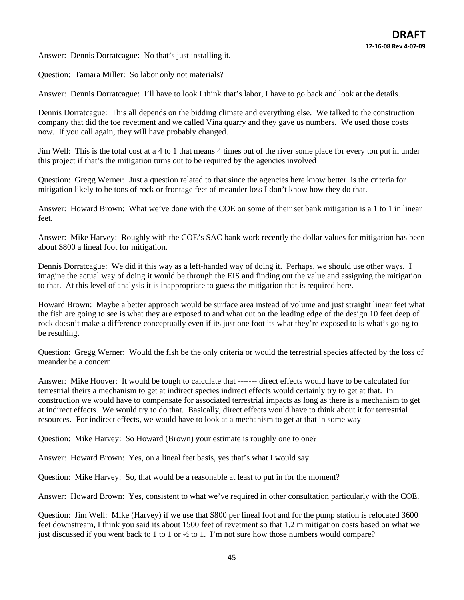Answer: Dennis Dorratcague: No that's just installing it.

Question: Tamara Miller: So labor only not materials?

Answer: Dennis Dorratcague: I'll have to look I think that's labor, I have to go back and look at the details.

Dennis Dorratcague: This all depends on the bidding climate and everything else. We talked to the construction company that did the toe revetment and we called Vina quarry and they gave us numbers. We used those costs now. If you call again, they will have probably changed.

Jim Well: This is the total cost at a 4 to 1 that means 4 times out of the river some place for every ton put in under this project if that's the mitigation turns out to be required by the agencies involved

Question: Gregg Werner: Just a question related to that since the agencies here know better is the criteria for mitigation likely to be tons of rock or frontage feet of meander loss I don't know how they do that.

Answer: Howard Brown: What we've done with the COE on some of their set bank mitigation is a 1 to 1 in linear feet.

Answer: Mike Harvey: Roughly with the COE's SAC bank work recently the dollar values for mitigation has been about \$800 a lineal foot for mitigation.

Dennis Dorratcague: We did it this way as a left-handed way of doing it. Perhaps, we should use other ways. I imagine the actual way of doing it would be through the EIS and finding out the value and assigning the mitigation to that. At this level of analysis it is inappropriate to guess the mitigation that is required here.

Howard Brown: Maybe a better approach would be surface area instead of volume and just straight linear feet what the fish are going to see is what they are exposed to and what out on the leading edge of the design 10 feet deep of rock doesn't make a difference conceptually even if its just one foot its what they're exposed to is what's going to be resulting.

Question: Gregg Werner: Would the fish be the only criteria or would the terrestrial species affected by the loss of meander be a concern.

Answer: Mike Hoover: It would be tough to calculate that ------- direct effects would have to be calculated for terrestrial theirs a mechanism to get at indirect species indirect effects would certainly try to get at that. In construction we would have to compensate for associated terrestrial impacts as long as there is a mechanism to get at indirect effects. We would try to do that. Basically, direct effects would have to think about it for terrestrial resources. For indirect effects, we would have to look at a mechanism to get at that in some way -----

Question: Mike Harvey: So Howard (Brown) your estimate is roughly one to one?

Answer: Howard Brown: Yes, on a lineal feet basis, yes that's what I would say.

Question: Mike Harvey: So, that would be a reasonable at least to put in for the moment?

Answer: Howard Brown: Yes, consistent to what we've required in other consultation particularly with the COE.

Question: Jim Well: Mike (Harvey) if we use that \$800 per lineal foot and for the pump station is relocated 3600 feet downstream, I think you said its about 1500 feet of revetment so that 1.2 m mitigation costs based on what we just discussed if you went back to 1 to 1 or  $\frac{1}{2}$  to 1. I'm not sure how those numbers would compare?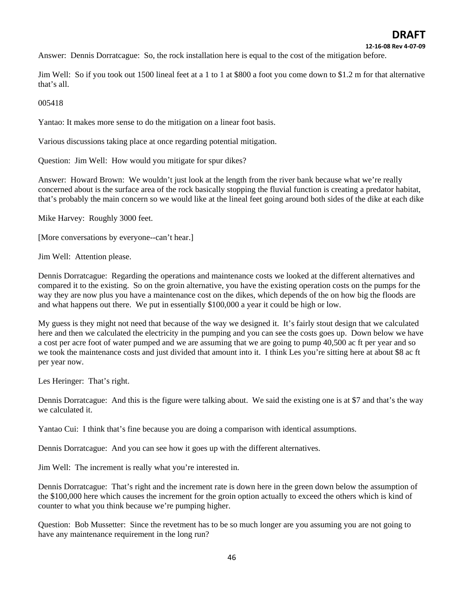**12‐16‐08 Rev 4‐07‐09**

Answer: Dennis Dorratcague: So, the rock installation here is equal to the cost of the mitigation before.

Jim Well: So if you took out 1500 lineal feet at a 1 to 1 at \$800 a foot you come down to \$1.2 m for that alternative that's all.

005418

Yantao: It makes more sense to do the mitigation on a linear foot basis.

Various discussions taking place at once regarding potential mitigation.

Question: Jim Well: How would you mitigate for spur dikes?

Answer: Howard Brown: We wouldn't just look at the length from the river bank because what we're really concerned about is the surface area of the rock basically stopping the fluvial function is creating a predator habitat, that's probably the main concern so we would like at the lineal feet going around both sides of the dike at each dike

Mike Harvey: Roughly 3000 feet.

[More conversations by everyone--can't hear.]

Jim Well: Attention please.

Dennis Dorratcague: Regarding the operations and maintenance costs we looked at the different alternatives and compared it to the existing. So on the groin alternative, you have the existing operation costs on the pumps for the way they are now plus you have a maintenance cost on the dikes, which depends of the on how big the floods are and what happens out there. We put in essentially \$100,000 a year it could be high or low.

My guess is they might not need that because of the way we designed it. It's fairly stout design that we calculated here and then we calculated the electricity in the pumping and you can see the costs goes up. Down below we have a cost per acre foot of water pumped and we are assuming that we are going to pump 40,500 ac ft per year and so we took the maintenance costs and just divided that amount into it. I think Les you're sitting here at about \$8 ac ft per year now.

Les Heringer: That's right.

Dennis Dorratcague: And this is the figure were talking about. We said the existing one is at \$7 and that's the way we calculated it.

Yantao Cui: I think that's fine because you are doing a comparison with identical assumptions.

Dennis Dorratcague: And you can see how it goes up with the different alternatives.

Jim Well: The increment is really what you're interested in.

Dennis Dorratcague: That's right and the increment rate is down here in the green down below the assumption of the \$100,000 here which causes the increment for the groin option actually to exceed the others which is kind of counter to what you think because we're pumping higher.

Question: Bob Mussetter: Since the revetment has to be so much longer are you assuming you are not going to have any maintenance requirement in the long run?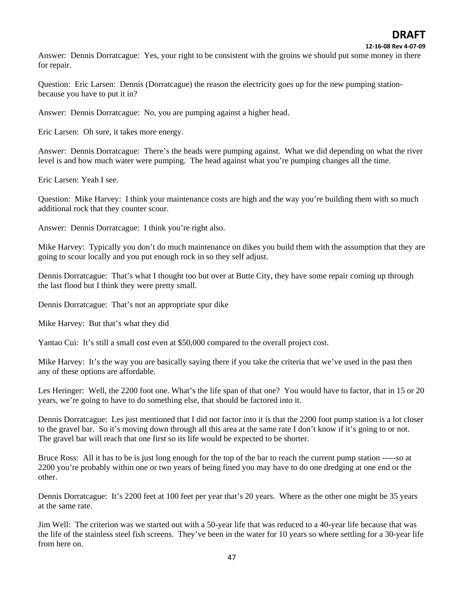**12‐16‐08 Rev 4‐07‐09**

Answer: Dennis Dorratcague: Yes, your right to be consistent with the groins we should put some money in there for repair.

Question: Eric Larsen: Dennis (Dorratcague) the reason the electricity goes up for the new pumping stationbecause you have to put it in?

Answer: Dennis Dorratcague: No, you are pumping against a higher head.

Eric Larsen: Oh sure, it takes more energy.

Answer: Dennis Dorratcague: There's the heads were pumping against. What we did depending on what the river level is and how much water were pumping. The head against what you're pumping changes all the time.

Eric Larsen: Yeah I see.

Question: Mike Harvey: I think your maintenance costs are high and the way you're building them with so much additional rock that they counter scour.

Answer: Dennis Dorratcague: I think you're right also.

Mike Harvey: Typically you don't do much maintenance on dikes you build them with the assumption that they are going to scour locally and you put enough rock in so they self adjust.

Dennis Dorratcague: That's what I thought too but over at Butte City, they have some repair coming up through the last flood but I think they were pretty small.

Dennis Dorratcague: That's not an appropriate spur dike

Mike Harvey: But that's what they did

Yantao Cui: It's still a small cost even at \$50,000 compared to the overall project cost.

Mike Harvey: It's the way you are basically saying there if you take the criteria that we've used in the past then any of these options are affordable.

Les Heringer: Well, the 2200 foot one. What's the life span of that one? You would have to factor, that in 15 or 20 years, we're going to have to do something else, that should be factored into it.

Dennis Dorratcague: Les just mentioned that I did not factor into it is that the 2200 foot pump station is a lot closer to the gravel bar. So it's moving down through all this area at the same rate I don't know if it's going to or not. The gravel bar will reach that one first so its life would be expected to be shorter.

Bruce Ross: All it has to be is just long enough for the top of the bar to reach the current pump station -----so at 2200 you're probably within one or two years of being fined you may have to do one dredging at one end or the other.

Dennis Dorratcague: It's 2200 feet at 100 feet per year that's 20 years. Where as the other one might be 35 years at the same rate.

Jim Well: The criterion was we started out with a 50-year life that was reduced to a 40-year life because that was the life of the stainless steel fish screens. They've been in the water for 10 years so where settling for a 30-year life from here on.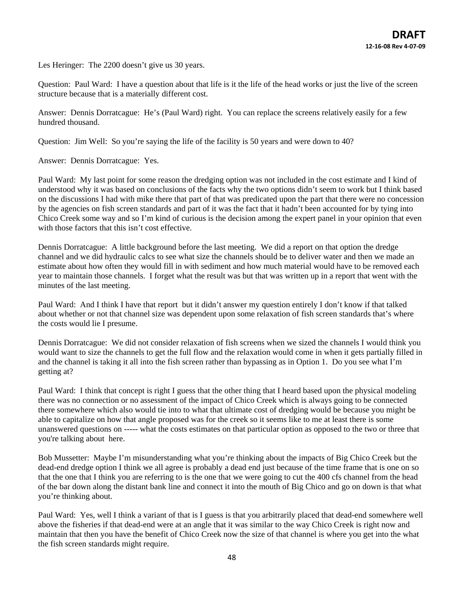Les Heringer: The 2200 doesn't give us 30 years.

Question: Paul Ward: I have a question about that life is it the life of the head works or just the live of the screen structure because that is a materially different cost.

Answer: Dennis Dorratcague: He's (Paul Ward) right. You can replace the screens relatively easily for a few hundred thousand.

Question: Jim Well: So you're saying the life of the facility is 50 years and were down to 40?

Answer: Dennis Dorratcague: Yes.

Paul Ward: My last point for some reason the dredging option was not included in the cost estimate and I kind of understood why it was based on conclusions of the facts why the two options didn't seem to work but I think based on the discussions I had with mike there that part of that was predicated upon the part that there were no concession by the agencies on fish screen standards and part of it was the fact that it hadn't been accounted for by tying into Chico Creek some way and so I'm kind of curious is the decision among the expert panel in your opinion that even with those factors that this isn't cost effective.

Dennis Dorratcague: A little background before the last meeting. We did a report on that option the dredge channel and we did hydraulic calcs to see what size the channels should be to deliver water and then we made an estimate about how often they would fill in with sediment and how much material would have to be removed each year to maintain those channels. I forget what the result was but that was written up in a report that went with the minutes of the last meeting.

Paul Ward: And I think I have that report but it didn't answer my question entirely I don't know if that talked about whether or not that channel size was dependent upon some relaxation of fish screen standards that's where the costs would lie I presume.

Dennis Dorratcague: We did not consider relaxation of fish screens when we sized the channels I would think you would want to size the channels to get the full flow and the relaxation would come in when it gets partially filled in and the channel is taking it all into the fish screen rather than bypassing as in Option 1. Do you see what I'm getting at?

Paul Ward: I think that concept is right I guess that the other thing that I heard based upon the physical modeling there was no connection or no assessment of the impact of Chico Creek which is always going to be connected there somewhere which also would tie into to what that ultimate cost of dredging would be because you might be able to capitalize on how that angle proposed was for the creek so it seems like to me at least there is some unanswered questions on ----- what the costs estimates on that particular option as opposed to the two or three that you're talking about here.

Bob Mussetter: Maybe I'm misunderstanding what you're thinking about the impacts of Big Chico Creek but the dead-end dredge option I think we all agree is probably a dead end just because of the time frame that is one on so that the one that I think you are referring to is the one that we were going to cut the 400 cfs channel from the head of the bar down along the distant bank line and connect it into the mouth of Big Chico and go on down is that what you're thinking about.

Paul Ward: Yes, well I think a variant of that is I guess is that you arbitrarily placed that dead-end somewhere well above the fisheries if that dead-end were at an angle that it was similar to the way Chico Creek is right now and maintain that then you have the benefit of Chico Creek now the size of that channel is where you get into the what the fish screen standards might require.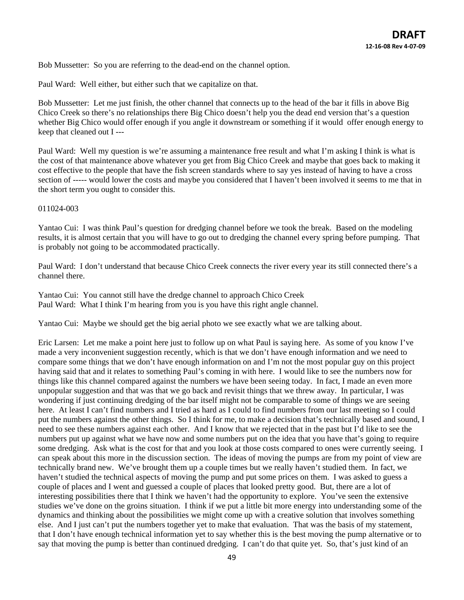Bob Mussetter: So you are referring to the dead-end on the channel option.

Paul Ward: Well either, but either such that we capitalize on that.

Bob Mussetter: Let me just finish, the other channel that connects up to the head of the bar it fills in above Big Chico Creek so there's no relationships there Big Chico doesn't help you the dead end version that's a question whether Big Chico would offer enough if you angle it downstream or something if it would offer enough energy to keep that cleaned out I ---

Paul Ward: Well my question is we're assuming a maintenance free result and what I'm asking I think is what is the cost of that maintenance above whatever you get from Big Chico Creek and maybe that goes back to making it cost effective to the people that have the fish screen standards where to say yes instead of having to have a cross section of ----- would lower the costs and maybe you considered that I haven't been involved it seems to me that in the short term you ought to consider this.

#### 011024-003

Yantao Cui: I was think Paul's question for dredging channel before we took the break. Based on the modeling results, it is almost certain that you will have to go out to dredging the channel every spring before pumping. That is probably not going to be accommodated practically.

Paul Ward: I don't understand that because Chico Creek connects the river every year its still connected there's a channel there.

Yantao Cui: You cannot still have the dredge channel to approach Chico Creek Paul Ward: What I think I'm hearing from you is you have this right angle channel.

Yantao Cui: Maybe we should get the big aerial photo we see exactly what we are talking about.

Eric Larsen: Let me make a point here just to follow up on what Paul is saying here. As some of you know I've made a very inconvenient suggestion recently, which is that we don't have enough information and we need to compare some things that we don't have enough information on and I'm not the most popular guy on this project having said that and it relates to something Paul's coming in with here. I would like to see the numbers now for things like this channel compared against the numbers we have been seeing today. In fact, I made an even more unpopular suggestion and that was that we go back and revisit things that we threw away. In particular, I was wondering if just continuing dredging of the bar itself might not be comparable to some of things we are seeing here. At least I can't find numbers and I tried as hard as I could to find numbers from our last meeting so I could put the numbers against the other things. So I think for me, to make a decision that's technically based and sound, I need to see these numbers against each other. And I know that we rejected that in the past but I'd like to see the numbers put up against what we have now and some numbers put on the idea that you have that's going to require some dredging. Ask what is the cost for that and you look at those costs compared to ones were currently seeing. I can speak about this more in the discussion section. The ideas of moving the pumps are from my point of view are technically brand new. We've brought them up a couple times but we really haven't studied them. In fact, we haven't studied the technical aspects of moving the pump and put some prices on them. I was asked to guess a couple of places and I went and guessed a couple of places that looked pretty good. But, there are a lot of interesting possibilities there that I think we haven't had the opportunity to explore. You've seen the extensive studies we've done on the groins situation. I think if we put a little bit more energy into understanding some of the dynamics and thinking about the possibilities we might come up with a creative solution that involves something else. And I just can't put the numbers together yet to make that evaluation. That was the basis of my statement, that I don't have enough technical information yet to say whether this is the best moving the pump alternative or to say that moving the pump is better than continued dredging. I can't do that quite yet. So, that's just kind of an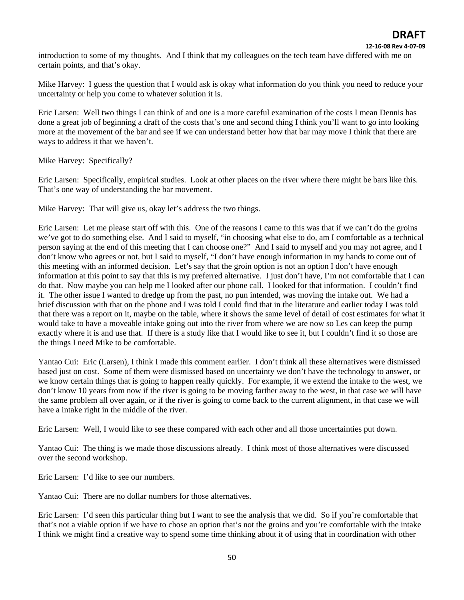introduction to some of my thoughts. And I think that my colleagues on the tech team have differed with me on certain points, and that's okay.

Mike Harvey: I guess the question that I would ask is okay what information do you think you need to reduce your uncertainty or help you come to whatever solution it is.

Eric Larsen: Well two things I can think of and one is a more careful examination of the costs I mean Dennis has done a great job of beginning a draft of the costs that's one and second thing I think you'll want to go into looking more at the movement of the bar and see if we can understand better how that bar may move I think that there are ways to address it that we haven't.

Mike Harvey: Specifically?

Eric Larsen: Specifically, empirical studies. Look at other places on the river where there might be bars like this. That's one way of understanding the bar movement.

Mike Harvey: That will give us, okay let's address the two things.

Eric Larsen: Let me please start off with this. One of the reasons I came to this was that if we can't do the groins we've got to do something else. And I said to myself, "in choosing what else to do, am I comfortable as a technical person saying at the end of this meeting that I can choose one?" And I said to myself and you may not agree, and I don't know who agrees or not, but I said to myself, "I don't have enough information in my hands to come out of this meeting with an informed decision. Let's say that the groin option is not an option I don't have enough information at this point to say that this is my preferred alternative. I just don't have, I'm not comfortable that I can do that. Now maybe you can help me I looked after our phone call. I looked for that information. I couldn't find it. The other issue I wanted to dredge up from the past, no pun intended, was moving the intake out. We had a brief discussion with that on the phone and I was told I could find that in the literature and earlier today I was told that there was a report on it, maybe on the table, where it shows the same level of detail of cost estimates for what it would take to have a moveable intake going out into the river from where we are now so Les can keep the pump exactly where it is and use that. If there is a study like that I would like to see it, but I couldn't find it so those are the things I need Mike to be comfortable.

Yantao Cui: Eric (Larsen), I think I made this comment earlier. I don't think all these alternatives were dismissed based just on cost. Some of them were dismissed based on uncertainty we don't have the technology to answer, or we know certain things that is going to happen really quickly. For example, if we extend the intake to the west, we don't know 10 years from now if the river is going to be moving farther away to the west, in that case we will have the same problem all over again, or if the river is going to come back to the current alignment, in that case we will have a intake right in the middle of the river.

Eric Larsen: Well, I would like to see these compared with each other and all those uncertainties put down.

Yantao Cui: The thing is we made those discussions already. I think most of those alternatives were discussed over the second workshop.

Eric Larsen: I'd like to see our numbers.

Yantao Cui: There are no dollar numbers for those alternatives.

Eric Larsen: I'd seen this particular thing but I want to see the analysis that we did. So if you're comfortable that that's not a viable option if we have to chose an option that's not the groins and you're comfortable with the intake I think we might find a creative way to spend some time thinking about it of using that in coordination with other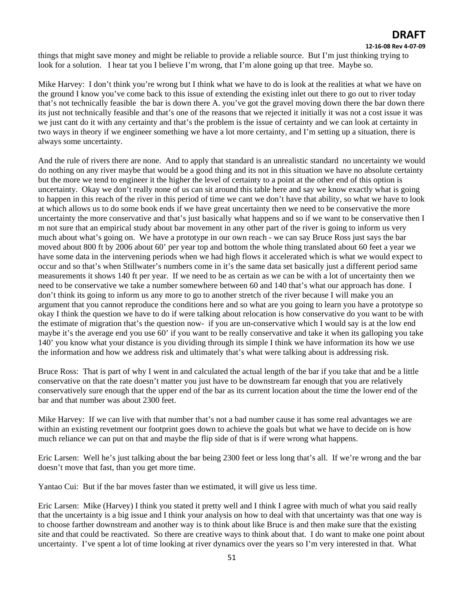#### **12‐16‐08 Rev 4‐07‐09**

things that might save money and might be reliable to provide a reliable source. But I'm just thinking trying to look for a solution. I hear tat you I believe I'm wrong, that I'm alone going up that tree. Maybe so.

Mike Harvey: I don't think you're wrong but I think what we have to do is look at the realities at what we have on the ground I know you've come back to this issue of extending the existing inlet out there to go out to river today that's not technically feasible the bar is down there A. you've got the gravel moving down there the bar down there its just not technically feasible and that's one of the reasons that we rejected it initially it was not a cost issue it was we just cant do it with any certainty and that's the problem is the issue of certainty and we can look at certainty in two ways in theory if we engineer something we have a lot more certainty, and I'm setting up a situation, there is always some uncertainty.

And the rule of rivers there are none. And to apply that standard is an unrealistic standard no uncertainty we would do nothing on any river maybe that would be a good thing and its not in this situation we have no absolute certainty but the more we tend to engineer it the higher the level of certainty to a point at the other end of this option is uncertainty. Okay we don't really none of us can sit around this table here and say we know exactly what is going to happen in this reach of the river in this period of time we cant we don't have that ability, so what we have to look at which allows us to do some book ends if we have great uncertainty then we need to be conservative the more uncertainty the more conservative and that's just basically what happens and so if we want to be conservative then I m not sure that an empirical study about bar movement in any other part of the river is going to inform us very much about what's going on. We have a prototype in our own reach - we can say Bruce Ross just says the bar moved about 800 ft by 2006 about 60' per year top and bottom the whole thing translated about 60 feet a year we have some data in the intervening periods when we had high flows it accelerated which is what we would expect to occur and so that's when Stillwater's numbers come in it's the same data set basically just a different period same measurements it shows 140 ft per year. If we need to be as certain as we can be with a lot of uncertainty then we need to be conservative we take a number somewhere between 60 and 140 that's what our approach has done. I don't think its going to inform us any more to go to another stretch of the river because I will make you an argument that you cannot reproduce the conditions here and so what are you going to learn you have a prototype so okay I think the question we have to do if were talking about relocation is how conservative do you want to be with the estimate of migration that's the question now- if you are un-conservative which I would say is at the low end maybe it's the average end you use 60' if you want to be really conservative and take it when its galloping you take 140' you know what your distance is you dividing through its simple I think we have information its how we use the information and how we address risk and ultimately that's what were talking about is addressing risk.

Bruce Ross: That is part of why I went in and calculated the actual length of the bar if you take that and be a little conservative on that the rate doesn't matter you just have to be downstream far enough that you are relatively conservatively sure enough that the upper end of the bar as its current location about the time the lower end of the bar and that number was about 2300 feet.

Mike Harvey: If we can live with that number that's not a bad number cause it has some real advantages we are within an existing revetment our footprint goes down to achieve the goals but what we have to decide on is how much reliance we can put on that and maybe the flip side of that is if were wrong what happens.

Eric Larsen: Well he's just talking about the bar being 2300 feet or less long that's all. If we're wrong and the bar doesn't move that fast, than you get more time.

Yantao Cui: But if the bar moves faster than we estimated, it will give us less time.

Eric Larsen: Mike (Harvey) I think you stated it pretty well and I think I agree with much of what you said really that the uncertainty is a big issue and I think your analysis on how to deal with that uncertainty was that one way is to choose farther downstream and another way is to think about like Bruce is and then make sure that the existing site and that could be reactivated. So there are creative ways to think about that. I do want to make one point about uncertainty. I've spent a lot of time looking at river dynamics over the years so I'm very interested in that. What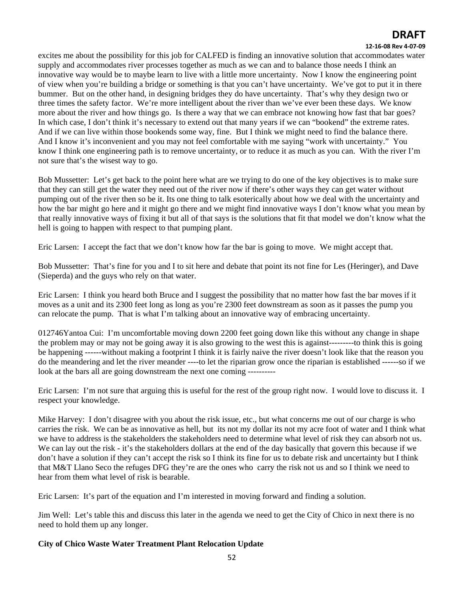### **12‐16‐08 Rev 4‐07‐09**

excites me about the possibility for this job for CALFED is finding an innovative solution that accommodates water supply and accommodates river processes together as much as we can and to balance those needs I think an innovative way would be to maybe learn to live with a little more uncertainty. Now I know the engineering point of view when you're building a bridge or something is that you can't have uncertainty. We've got to put it in there bummer. But on the other hand, in designing bridges they do have uncertainty. That's why they design two or three times the safety factor. We're more intelligent about the river than we've ever been these days. We know more about the river and how things go. Is there a way that we can embrace not knowing how fast that bar goes? In which case, I don't think it's necessary to extend out that many years if we can "bookend" the extreme rates. And if we can live within those bookends some way, fine. But I think we might need to find the balance there. And I know it's inconvenient and you may not feel comfortable with me saying "work with uncertainty." You know I think one engineering path is to remove uncertainty, or to reduce it as much as you can. With the river I'm not sure that's the wisest way to go.

Bob Mussetter: Let's get back to the point here what are we trying to do one of the key objectives is to make sure that they can still get the water they need out of the river now if there's other ways they can get water without pumping out of the river then so be it. Its one thing to talk esoterically about how we deal with the uncertainty and how the bar might go here and it might go there and we might find innovative ways I don't know what you mean by that really innovative ways of fixing it but all of that says is the solutions that fit that model we don't know what the hell is going to happen with respect to that pumping plant.

Eric Larsen: I accept the fact that we don't know how far the bar is going to move. We might accept that.

Bob Mussetter: That's fine for you and I to sit here and debate that point its not fine for Les (Heringer), and Dave (Sieperda) and the guys who rely on that water.

Eric Larsen: I think you heard both Bruce and I suggest the possibility that no matter how fast the bar moves if it moves as a unit and its 2300 feet long as long as you're 2300 feet downstream as soon as it passes the pump you can relocate the pump. That is what I'm talking about an innovative way of embracing uncertainty.

012746Yantoa Cui: I'm uncomfortable moving down 2200 feet going down like this without any change in shape the problem may or may not be going away it is also growing to the west this is against---------to think this is going be happening ------without making a footprint I think it is fairly naive the river doesn't look like that the reason you do the meandering and let the river meander ----to let the riparian grow once the riparian is established ------so if we look at the bars all are going downstream the next one coming ----------

Eric Larsen: I'm not sure that arguing this is useful for the rest of the group right now. I would love to discuss it. I respect your knowledge.

Mike Harvey: I don't disagree with you about the risk issue, etc., but what concerns me out of our charge is who carries the risk. We can be as innovative as hell, but its not my dollar its not my acre foot of water and I think what we have to address is the stakeholders the stakeholders need to determine what level of risk they can absorb not us. We can lay out the risk - it's the stakeholders dollars at the end of the day basically that govern this because if we don't have a solution if they can't accept the risk so I think its fine for us to debate risk and uncertainty but I think that M&T Llano Seco the refuges DFG they're are the ones who carry the risk not us and so I think we need to hear from them what level of risk is bearable.

Eric Larsen: It's part of the equation and I'm interested in moving forward and finding a solution.

Jim Well: Let's table this and discuss this later in the agenda we need to get the City of Chico in next there is no need to hold them up any longer.

### **City of Chico Waste Water Treatment Plant Relocation Update**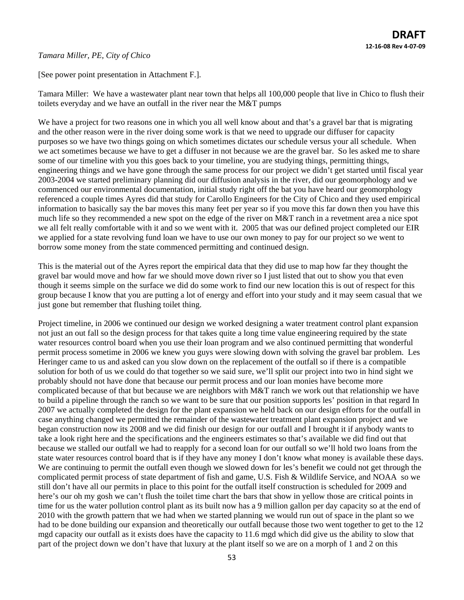### *Tamara Miller, PE, City of Chico*

[See power point presentation in Attachment F.].

Tamara Miller: We have a wastewater plant near town that helps all 100,000 people that live in Chico to flush their toilets everyday and we have an outfall in the river near the M&T pumps

We have a project for two reasons one in which you all well know about and that's a gravel bar that is migrating and the other reason were in the river doing some work is that we need to upgrade our diffuser for capacity purposes so we have two things going on which sometimes dictates our schedule versus your all schedule. When we act sometimes because we have to get a diffuser in not because we are the gravel bar. So les asked me to share some of our timeline with you this goes back to your timeline, you are studying things, permitting things, engineering things and we have gone through the same process for our project we didn't get started until fiscal year 2003-2004 we started preliminary planning did our diffusion analysis in the river, did our geomorphology and we commenced our environmental documentation, initial study right off the bat you have heard our geomorphology referenced a couple times Ayres did that study for Carollo Engineers for the City of Chico and they used empirical information to basically say the bar moves this many feet per year so if you move this far down then you have this much life so they recommended a new spot on the edge of the river on M&T ranch in a revetment area a nice spot we all felt really comfortable with it and so we went with it. 2005 that was our defined project completed our EIR we applied for a state revolving fund loan we have to use our own money to pay for our project so we went to borrow some money from the state commenced permitting and continued design.

This is the material out of the Ayres report the empirical data that they did use to map how far they thought the gravel bar would move and how far we should move down river so I just listed that out to show you that even though it seems simple on the surface we did do some work to find our new location this is out of respect for this group because I know that you are putting a lot of energy and effort into your study and it may seem casual that we just gone but remember that flushing toilet thing.

Project timeline, in 2006 we continued our design we worked designing a water treatment control plant expansion not just an out fall so the design process for that takes quite a long time value engineering required by the state water resources control board when you use their loan program and we also continued permitting that wonderful permit process sometime in 2006 we knew you guys were slowing down with solving the gravel bar problem. Les Heringer came to us and asked can you slow down on the replacement of the outfall so if there is a compatible solution for both of us we could do that together so we said sure, we'll split our project into two in hind sight we probably should not have done that because our permit process and our loan monies have become more complicated because of that but because we are neighbors with M&T ranch we work out that relationship we have to build a pipeline through the ranch so we want to be sure that our position supports les' position in that regard In 2007 we actually completed the design for the plant expansion we held back on our design efforts for the outfall in case anything changed we permitted the remainder of the wastewater treatment plant expansion project and we began construction now its 2008 and we did finish our design for our outfall and I brought it if anybody wants to take a look right here and the specifications and the engineers estimates so that's available we did find out that because we stalled our outfall we had to reapply for a second loan for our outfall so we'll hold two loans from the state water resources control board that is if they have any money I don't know what money is available these days. We are continuing to permit the outfall even though we slowed down for les's benefit we could not get through the complicated permit process of state department of fish and game, U.S. Fish & Wildlife Service, and NOAA so we still don't have all our permits in place to this point for the outfall itself construction is scheduled for 2009 and here's our oh my gosh we can't flush the toilet time chart the bars that show in yellow those are critical points in time for us the water pollution control plant as its built now has a 9 million gallon per day capacity so at the end of 2010 with the growth pattern that we had when we started planning we would run out of space in the plant so we had to be done building our expansion and theoretically our outfall because those two went together to get to the 12 mgd capacity our outfall as it exists does have the capacity to 11.6 mgd which did give us the ability to slow that part of the project down we don't have that luxury at the plant itself so we are on a morph of 1 and 2 on this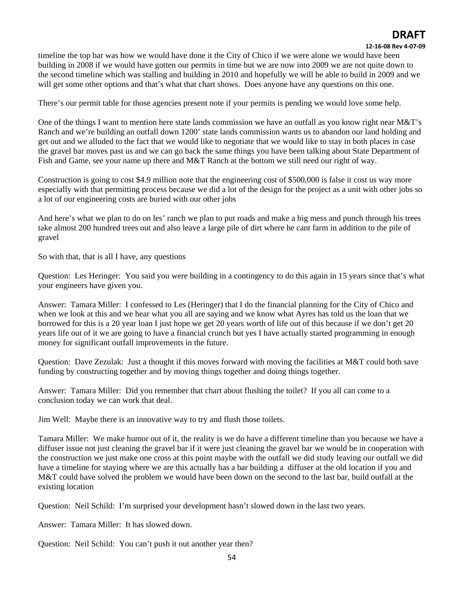#### **12‐16‐08 Rev 4‐07‐09**

timeline the top bar was how we would have done it the City of Chico if we were alone we would have been building in 2008 if we would have gotten our permits in time but we are now into 2009 we are not quite down to the second timeline which was stalling and building in 2010 and hopefully we will be able to build in 2009 and we will get some other options and that's what that chart shows. Does anyone have any questions on this one.

There's our permit table for those agencies present note if your permits is pending we would love some help.

One of the things I want to mention here state lands commission we have an outfall as you know right near M&T's Ranch and we're building an outfall down 1200' state lands commission wants us to abandon our land holding and get out and we alluded to the fact that we would like to negotiate that we would like to stay in both places in case the gravel bar moves past us and we can go back the same things you have been talking about State Department of Fish and Game, see your name up there and M&T Ranch at the bottom we still need our right of way.

Construction is going to cost \$4.9 million note that the engineering cost of \$500,000 is false it cost us way more especially with that permitting process because we did a lot of the design for the project as a unit with other jobs so a lot of our engineering costs are buried with our other jobs

And here's what we plan to do on les' ranch we plan to put roads and make a big mess and punch through his trees take almost 200 hundred trees out and also leave a large pile of dirt where he cant farm in addition to the pile of gravel

So with that, that is all I have, any questions

Question: Les Heringer: You said you were building in a contingency to do this again in 15 years since that's what your engineers have given you.

Answer: Tamara Miller: I confessed to Les (Heringer) that I do the financial planning for the City of Chico and when we look at this and we hear what you all are saying and we know what Ayres has told us the loan that we borrowed for this is a 20 year loan I just hope we get 20 years worth of life out of this because if we don't get 20 years life out of it we are going to have a financial crunch but yes I have actually started programming in enough money for significant outfall improvements in the future.

Question: Dave Zezulak: Just a thought if this moves forward with moving the facilities at M&T could both save funding by constructing together and by moving things together and doing things together.

Answer: Tamara Miller: Did you remember that chart about flushing the toilet? If you all can come to a conclusion today we can work that deal.

Jim Well: Maybe there is an innovative way to try and flush those toilets.

Tamara Miller: We make humor out of it, the reality is we do have a different timeline than you because we have a diffuser issue not just cleaning the gravel bar if it were just cleaning the gravel bar we would be in cooperation with the construction we just make one cross at this point maybe with the outfall we did study leaving our outfall we did have a timeline for staying where we are this actually has a bar building a diffuser at the old location if you and M&T could have solved the problem we would have been down on the second to the last bar, build outfall at the existing location

Question: Neil Schild: I'm surprised your development hasn't slowed down in the last two years.

Answer: Tamara Miller: It has slowed down.

Question: Neil Schild: You can't push it out another year then?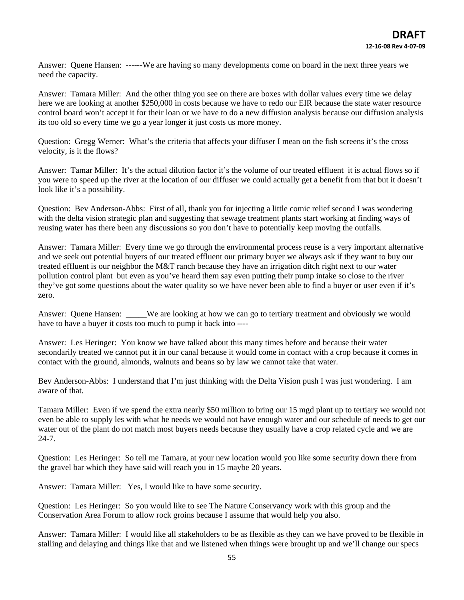Answer: Quene Hansen: ------We are having so many developments come on board in the next three years we need the capacity.

Answer: Tamara Miller: And the other thing you see on there are boxes with dollar values every time we delay here we are looking at another \$250,000 in costs because we have to redo our EIR because the state water resource control board won't accept it for their loan or we have to do a new diffusion analysis because our diffusion analysis its too old so every time we go a year longer it just costs us more money.

Question: Gregg Werner: What's the criteria that affects your diffuser I mean on the fish screens it's the cross velocity, is it the flows?

Answer: Tamar Miller: It's the actual dilution factor it's the volume of our treated effluent it is actual flows so if you were to speed up the river at the location of our diffuser we could actually get a benefit from that but it doesn't look like it's a possibility.

Question: Bev Anderson-Abbs: First of all, thank you for injecting a little comic relief second I was wondering with the delta vision strategic plan and suggesting that sewage treatment plants start working at finding ways of reusing water has there been any discussions so you don't have to potentially keep moving the outfalls.

Answer: Tamara Miller: Every time we go through the environmental process reuse is a very important alternative and we seek out potential buyers of our treated effluent our primary buyer we always ask if they want to buy our treated effluent is our neighbor the M&T ranch because they have an irrigation ditch right next to our water pollution control plant but even as you've heard them say even putting their pump intake so close to the river they've got some questions about the water quality so we have never been able to find a buyer or user even if it's zero.

Answer: Quene Hansen: \_\_\_\_\_We are looking at how we can go to tertiary treatment and obviously we would have to have a buyer it costs too much to pump it back into ----

Answer: Les Heringer: You know we have talked about this many times before and because their water secondarily treated we cannot put it in our canal because it would come in contact with a crop because it comes in contact with the ground, almonds, walnuts and beans so by law we cannot take that water.

Bev Anderson-Abbs: I understand that I'm just thinking with the Delta Vision push I was just wondering. I am aware of that.

Tamara Miller: Even if we spend the extra nearly \$50 million to bring our 15 mgd plant up to tertiary we would not even be able to supply les with what he needs we would not have enough water and our schedule of needs to get our water out of the plant do not match most buyers needs because they usually have a crop related cycle and we are 24-7.

Question: Les Heringer: So tell me Tamara, at your new location would you like some security down there from the gravel bar which they have said will reach you in 15 maybe 20 years.

Answer: Tamara Miller: Yes, I would like to have some security.

Question: Les Heringer: So you would like to see The Nature Conservancy work with this group and the Conservation Area Forum to allow rock groins because I assume that would help you also.

Answer: Tamara Miller: I would like all stakeholders to be as flexible as they can we have proved to be flexible in stalling and delaying and things like that and we listened when things were brought up and we'll change our specs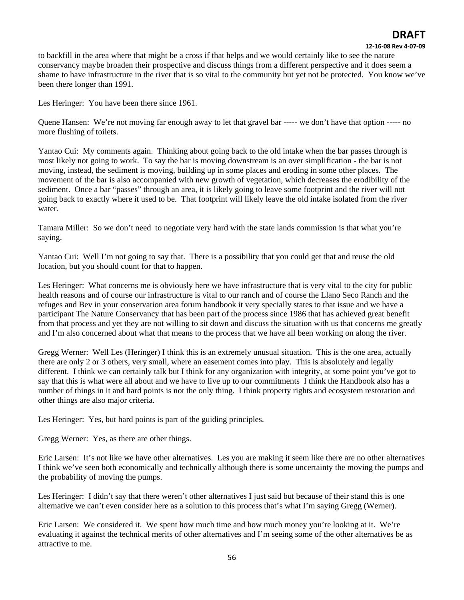#### **12‐16‐08 Rev 4‐07‐09**

to backfill in the area where that might be a cross if that helps and we would certainly like to see the nature conservancy maybe broaden their prospective and discuss things from a different perspective and it does seem a shame to have infrastructure in the river that is so vital to the community but yet not be protected. You know we've been there longer than 1991.

Les Heringer: You have been there since 1961.

Quene Hansen: We're not moving far enough away to let that gravel bar ----- we don't have that option ----- no more flushing of toilets.

Yantao Cui: My comments again. Thinking about going back to the old intake when the bar passes through is most likely not going to work. To say the bar is moving downstream is an over simplification - the bar is not moving, instead, the sediment is moving, building up in some places and eroding in some other places. The movement of the bar is also accompanied with new growth of vegetation, which decreases the erodibility of the sediment. Once a bar "passes" through an area, it is likely going to leave some footprint and the river will not going back to exactly where it used to be. That footprint will likely leave the old intake isolated from the river water.

Tamara Miller: So we don't need to negotiate very hard with the state lands commission is that what you're saying.

Yantao Cui: Well I'm not going to say that. There is a possibility that you could get that and reuse the old location, but you should count for that to happen.

Les Heringer: What concerns me is obviously here we have infrastructure that is very vital to the city for public health reasons and of course our infrastructure is vital to our ranch and of course the Llano Seco Ranch and the refuges and Bev in your conservation area forum handbook it very specially states to that issue and we have a participant The Nature Conservancy that has been part of the process since 1986 that has achieved great benefit from that process and yet they are not willing to sit down and discuss the situation with us that concerns me greatly and I'm also concerned about what that means to the process that we have all been working on along the river.

Gregg Werner: Well Les (Heringer) I think this is an extremely unusual situation. This is the one area, actually there are only 2 or 3 others, very small, where an easement comes into play. This is absolutely and legally different. I think we can certainly talk but I think for any organization with integrity, at some point you've got to say that this is what were all about and we have to live up to our commitments I think the Handbook also has a number of things in it and hard points is not the only thing. I think property rights and ecosystem restoration and other things are also major criteria.

Les Heringer: Yes, but hard points is part of the guiding principles.

Gregg Werner: Yes, as there are other things.

Eric Larsen: It's not like we have other alternatives. Les you are making it seem like there are no other alternatives I think we've seen both economically and technically although there is some uncertainty the moving the pumps and the probability of moving the pumps.

Les Heringer: I didn't say that there weren't other alternatives I just said but because of their stand this is one alternative we can't even consider here as a solution to this process that's what I'm saying Gregg (Werner).

Eric Larsen: We considered it. We spent how much time and how much money you're looking at it. We're evaluating it against the technical merits of other alternatives and I'm seeing some of the other alternatives be as attractive to me.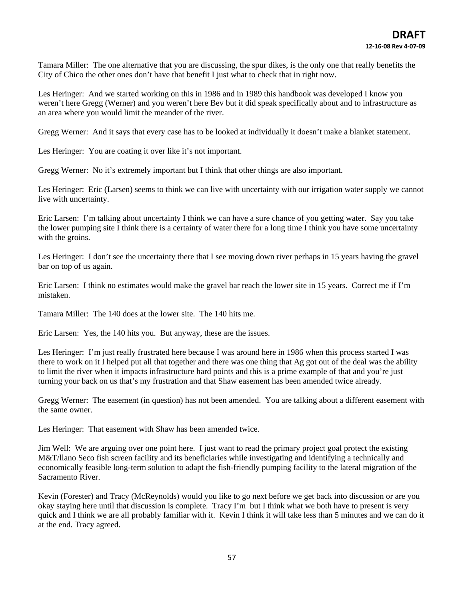Tamara Miller: The one alternative that you are discussing, the spur dikes, is the only one that really benefits the City of Chico the other ones don't have that benefit I just what to check that in right now.

Les Heringer: And we started working on this in 1986 and in 1989 this handbook was developed I know you weren't here Gregg (Werner) and you weren't here Bev but it did speak specifically about and to infrastructure as an area where you would limit the meander of the river.

Gregg Werner: And it says that every case has to be looked at individually it doesn't make a blanket statement.

Les Heringer: You are coating it over like it's not important.

Gregg Werner: No it's extremely important but I think that other things are also important.

Les Heringer: Eric (Larsen) seems to think we can live with uncertainty with our irrigation water supply we cannot live with uncertainty.

Eric Larsen: I'm talking about uncertainty I think we can have a sure chance of you getting water. Say you take the lower pumping site I think there is a certainty of water there for a long time I think you have some uncertainty with the groins.

Les Heringer: I don't see the uncertainty there that I see moving down river perhaps in 15 years having the gravel bar on top of us again.

Eric Larsen: I think no estimates would make the gravel bar reach the lower site in 15 years. Correct me if I'm mistaken.

Tamara Miller: The 140 does at the lower site. The 140 hits me.

Eric Larsen: Yes, the 140 hits you. But anyway, these are the issues.

Les Heringer: I'm just really frustrated here because I was around here in 1986 when this process started I was there to work on it I helped put all that together and there was one thing that Ag got out of the deal was the ability to limit the river when it impacts infrastructure hard points and this is a prime example of that and you're just turning your back on us that's my frustration and that Shaw easement has been amended twice already.

Gregg Werner: The easement (in question) has not been amended. You are talking about a different easement with the same owner.

Les Heringer: That easement with Shaw has been amended twice.

Jim Well: We are arguing over one point here. I just want to read the primary project goal protect the existing M&T/llano Seco fish screen facility and its beneficiaries while investigating and identifying a technically and economically feasible long-term solution to adapt the fish-friendly pumping facility to the lateral migration of the Sacramento River.

Kevin (Forester) and Tracy (McReynolds) would you like to go next before we get back into discussion or are you okay staying here until that discussion is complete. Tracy I'm but I think what we both have to present is very quick and I think we are all probably familiar with it. Kevin I think it will take less than 5 minutes and we can do it at the end. Tracy agreed.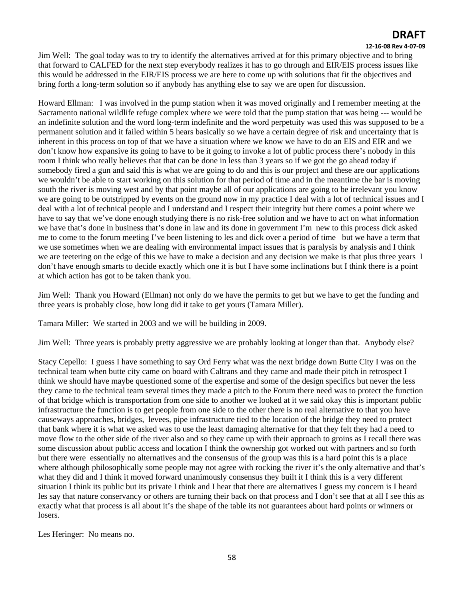#### **12‐16‐08 Rev 4‐07‐09**

Jim Well: The goal today was to try to identify the alternatives arrived at for this primary objective and to bring that forward to CALFED for the next step everybody realizes it has to go through and EIR/EIS process issues like this would be addressed in the EIR/EIS process we are here to come up with solutions that fit the objectives and bring forth a long-term solution so if anybody has anything else to say we are open for discussion.

Howard Ellman: I was involved in the pump station when it was moved originally and I remember meeting at the Sacramento national wildlife refuge complex where we were told that the pump station that was being --- would be an indefinite solution and the word long-term indefinite and the word perpetuity was used this was supposed to be a permanent solution and it failed within 5 hears basically so we have a certain degree of risk and uncertainty that is inherent in this process on top of that we have a situation where we know we have to do an EIS and EIR and we don't know how expansive its going to have to be it going to invoke a lot of public process there's nobody in this room I think who really believes that that can be done in less than 3 years so if we got the go ahead today if somebody fired a gun and said this is what we are going to do and this is our project and these are our applications we wouldn't be able to start working on this solution for that period of time and in the meantime the bar is moving south the river is moving west and by that point maybe all of our applications are going to be irrelevant you know we are going to be outstripped by events on the ground now in my practice I deal with a lot of technical issues and I deal with a lot of technical people and I understand and I respect their integrity but there comes a point where we have to say that we've done enough studying there is no risk-free solution and we have to act on what information we have that's done in business that's done in law and its done in government I'm new to this process dick asked me to come to the forum meeting I've been listening to les and dick over a period of time but we have a term that we use sometimes when we are dealing with environmental impact issues that is paralysis by analysis and I think we are teetering on the edge of this we have to make a decision and any decision we make is that plus three years I don't have enough smarts to decide exactly which one it is but I have some inclinations but I think there is a point at which action has got to be taken thank you.

Jim Well: Thank you Howard (Ellman) not only do we have the permits to get but we have to get the funding and three years is probably close, how long did it take to get yours (Tamara Miller).

Tamara Miller: We started in 2003 and we will be building in 2009.

Jim Well: Three years is probably pretty aggressive we are probably looking at longer than that. Anybody else?

Stacy Cepello: I guess I have something to say Ord Ferry what was the next bridge down Butte City I was on the technical team when butte city came on board with Caltrans and they came and made their pitch in retrospect I think we should have maybe questioned some of the expertise and some of the design specifics but never the less they came to the technical team several times they made a pitch to the Forum there need was to protect the function of that bridge which is transportation from one side to another we looked at it we said okay this is important public infrastructure the function is to get people from one side to the other there is no real alternative to that you have causeways approaches, bridges, levees, pipe infrastructure tied to the location of the bridge they need to protect that bank where it is what we asked was to use the least damaging alternative for that they felt they had a need to move flow to the other side of the river also and so they came up with their approach to groins as I recall there was some discussion about public access and location I think the ownership got worked out with partners and so forth but there were essentially no alternatives and the consensus of the group was this is a hard point this is a place where although philosophically some people may not agree with rocking the river it's the only alternative and that's what they did and I think it moved forward unanimously consensus they built it I think this is a very different situation I think its public but its private I think and I hear that there are alternatives I guess my concern is I heard les say that nature conservancy or others are turning their back on that process and I don't see that at all I see this as exactly what that process is all about it's the shape of the table its not guarantees about hard points or winners or losers.

Les Heringer: No means no.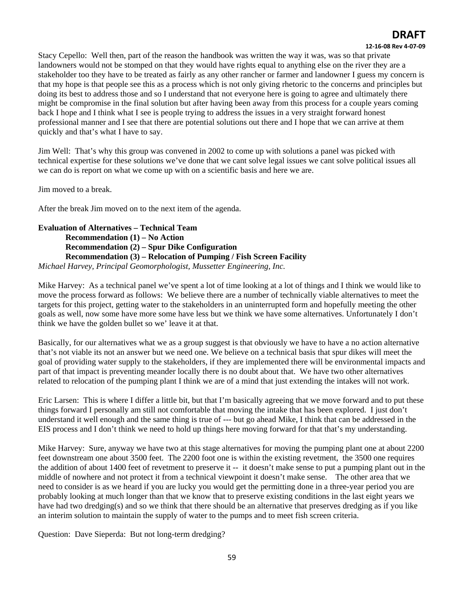### **12‐16‐08 Rev 4‐07‐09**

Stacy Cepello: Well then, part of the reason the handbook was written the way it was, was so that private landowners would not be stomped on that they would have rights equal to anything else on the river they are a stakeholder too they have to be treated as fairly as any other rancher or farmer and landowner I guess my concern is that my hope is that people see this as a process which is not only giving rhetoric to the concerns and principles but doing its best to address those and so I understand that not everyone here is going to agree and ultimately there might be compromise in the final solution but after having been away from this process for a couple years coming back I hope and I think what I see is people trying to address the issues in a very straight forward honest professional manner and I see that there are potential solutions out there and I hope that we can arrive at them quickly and that's what I have to say.

Jim Well: That's why this group was convened in 2002 to come up with solutions a panel was picked with technical expertise for these solutions we've done that we cant solve legal issues we cant solve political issues all we can do is report on what we come up with on a scientific basis and here we are.

Jim moved to a break.

After the break Jim moved on to the next item of the agenda.

### **Evaluation of Alternatives – Technical Team Recommendation (1) – No Action Recommendation (2) – Spur Dike Configuration Recommendation (3) – Relocation of Pumping / Fish Screen Facility**  *Michael Harvey, Principal Geomorphologist, Mussetter Engineering, Inc.*

Mike Harvey: As a technical panel we've spent a lot of time looking at a lot of things and I think we would like to move the process forward as follows: We believe there are a number of technically viable alternatives to meet the targets for this project, getting water to the stakeholders in an uninterrupted form and hopefully meeting the other goals as well, now some have more some have less but we think we have some alternatives. Unfortunately I don't think we have the golden bullet so we' leave it at that.

Basically, for our alternatives what we as a group suggest is that obviously we have to have a no action alternative that's not viable its not an answer but we need one. We believe on a technical basis that spur dikes will meet the goal of providing water supply to the stakeholders, if they are implemented there will be environmental impacts and part of that impact is preventing meander locally there is no doubt about that. We have two other alternatives related to relocation of the pumping plant I think we are of a mind that just extending the intakes will not work.

Eric Larsen: This is where I differ a little bit, but that I'm basically agreeing that we move forward and to put these things forward I personally am still not comfortable that moving the intake that has been explored. I just don't understand it well enough and the same thing is true of --- but go ahead Mike, I think that can be addressed in the EIS process and I don't think we need to hold up things here moving forward for that that's my understanding.

Mike Harvey: Sure, anyway we have two at this stage alternatives for moving the pumping plant one at about 2200 feet downstream one about 3500 feet. The 2200 foot one is within the existing revetment, the 3500 one requires the addition of about 1400 feet of revetment to preserve it -- it doesn't make sense to put a pumping plant out in the middle of nowhere and not protect it from a technical viewpoint it doesn't make sense. The other area that we need to consider is as we heard if you are lucky you would get the permitting done in a three-year period you are probably looking at much longer than that we know that to preserve existing conditions in the last eight years we have had two dredging(s) and so we think that there should be an alternative that preserves dredging as if you like an interim solution to maintain the supply of water to the pumps and to meet fish screen criteria.

Question: Dave Sieperda: But not long-term dredging?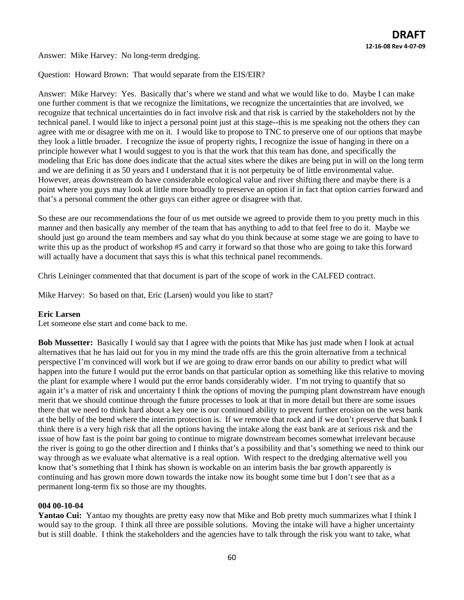Answer: Mike Harvey: No long-term dredging.

Question: Howard Brown: That would separate from the EIS/EIR?

Answer: Mike Harvey: Yes. Basically that's where we stand and what we would like to do. Maybe I can make one further comment is that we recognize the limitations, we recognize the uncertainties that are involved, we recognize that technical uncertainties do in fact involve risk and that risk is carried by the stakeholders not by the technical panel. I would like to inject a personal point just at this stage--this is me speaking not the others they can agree with me or disagree with me on it. I would like to propose to TNC to preserve one of our options that maybe they look a little broader. I recognize the issue of property rights, I recognize the issue of hanging in there on a principle however what I would suggest to you is that the work that this team has done, and specifically the modeling that Eric has done does indicate that the actual sites where the dikes are being put in will on the long term and we are defining it as 50 years and I understand that it is not perpetuity be of little environmental value. However, areas downstream do have considerable ecological value and river shifting there and maybe there is a point where you guys may look at little more broadly to preserve an option if in fact that option carries forward and that's a personal comment the other guys can either agree or disagree with that.

So these are our recommendations the four of us met outside we agreed to provide them to you pretty much in this manner and then basically any member of the team that has anything to add to that feel free to do it. Maybe we should just go around the team members and say what do you think because at some stage we are going to have to write this up as the product of workshop #5 and carry it forward so that those who are going to take this forward will actually have a document that says this is what this technical panel recommends.

Chris Leininger commented that that document is part of the scope of work in the CALFED contract.

Mike Harvey: So based on that, Eric (Larsen) would you like to start?

#### **Eric Larsen**

Let someone else start and come back to me.

**Bob Mussetter:** Basically I would say that I agree with the points that Mike has just made when I look at actual alternatives that he has laid out for you in my mind the trade offs are this the groin alternative from a technical perspective I'm convinced will work but if we are going to draw error bands on our ability to predict what will happen into the future I would put the error bands on that particular option as something like this relative to moving the plant for example where I would put the error bands considerably wider. I'm not trying to quantify that so again it's a matter of risk and uncertainty I think the options of moving the pumping plant downstream have enough merit that we should continue through the future processes to look at that in more detail but there are some issues there that we need to think hard about a key one is our continued ability to prevent further erosion on the west bank at the belly of the bend where the interim protection is. If we remove that rock and if we don't preserve that bank I think there is a very high risk that all the options having the intake along the east bank are at serious risk and the issue of how fast is the point bar going to continue to migrate downstream becomes somewhat irrelevant because the river is going to go the other direction and I thinks that's a possibility and that's something we need to think our way through as we evaluate what alternative is a real option. With respect to the dredging alternative well you know that's something that I think has shown is workable on an interim basis the bar growth apparently is continuing and has grown more down towards the intake now its bought some time but I don't see that as a permanent long-term fix so those are my thoughts.

#### **004 00-10-04**

**Yantao Cui:** Yantao my thoughts are pretty easy now that Mike and Bob pretty much summarizes what I think I would say to the group. I think all three are possible solutions. Moving the intake will have a higher uncertainty but is still doable. I think the stakeholders and the agencies have to talk through the risk you want to take, what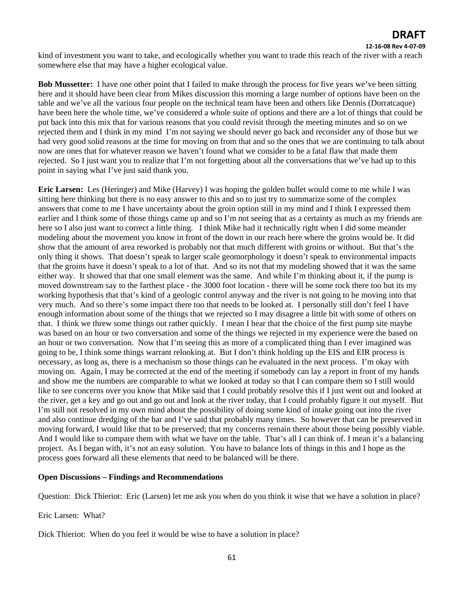#### **12‐16‐08 Rev 4‐07‐09**

kind of investment you want to take, and ecologically whether you want to trade this reach of the river with a reach somewhere else that may have a higher ecological value.

**Bob Mussetter:** I have one other point that I failed to make through the process for five years we've been sitting here and it should have been clear from Mikes discussion this morning a large number of options have been on the table and we've all the various four people on the technical team have been and others like Dennis (Dorratcaque) have been here the whole time, we've considered a whole suite of options and there are a lot of things that could be put back into this mix that for various reasons that you could revisit through the meeting minutes and so on we rejected them and I think in my mind I'm not saying we should never go back and reconsider any of those but we had very good solid reasons at the time for moving on from that and so the ones that we are continuing to talk about now are ones that for whatever reason we haven't found what we consider to be a fatal flaw that made them rejected. So I just want you to realize that I'm not forgetting about all the conversations that we've had up to this point in saying what I've just said thank you.

**Eric Larsen:** Les (Heringer) and Mike (Harvey) I was hoping the golden bullet would come to me while I was sitting here thinking but there is no easy answer to this and so to just try to summarize some of the complex answers that come to me I have uncertainty about the groin option still in my mind and I think I expressed them earlier and I think some of those things came up and so I'm not seeing that as a certainty as much as my friends are here so I also just want to correct a little thing. I think Mike had it technically right when I did some meander modeling about the movement you know in front of the down in our reach here where the groins would be. It did show that the amount of area reworked is probably not that much different with groins or without. But that's the only thing it shows. That doesn't speak to larger scale geomorphology it doesn't speak to environmental impacts that the groins have it doesn't speak to a lot of that. And so its not that my modeling showed that it was the same either way. It showed that that one small element was the same. And while I'm thinking about it, if the pump is moved downstream say to the farthest place - the 3000 foot location - there will be some rock there too but its my working hypothesis that that's kind of a geologic control anyway and the river is not going to be moving into that very much. And so there's some impact there too that needs to be looked at. I personally still don't feel I have enough information about some of the things that we rejected so I may disagree a little bit with some of others on that. I think we threw some things out rather quickly. I mean I hear that the choice of the first pump site maybe was based on an hour or two conversation and some of the things we rejected in my experience were the based on an hour or two conversation. Now that I'm seeing this as more of a complicated thing than I ever imagined was going to be, I think some things warrant relooking at. But I don't think holding up the EIS and EIR process is necessary, as long as, there is a mechanism so those things can be evaluated in the next process. I'm okay with moving on. Again, I may be corrected at the end of the meeting if somebody can lay a report in front of my hands and show me the numbers are comparable to what we looked at today so that I can compare them so I still would like to see concerns over you know that Mike said that I could probably resolve this if I just went out and looked at the river, get a key and go out and go out and look at the river today, that I could probably figure it out myself. But I'm still not resolved in my own mind about the possibility of doing some kind of intake going out into the river and also continue dredging of the bar and I've said that probably many times. So however that can be preserved in moving forward, I would like that to be preserved; that my concerns remain there about those being possibly viable. And I would like to compare them with what we have on the table. That's all I can think of. I mean it's a balancing project. As I began with, it's not an easy solution. You have to balance lots of things in this and I hope as the process goes forward all these elements that need to be balanced will be there.

### **Open Discussions – Findings and Recommendations**

Question: Dick Thieriot: Eric (Larsen) let me ask you when do you think it wise that we have a solution in place?

Eric Larsen: What?

Dick Thieriot: When do you feel it would be wise to have a solution in place?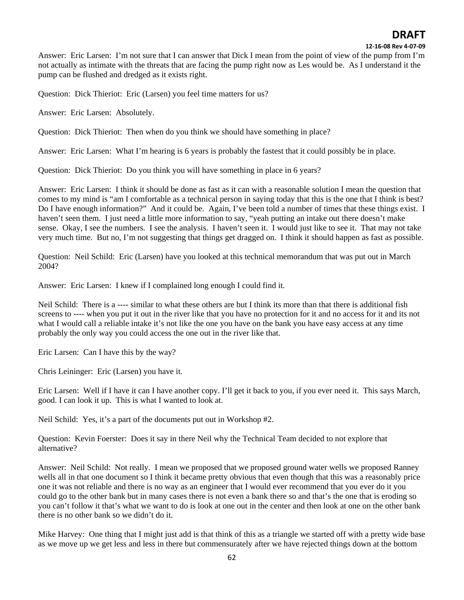**12‐16‐08 Rev 4‐07‐09**

Answer: Eric Larsen: I'm not sure that I can answer that Dick I mean from the point of view of the pump from I'm not actually as intimate with the threats that are facing the pump right now as Les would be. As I understand it the pump can be flushed and dredged as it exists right.

Question: Dick Thieriot: Eric (Larsen) you feel time matters for us?

Answer: Eric Larsen: Absolutely.

Question: Dick Thieriot: Then when do you think we should have something in place?

Answer: Eric Larsen: What I'm hearing is 6 years is probably the fastest that it could possibly be in place.

Question: Dick Thieriot: Do you think you will have something in place in 6 years?

Answer: Eric Larsen: I think it should be done as fast as it can with a reasonable solution I mean the question that comes to my mind is "am I comfortable as a technical person in saying today that this is the one that I think is best? Do I have enough information?" And it could be. Again, I've been told a number of times that these things exist. I haven't seen them. I just need a little more information to say, "yeah putting an intake out there doesn't make sense. Okay, I see the numbers. I see the analysis. I haven't seen it. I would just like to see it. That may not take very much time. But no, I'm not suggesting that things get dragged on. I think it should happen as fast as possible.

Question: Neil Schild: Eric (Larsen) have you looked at this technical memorandum that was put out in March 2004?

Answer: Eric Larsen: I knew if I complained long enough I could find it.

Neil Schild: There is a ---- similar to what these others are but I think its more than that there is additional fish screens to ---- when you put it out in the river like that you have no protection for it and no access for it and its not what I would call a reliable intake it's not like the one you have on the bank you have easy access at any time probably the only way you could access the one out in the river like that.

Eric Larsen: Can I have this by the way?

Chris Leininger: Eric (Larsen) you have it.

Eric Larsen: Well if I have it can I have another copy. I'll get it back to you, if you ever need it. This says March, good. I can look it up. This is what I wanted to look at.

Neil Schild: Yes, it's a part of the documents put out in Workshop #2.

Question: Kevin Foerster: Does it say in there Neil why the Technical Team decided to not explore that alternative?

Answer: Neil Schild: Not really. I mean we proposed that we proposed ground water wells we proposed Ranney wells all in that one document so I think it became pretty obvious that even though that this was a reasonably price one it was not reliable and there is no way as an engineer that I would ever recommend that you ever do it you could go to the other bank but in many cases there is not even a bank there so and that's the one that is eroding so you can't follow it that's what we want to do is look at one out in the center and then look at one on the other bank there is no other bank so we didn't do it.

Mike Harvey: One thing that I might just add is that think of this as a triangle we started off with a pretty wide base as we move up we get less and less in there but commensurately after we have rejected things down at the bottom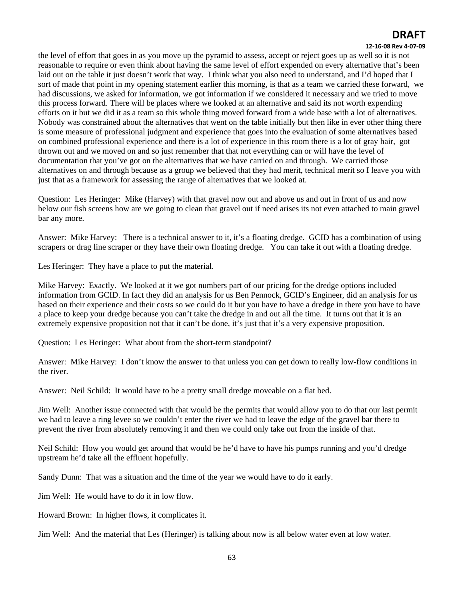#### **12‐16‐08 Rev 4‐07‐09**

the level of effort that goes in as you move up the pyramid to assess, accept or reject goes up as well so it is not reasonable to require or even think about having the same level of effort expended on every alternative that's been laid out on the table it just doesn't work that way. I think what you also need to understand, and I'd hoped that I sort of made that point in my opening statement earlier this morning, is that as a team we carried these forward, we had discussions, we asked for information, we got information if we considered it necessary and we tried to move this process forward. There will be places where we looked at an alternative and said its not worth expending efforts on it but we did it as a team so this whole thing moved forward from a wide base with a lot of alternatives. Nobody was constrained about the alternatives that went on the table initially but then like in ever other thing there is some measure of professional judgment and experience that goes into the evaluation of some alternatives based on combined professional experience and there is a lot of experience in this room there is a lot of gray hair, got thrown out and we moved on and so just remember that that not everything can or will have the level of documentation that you've got on the alternatives that we have carried on and through. We carried those alternatives on and through because as a group we believed that they had merit, technical merit so I leave you with just that as a framework for assessing the range of alternatives that we looked at.

Question: Les Heringer: Mike (Harvey) with that gravel now out and above us and out in front of us and now below our fish screens how are we going to clean that gravel out if need arises its not even attached to main gravel bar any more.

Answer: Mike Harvey: There is a technical answer to it, it's a floating dredge. GCID has a combination of using scrapers or drag line scraper or they have their own floating dredge. You can take it out with a floating dredge.

Les Heringer: They have a place to put the material.

Mike Harvey: Exactly. We looked at it we got numbers part of our pricing for the dredge options included information from GCID. In fact they did an analysis for us Ben Pennock, GCID's Engineer, did an analysis for us based on their experience and their costs so we could do it but you have to have a dredge in there you have to have a place to keep your dredge because you can't take the dredge in and out all the time. It turns out that it is an extremely expensive proposition not that it can't be done, it's just that it's a very expensive proposition.

Question: Les Heringer: What about from the short-term standpoint?

Answer: Mike Harvey: I don't know the answer to that unless you can get down to really low-flow conditions in the river.

Answer: Neil Schild: It would have to be a pretty small dredge moveable on a flat bed.

Jim Well: Another issue connected with that would be the permits that would allow you to do that our last permit we had to leave a ring levee so we couldn't enter the river we had to leave the edge of the gravel bar there to prevent the river from absolutely removing it and then we could only take out from the inside of that.

Neil Schild: How you would get around that would be he'd have to have his pumps running and you'd dredge upstream he'd take all the effluent hopefully.

Sandy Dunn: That was a situation and the time of the year we would have to do it early.

Jim Well: He would have to do it in low flow.

Howard Brown: In higher flows, it complicates it.

Jim Well: And the material that Les (Heringer) is talking about now is all below water even at low water.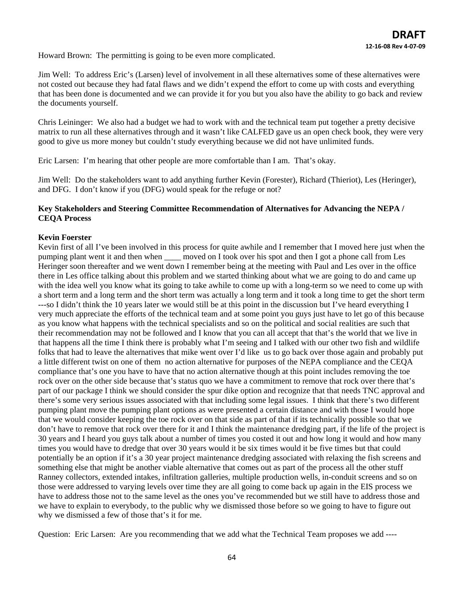Howard Brown: The permitting is going to be even more complicated.

Jim Well: To address Eric's (Larsen) level of involvement in all these alternatives some of these alternatives were not costed out because they had fatal flaws and we didn't expend the effort to come up with costs and everything that has been done is documented and we can provide it for you but you also have the ability to go back and review the documents yourself.

Chris Leininger: We also had a budget we had to work with and the technical team put together a pretty decisive matrix to run all these alternatives through and it wasn't like CALFED gave us an open check book, they were very good to give us more money but couldn't study everything because we did not have unlimited funds.

Eric Larsen: I'm hearing that other people are more comfortable than I am. That's okay.

Jim Well: Do the stakeholders want to add anything further Kevin (Forester), Richard (Thieriot), Les (Heringer), and DFG. I don't know if you (DFG) would speak for the refuge or not?

### **Key Stakeholders and Steering Committee Recommendation of Alternatives for Advancing the NEPA / CEQA Process**

### **Kevin Foerster**

Kevin first of all I've been involved in this process for quite awhile and I remember that I moved here just when the pumping plant went it and then when \_\_\_\_ moved on I took over his spot and then I got a phone call from Les Heringer soon thereafter and we went down I remember being at the meeting with Paul and Les over in the office there in Les office talking about this problem and we started thinking about what we are going to do and came up with the idea well you know what its going to take awhile to come up with a long-term so we need to come up with a short term and a long term and the short term was actually a long term and it took a long time to get the short term ---so I didn't think the 10 years later we would still be at this point in the discussion but I've heard everything I very much appreciate the efforts of the technical team and at some point you guys just have to let go of this because as you know what happens with the technical specialists and so on the political and social realities are such that their recommendation may not be followed and I know that you can all accept that that's the world that we live in that happens all the time I think there is probably what I'm seeing and I talked with our other two fish and wildlife folks that had to leave the alternatives that mike went over I'd like us to go back over those again and probably put a little different twist on one of them no action alternative for purposes of the NEPA compliance and the CEQA compliance that's one you have to have that no action alternative though at this point includes removing the toe rock over on the other side because that's status quo we have a commitment to remove that rock over there that's part of our package I think we should consider the spur dike option and recognize that that needs TNC approval and there's some very serious issues associated with that including some legal issues. I think that there's two different pumping plant move the pumping plant options as were presented a certain distance and with those I would hope that we would consider keeping the toe rock over on that side as part of that if its technically possible so that we don't have to remove that rock over there for it and I think the maintenance dredging part, if the life of the project is 30 years and I heard you guys talk about a number of times you costed it out and how long it would and how many times you would have to dredge that over 30 years would it be six times would it be five times but that could potentially be an option if it's a 30 year project maintenance dredging associated with relaxing the fish screens and something else that might be another viable alternative that comes out as part of the process all the other stuff Ranney collectors, extended intakes, infiltration galleries, multiple production wells, in-conduit screens and so on those were addressed to varying levels over time they are all going to come back up again in the EIS process we have to address those not to the same level as the ones you've recommended but we still have to address those and we have to explain to everybody, to the public why we dismissed those before so we going to have to figure out why we dismissed a few of those that's it for me.

Question: Eric Larsen: Are you recommending that we add what the Technical Team proposes we add ----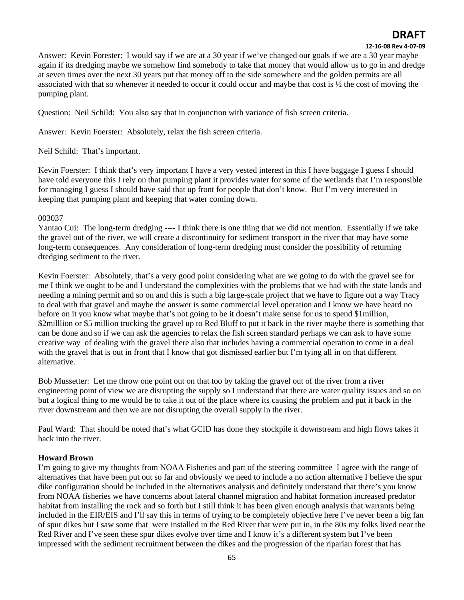### **12‐16‐08 Rev 4‐07‐09**

Answer: Kevin Forester: I would say if we are at a 30 year if we've changed our goals if we are a 30 year maybe again if its dredging maybe we somehow find somebody to take that money that would allow us to go in and dredge at seven times over the next 30 years put that money off to the side somewhere and the golden permits are all associated with that so whenever it needed to occur it could occur and maybe that cost is ½ the cost of moving the pumping plant.

Question: Neil Schild: You also say that in conjunction with variance of fish screen criteria.

Answer: Kevin Foerster: Absolutely, relax the fish screen criteria.

Neil Schild: That's important.

Kevin Foerster: I think that's very important I have a very vested interest in this I have baggage I guess I should have told everyone this I rely on that pumping plant it provides water for some of the wetlands that I'm responsible for managing I guess I should have said that up front for people that don't know. But I'm very interested in keeping that pumping plant and keeping that water coming down.

### 003037

Yantao Cui: The long-term dredging ---- I think there is one thing that we did not mention. Essentially if we take the gravel out of the river, we will create a discontinuity for sediment transport in the river that may have some long-term consequences. Any consideration of long-term dredging must consider the possibility of returning dredging sediment to the river.

Kevin Foerster: Absolutely, that's a very good point considering what are we going to do with the gravel see for me I think we ought to be and I understand the complexities with the problems that we had with the state lands and needing a mining permit and so on and this is such a big large-scale project that we have to figure out a way Tracy to deal with that gravel and maybe the answer is some commercial level operation and I know we have heard no before on it you know what maybe that's not going to be it doesn't make sense for us to spend \$1million, \$2milllion or \$5 million trucking the gravel up to Red Bluff to put it back in the river maybe there is something that can be done and so if we can ask the agencies to relax the fish screen standard perhaps we can ask to have some creative way of dealing with the gravel there also that includes having a commercial operation to come in a deal with the gravel that is out in front that I know that got dismissed earlier but I'm tying all in on that different alternative.

Bob Mussetter: Let me throw one point out on that too by taking the gravel out of the river from a river engineering point of view we are disrupting the supply so I understand that there are water quality issues and so on but a logical thing to me would be to take it out of the place where its causing the problem and put it back in the river downstream and then we are not disrupting the overall supply in the river.

Paul Ward: That should be noted that's what GCID has done they stockpile it downstream and high flows takes it back into the river.

### **Howard Brown**

I'm going to give my thoughts from NOAA Fisheries and part of the steering committee I agree with the range of alternatives that have been put out so far and obviously we need to include a no action alternative I believe the spur dike configuration should be included in the alternatives analysis and definitely understand that there's you know from NOAA fisheries we have concerns about lateral channel migration and habitat formation increased predator habitat from installing the rock and so forth but I still think it has been given enough analysis that warrants being included in the EIR/EIS and I'll say this in terms of trying to be completely objective here I've never been a big fan of spur dikes but I saw some that were installed in the Red River that were put in, in the 80s my folks lived near the Red River and I've seen these spur dikes evolve over time and I know it's a different system but I've been impressed with the sediment recruitment between the dikes and the progression of the riparian forest that has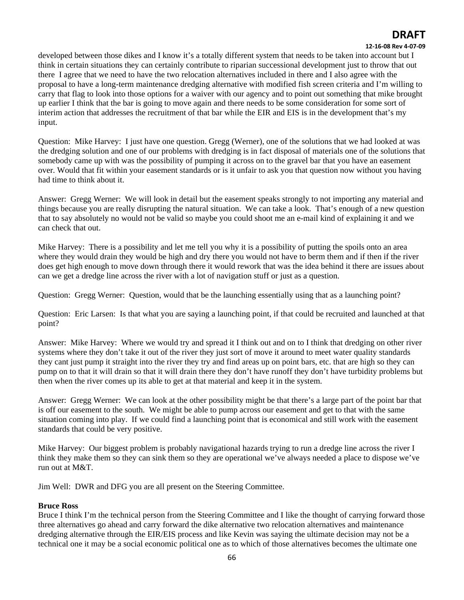#### **12‐16‐08 Rev 4‐07‐09**

developed between those dikes and I know it's a totally different system that needs to be taken into account but I think in certain situations they can certainly contribute to riparian successional development just to throw that out there I agree that we need to have the two relocation alternatives included in there and I also agree with the proposal to have a long-term maintenance dredging alternative with modified fish screen criteria and I'm willing to carry that flag to look into those options for a waiver with our agency and to point out something that mike brought up earlier I think that the bar is going to move again and there needs to be some consideration for some sort of interim action that addresses the recruitment of that bar while the EIR and EIS is in the development that's my input.

Question: Mike Harvey: I just have one question. Gregg (Werner), one of the solutions that we had looked at was the dredging solution and one of our problems with dredging is in fact disposal of materials one of the solutions that somebody came up with was the possibility of pumping it across on to the gravel bar that you have an easement over. Would that fit within your easement standards or is it unfair to ask you that question now without you having had time to think about it.

Answer: Gregg Werner: We will look in detail but the easement speaks strongly to not importing any material and things because you are really disrupting the natural situation. We can take a look. That's enough of a new question that to say absolutely no would not be valid so maybe you could shoot me an e-mail kind of explaining it and we can check that out.

Mike Harvey: There is a possibility and let me tell you why it is a possibility of putting the spoils onto an area where they would drain they would be high and dry there you would not have to berm them and if then if the river does get high enough to move down through there it would rework that was the idea behind it there are issues about can we get a dredge line across the river with a lot of navigation stuff or just as a question.

Question: Gregg Werner: Question, would that be the launching essentially using that as a launching point?

Question: Eric Larsen: Is that what you are saying a launching point, if that could be recruited and launched at that point?

Answer: Mike Harvey: Where we would try and spread it I think out and on to I think that dredging on other river systems where they don't take it out of the river they just sort of move it around to meet water quality standards they cant just pump it straight into the river they try and find areas up on point bars, etc. that are high so they can pump on to that it will drain so that it will drain there they don't have runoff they don't have turbidity problems but then when the river comes up its able to get at that material and keep it in the system.

Answer: Gregg Werner: We can look at the other possibility might be that there's a large part of the point bar that is off our easement to the south. We might be able to pump across our easement and get to that with the same situation coming into play. If we could find a launching point that is economical and still work with the easement standards that could be very positive.

Mike Harvey: Our biggest problem is probably navigational hazards trying to run a dredge line across the river I think they make them so they can sink them so they are operational we've always needed a place to dispose we've run out at M&T.

Jim Well: DWR and DFG you are all present on the Steering Committee.

### **Bruce Ross**

Bruce I think I'm the technical person from the Steering Committee and I like the thought of carrying forward those three alternatives go ahead and carry forward the dike alternative two relocation alternatives and maintenance dredging alternative through the EIR/EIS process and like Kevin was saying the ultimate decision may not be a technical one it may be a social economic political one as to which of those alternatives becomes the ultimate one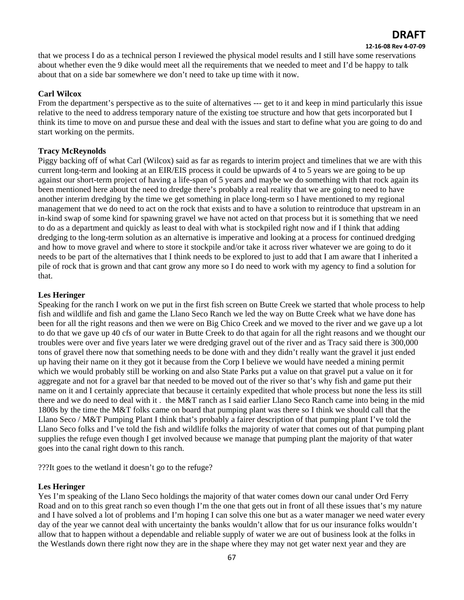#### **12‐16‐08 Rev 4‐07‐09**

that we process I do as a technical person I reviewed the physical model results and I still have some reservations about whether even the 9 dike would meet all the requirements that we needed to meet and I'd be happy to talk about that on a side bar somewhere we don't need to take up time with it now.

### **Carl Wilcox**

From the department's perspective as to the suite of alternatives --- get to it and keep in mind particularly this issue relative to the need to address temporary nature of the existing toe structure and how that gets incorporated but I think its time to move on and pursue these and deal with the issues and start to define what you are going to do and start working on the permits.

### **Tracy McReynolds**

Piggy backing off of what Carl (Wilcox) said as far as regards to interim project and timelines that we are with this current long-term and looking at an EIR/EIS process it could be upwards of 4 to 5 years we are going to be up against our short-term project of having a life-span of 5 years and maybe we do something with that rock again its been mentioned here about the need to dredge there's probably a real reality that we are going to need to have another interim dredging by the time we get something in place long-term so I have mentioned to my regional management that we do need to act on the rock that exists and to have a solution to reintroduce that upstream in an in-kind swap of some kind for spawning gravel we have not acted on that process but it is something that we need to do as a department and quickly as least to deal with what is stockpiled right now and if I think that adding dredging to the long-term solution as an alternative is imperative and looking at a process for continued dredging and how to move gravel and where to store it stockpile and/or take it across river whatever we are going to do it needs to be part of the alternatives that I think needs to be explored to just to add that I am aware that I inherited a pile of rock that is grown and that cant grow any more so I do need to work with my agency to find a solution for that.

### **Les Heringer**

Speaking for the ranch I work on we put in the first fish screen on Butte Creek we started that whole process to help fish and wildlife and fish and game the Llano Seco Ranch we led the way on Butte Creek what we have done has been for all the right reasons and then we were on Big Chico Creek and we moved to the river and we gave up a lot to do that we gave up 40 cfs of our water in Butte Creek to do that again for all the right reasons and we thought our troubles were over and five years later we were dredging gravel out of the river and as Tracy said there is 300,000 tons of gravel there now that something needs to be done with and they didn't really want the gravel it just ended up having their name on it they got it because from the Corp I believe we would have needed a mining permit which we would probably still be working on and also State Parks put a value on that gravel put a value on it for aggregate and not for a gravel bar that needed to be moved out of the river so that's why fish and game put their name on it and I certainly appreciate that because it certainly expedited that whole process but none the less its still there and we do need to deal with it . the M&T ranch as I said earlier Llano Seco Ranch came into being in the mid 1800s by the time the M&T folks came on board that pumping plant was there so I think we should call that the Llano Seco / M&T Pumping Plant I think that's probably a fairer description of that pumping plant I've told the Llano Seco folks and I've told the fish and wildlife folks the majority of water that comes out of that pumping plant supplies the refuge even though I get involved because we manage that pumping plant the majority of that water goes into the canal right down to this ranch.

???It goes to the wetland it doesn't go to the refuge?

### **Les Heringer**

Yes I'm speaking of the Llano Seco holdings the majority of that water comes down our canal under Ord Ferry Road and on to this great ranch so even though I'm the one that gets out in front of all these issues that's my nature and I have solved a lot of problems and I'm hoping I can solve this one but as a water manager we need water every day of the year we cannot deal with uncertainty the banks wouldn't allow that for us our insurance folks wouldn't allow that to happen without a dependable and reliable supply of water we are out of business look at the folks in the Westlands down there right now they are in the shape where they may not get water next year and they are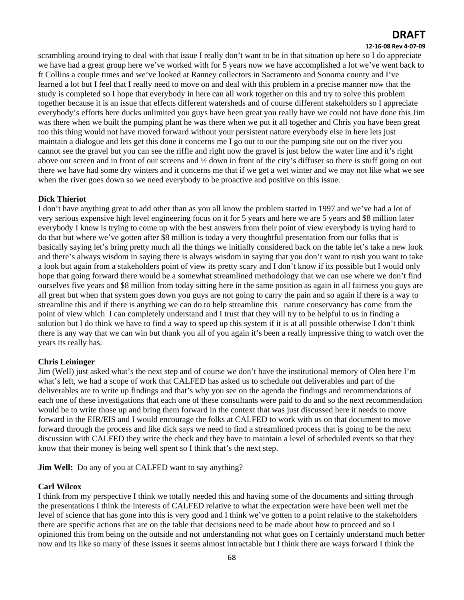#### **12‐16‐08 Rev 4‐07‐09**

scrambling around trying to deal with that issue I really don't want to be in that situation up here so I do appreciate we have had a great group here we've worked with for 5 years now we have accomplished a lot we've went back to ft Collins a couple times and we've looked at Ranney collectors in Sacramento and Sonoma county and I've learned a lot but I feel that I really need to move on and deal with this problem in a precise manner now that the study is completed so I hope that everybody in here can all work together on this and try to solve this problem together because it is an issue that effects different watersheds and of course different stakeholders so I appreciate everybody's efforts here ducks unlimited you guys have been great you really have we could not have done this Jim was there when we built the pumping plant he was there when we put it all together and Chris you have been great too this thing would not have moved forward without your persistent nature everybody else in here lets just maintain a dialogue and lets get this done it concerns me I go out to our the pumping site out on the river you cannot see the gravel but you can see the riffle and right now the gravel is just below the water line and it's right above our screen and in front of our screens and ½ down in front of the city's diffuser so there is stuff going on out there we have had some dry winters and it concerns me that if we get a wet winter and we may not like what we see when the river goes down so we need everybody to be proactive and positive on this issue.

### **Dick Thieriot**

I don't have anything great to add other than as you all know the problem started in 1997 and we've had a lot of very serious expensive high level engineering focus on it for 5 years and here we are 5 years and \$8 million later everybody I know is trying to come up with the best answers from their point of view everybody is trying hard to do that but where we've gotten after \$8 million is today a very thoughtful presentation from our folks that is basically saying let's bring pretty much all the things we initially considered back on the table let's take a new look and there's always wisdom in saying there is always wisdom in saying that you don't want to rush you want to take a look but again from a stakeholders point of view its pretty scary and I don't know if its possible but I would only hope that going forward there would be a somewhat streamlined methodology that we can use where we don't find ourselves five years and \$8 million from today sitting here in the same position as again in all fairness you guys are all great but when that system goes down you guys are not going to carry the pain and so again if there is a way to streamline this and if there is anything we can do to help streamline this nature conservancy has come from the point of view which I can completely understand and I trust that they will try to be helpful to us in finding a solution but I do think we have to find a way to speed up this system if it is at all possible otherwise I don't think there is any way that we can win but thank you all of you again it's been a really impressive thing to watch over the years its really has.

### **Chris Leininger**

Jim (Well) just asked what's the next step and of course we don't have the institutional memory of Olen here I'm what's left, we had a scope of work that CALFED has asked us to schedule out deliverables and part of the deliverables are to write up findings and that's why you see on the agenda the findings and recommendations of each one of these investigations that each one of these consultants were paid to do and so the next recommendation would be to write those up and bring them forward in the context that was just discussed here it needs to move forward in the EIR/EIS and I would encourage the folks at CALFED to work with us on that document to move forward through the process and like dick says we need to find a streamlined process that is going to be the next discussion with CALFED they write the check and they have to maintain a level of scheduled events so that they know that their money is being well spent so I think that's the next step.

**Jim Well:** Do any of you at CALFED want to say anything?

### **Carl Wilcox**

I think from my perspective I think we totally needed this and having some of the documents and sitting through the presentations I think the interests of CALFED relative to what the expectation were have been well met the level of science that has gone into this is very good and I think we've gotten to a point relative to the stakeholders there are specific actions that are on the table that decisions need to be made about how to proceed and so I opinioned this from being on the outside and not understanding not what goes on I certainly understand much better now and its like so many of these issues it seems almost intractable but I think there are ways forward I think the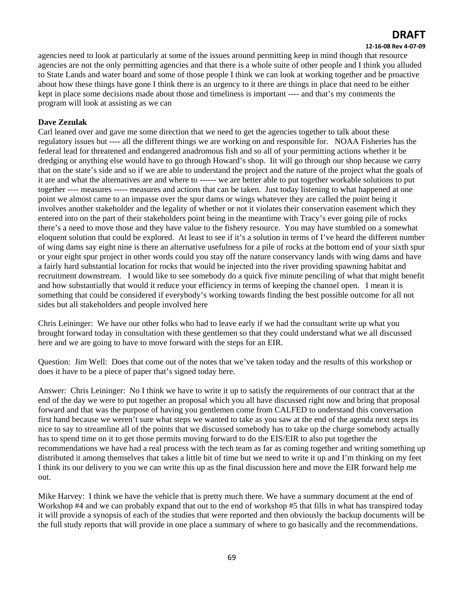#### **12‐16‐08 Rev 4‐07‐09**

agencies need to look at particularly at some of the issues around permitting keep in mind though that resource agencies are not the only permitting agencies and that there is a whole suite of other people and I think you alluded to State Lands and water board and some of those people I think we can look at working together and be proactive about how these things have gone I think there is an urgency to it there are things in place that need to be either kept in place some decisions made about those and timeliness is important ---- and that's my comments the program will look at assisting as we can

### **Dave Zezulak**

Carl leaned over and gave me some direction that we need to get the agencies together to talk about these regulatory issues but ---- all the different things we are working on and responsible for. NOAA Fisheries has the federal lead for threatened and endangered anadromous fish and so all of your permitting actions whether it be dredging or anything else would have to go through Howard's shop. Iit will go through our shop because we carry that on the state's side and so if we are able to understand the project and the nature of the project what the goals of it are and what the alternatives are and where to ------ we are better able to put together workable solutions to put together ---- measures ----- measures and actions that can be taken. Just today listening to what happened at one point we almost came to an impasse over the spur dams or wings whatever they are called the point being it involves another stakeholder and the legality of whether or not it violates their conservation easement which they entered into on the part of their stakeholders point being in the meantime with Tracy's ever going pile of rocks there's a need to move those and they have value to the fishery resource. You may have stumbled on a somewhat eloquent solution that could be explored. At least to see if it's a solution in terms of I've heard the different number of wing dams say eight nine is there an alternative usefulness for a pile of rocks at the bottom end of your sixth spur or your eight spur project in other words could you stay off the nature conservancy lands with wing dams and have a fairly hard substantial location for rocks that would be injected into the river providing spawning habitat and recruitment downstream. I would like to see somebody do a quick five minute penciling of what that might benefit and how substantially that would it reduce your efficiency in terms of keeping the channel open. I mean it is something that could be considered if everybody's working towards finding the best possible outcome for all not sides but all stakeholders and people involved here

Chris Leininger: We have our other folks who had to leave early if we had the consultant write up what you brought forward today in consultation with these gentlemen so that they could understand what we all discussed here and we are going to have to move forward with the steps for an EIR.

Question: Jim Well: Does that come out of the notes that we've taken today and the results of this workshop or does it have to be a piece of paper that's signed today here.

Answer: Chris Leininger: No I think we have to write it up to satisfy the requirements of our contract that at the end of the day we were to put together an proposal which you all have discussed right now and bring that proposal forward and that was the purpose of having you gentlemen come from CALFED to understand this conversation first hand because we weren't sure what steps we wanted to take as you saw at the end of the agenda next steps its nice to say to streamline all of the points that we discussed somebody has to take up the charge somebody actually has to spend time on it to get those permits moving forward to do the EIS/EIR to also put together the recommendations we have had a real process with the tech team as far as coming together and writing something up distributed it among themselves that takes a little bit of time but we need to write it up and I'm thinking on my feet I think its our delivery to you we can write this up as the final discussion here and move the EIR forward help me out.

Mike Harvey: I think we have the vehicle that is pretty much there. We have a summary document at the end of Workshop #4 and we can probably expand that out to the end of workshop #5 that fills in what has transpired today it will provide a synopsis of each of the studies that were reported and then obviously the backup documents will be the full study reports that will provide in one place a summary of where to go basically and the recommendations.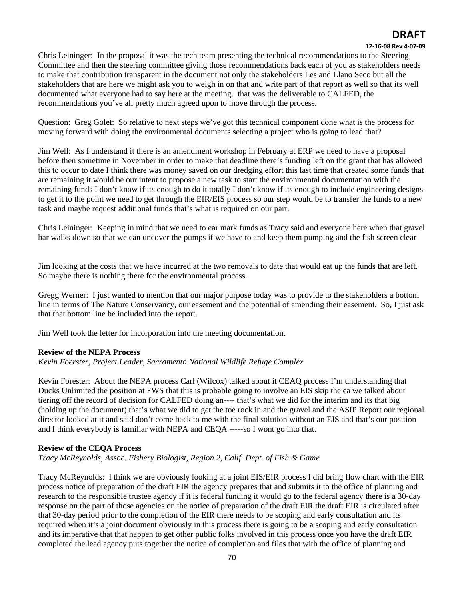### **12‐16‐08 Rev 4‐07‐09**

Chris Leininger: In the proposal it was the tech team presenting the technical recommendations to the Steering Committee and then the steering committee giving those recommendations back each of you as stakeholders needs to make that contribution transparent in the document not only the stakeholders Les and Llano Seco but all the stakeholders that are here we might ask you to weigh in on that and write part of that report as well so that its well documented what everyone had to say here at the meeting. that was the deliverable to CALFED, the recommendations you've all pretty much agreed upon to move through the process.

Question: Greg Golet: So relative to next steps we've got this technical component done what is the process for moving forward with doing the environmental documents selecting a project who is going to lead that?

Jim Well: As I understand it there is an amendment workshop in February at ERP we need to have a proposal before then sometime in November in order to make that deadline there's funding left on the grant that has allowed this to occur to date I think there was money saved on our dredging effort this last time that created some funds that are remaining it would be our intent to propose a new task to start the environmental documentation with the remaining funds I don't know if its enough to do it totally I don't know if its enough to include engineering designs to get it to the point we need to get through the EIR/EIS process so our step would be to transfer the funds to a new task and maybe request additional funds that's what is required on our part.

Chris Leininger: Keeping in mind that we need to ear mark funds as Tracy said and everyone here when that gravel bar walks down so that we can uncover the pumps if we have to and keep them pumping and the fish screen clear

Jim looking at the costs that we have incurred at the two removals to date that would eat up the funds that are left. So maybe there is nothing there for the environmental process.

Gregg Werner: I just wanted to mention that our major purpose today was to provide to the stakeholders a bottom line in terms of The Nature Conservancy, our easement and the potential of amending their easement. So, I just ask that that bottom line be included into the report.

Jim Well took the letter for incorporation into the meeting documentation.

### **Review of the NEPA Process**

*Kevin Foerster, Project Leader, Sacramento National Wildlife Refuge Complex* 

Kevin Forester: About the NEPA process Carl (Wilcox) talked about it CEAQ process I'm understanding that Ducks Unlimited the position at FWS that this is probable going to involve an EIS skip the ea we talked about tiering off the record of decision for CALFED doing an---- that's what we did for the interim and its that big (holding up the document) that's what we did to get the toe rock in and the gravel and the ASIP Report our regional director looked at it and said don't come back to me with the final solution without an EIS and that's our position and I think everybody is familiar with NEPA and CEQA -----so I wont go into that.

### **Review of the CEQA Process**

*Tracy McReynolds, Assoc. Fishery Biologist, Region 2, Calif. Dept. of Fish & Game* 

Tracy McReynolds: I think we are obviously looking at a joint EIS/EIR process I did bring flow chart with the EIR process notice of preparation of the draft EIR the agency prepares that and submits it to the office of planning and research to the responsible trustee agency if it is federal funding it would go to the federal agency there is a 30-day response on the part of those agencies on the notice of preparation of the draft EIR the draft EIR is circulated after that 30-day period prior to the completion of the EIR there needs to be scoping and early consultation and its required when it's a joint document obviously in this process there is going to be a scoping and early consultation and its imperative that that happen to get other public folks involved in this process once you have the draft EIR completed the lead agency puts together the notice of completion and files that with the office of planning and